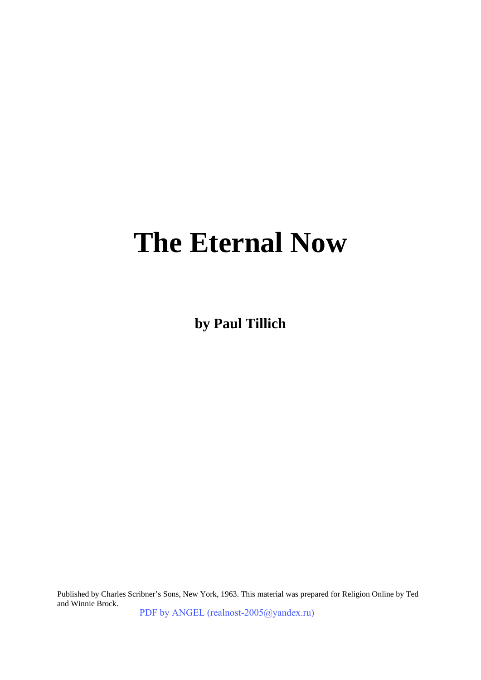# **The Eternal Now**

**by Paul Tillich** 

Published by Charles Scribner's Sons, New York, 1963. This material was prepared for Religion Online by Ted and Winnie Brock.

PDF by ANGEL (realnost-2005@yandex.ru)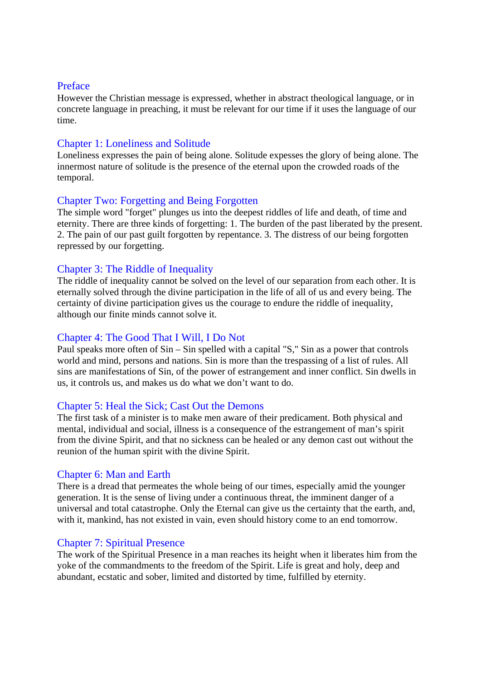#### Preface

However the Christian message is expressed, whether in abstract theological language, or in concrete language in preaching, it must be relevant for our time if it uses the language of our time.

#### Chapter 1: Loneliness and Solitude

Loneliness expresses the pain of being alone. Solitude expesses the glory of being alone. The innermost nature of solitude is the presence of the eternal upon the crowded roads of the temporal.

#### Chapter Two: Forgetting and Being Forgotten

The simple word "forget" plunges us into the deepest riddles of life and death, of time and eternity. There are three kinds of forgetting: 1. The burden of the past liberated by the present. 2. The pain of our past guilt forgotten by repentance. 3. The distress of our being forgotten repressed by our forgetting.

#### Chapter 3: The Riddle of Inequality

The riddle of inequality cannot be solved on the level of our separation from each other. It is eternally solved through the divine participation in the life of all of us and every being. The certainty of divine participation gives us the courage to endure the riddle of inequality, although our finite minds cannot solve it.

#### Chapter 4: The Good That I Will, I Do Not

Paul speaks more often of Sin – Sin spelled with a capital "S," Sin as a power that controls world and mind, persons and nations. Sin is more than the trespassing of a list of rules. All sins are manifestations of Sin, of the power of estrangement and inner conflict. Sin dwells in us, it controls us, and makes us do what we don't want to do.

#### Chapter 5: Heal the Sick; Cast Out the Demons

The first task of a minister is to make men aware of their predicament. Both physical and mental, individual and social, illness is a consequence of the estrangement of man's spirit from the divine Spirit, and that no sickness can be healed or any demon cast out without the reunion of the human spirit with the divine Spirit.

#### Chapter 6: Man and Earth

There is a dread that permeates the whole being of our times, especially amid the younger generation. It is the sense of living under a continuous threat, the imminent danger of a universal and total catastrophe. Only the Eternal can give us the certainty that the earth, and, with it, mankind, has not existed in vain, even should history come to an end tomorrow.

#### Chapter 7: Spiritual Presence

The work of the Spiritual Presence in a man reaches its height when it liberates him from the yoke of the commandments to the freedom of the Spirit. Life is great and holy, deep and abundant, ecstatic and sober, limited and distorted by time, fulfilled by eternity.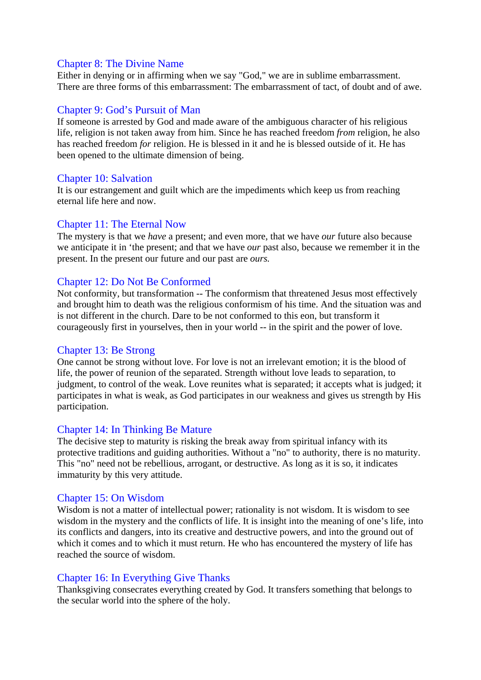#### Chapter 8: The Divine Name

Either in denying or in affirming when we say "God," we are in sublime embarrassment. There are three forms of this embarrassment: The embarrassment of tact, of doubt and of awe.

#### Chapter 9: God's Pursuit of Man

If someone is arrested by God and made aware of the ambiguous character of his religious life, religion is not taken away from him. Since he has reached freedom *from* religion, he also has reached freedom *for* religion. He is blessed in it and he is blessed outside of it. He has been opened to the ultimate dimension of being.

#### Chapter 10: Salvation

It is our estrangement and guilt which are the impediments which keep us from reaching eternal life here and now.

#### Chapter 11: The Eternal Now

The mystery is that we *have* a present; and even more, that we have *our* future also because we anticipate it in 'the present; and that we have *our* past also, because we remember it in the present. In the present our future and our past are *ours.*

#### Chapter 12: Do Not Be Conformed

Not conformity, but transformation -- The conformism that threatened Jesus most effectively and brought him to death was the religious conformism of his time. And the situation was and is not different in the church. Dare to be not conformed to this eon, but transform it courageously first in yourselves, then in your world -- in the spirit and the power of love.

#### Chapter 13: Be Strong

One cannot be strong without love. For love is not an irrelevant emotion; it is the blood of life, the power of reunion of the separated. Strength without love leads to separation, to judgment, to control of the weak. Love reunites what is separated; it accepts what is judged; it participates in what is weak, as God participates in our weakness and gives us strength by His participation.

#### Chapter 14: In Thinking Be Mature

The decisive step to maturity is risking the break away from spiritual infancy with its protective traditions and guiding authorities. Without a "no" to authority, there is no maturity. This "no" need not be rebellious, arrogant, or destructive. As long as it is so, it indicates immaturity by this very attitude.

#### Chapter 15: On Wisdom

Wisdom is not a matter of intellectual power; rationality is not wisdom. It is wisdom to see wisdom in the mystery and the conflicts of life. It is insight into the meaning of one's life, into its conflicts and dangers, into its creative and destructive powers, and into the ground out of which it comes and to which it must return. He who has encountered the mystery of life has reached the source of wisdom.

#### Chapter 16: In Everything Give Thanks

Thanksgiving consecrates everything created by God. It transfers something that belongs to the secular world into the sphere of the holy.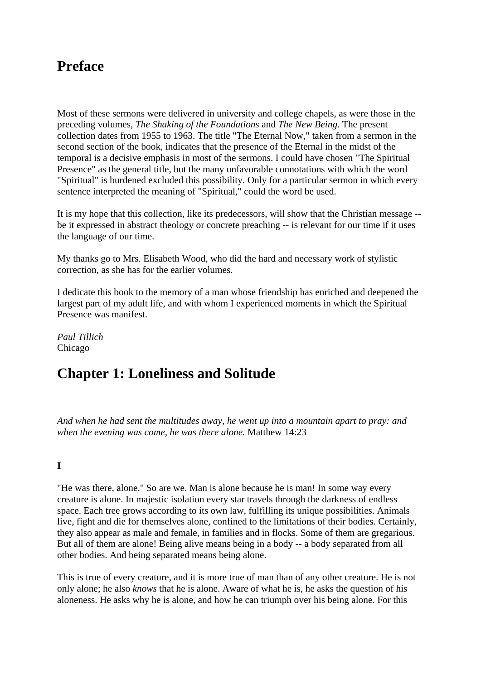### **Preface**

Most of these sermons were delivered in university and college chapels, as were those in the preceding volumes, *The Shaking of the Foundations* and *The New Being.* The present collection dates from 1955 to 1963. The title "The Eternal Now," taken from a sermon in the second section of the book, indicates that the presence of the Eternal in the midst of the temporal is a decisive emphasis in most of the sermons. I could have chosen "The Spiritual Presence" as the general title, but the many unfavorable connotations with which the word "Spiritual" is burdened excluded this possibility. Only for a particular sermon in which every sentence interpreted the meaning of "Spiritual," could the word be used.

It is my hope that this collection, like its predecessors, will show that the Christian message - be it expressed in abstract theology or concrete preaching -- is relevant for our time if it uses the language of our time.

My thanks go to Mrs. Elisabeth Wood, who did the hard and necessary work of stylistic correction, as she has for the earlier volumes.

I dedicate this book to the memory of a man whose friendship has enriched and deepened the largest part of my adult life, and with whom I experienced moments in which the Spiritual Presence was manifest.

*Paul Tillich*  Chicago

### **Chapter 1: Loneliness and Solitude**

*And when he had sent the multitudes away, he went up into a mountain apart to pray: and when the evening was come, he was there alone.* Matthew 14:23

#### **I**

"He was there, alone." So are we. Man is alone because he is man! In some way every creature is alone. In majestic isolation every star travels through the darkness of endless space. Each tree grows according to its own law, fulfilling its unique possibilities. Animals live, fight and die for themselves alone, confined to the limitations of their bodies. Certainly, they also appear as male and female, in families and in flocks. Some of them are gregarious. But all of them are alone! Being alive means being in a body -- a body separated from all other bodies. And being separated means being alone.

This is true of every creature, and it is more true of man than of any other creature. He is not only alone; he also *knows* that he is alone. Aware of what he is, he asks the question of his aloneness. He asks why he is alone, and how he can triumph over his being alone. For this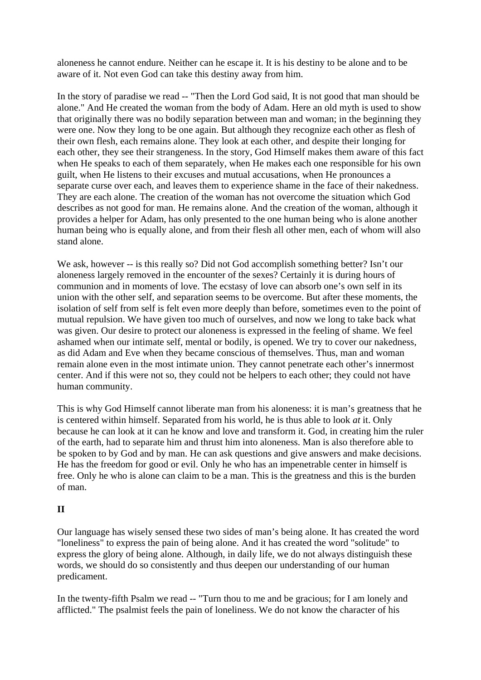aloneness he cannot endure. Neither can he escape it. It is his destiny to be alone and to be aware of it. Not even God can take this destiny away from him.

In the story of paradise we read -- "Then the Lord God said, It is not good that man should be alone." And He created the woman from the body of Adam. Here an old myth is used to show that originally there was no bodily separation between man and woman; in the beginning they were one. Now they long to be one again. But although they recognize each other as flesh of their own flesh, each remains alone. They look at each other, and despite their longing for each other, they see their strangeness. In the story, God Himself makes them aware of this fact when He speaks to each of them separately, when He makes each one responsible for his own guilt, when He listens to their excuses and mutual accusations, when He pronounces a separate curse over each, and leaves them to experience shame in the face of their nakedness. They are each alone. The creation of the woman has not overcome the situation which God describes as not good for man. He remains alone. And the creation of the woman, although it provides a helper for Adam, has only presented to the one human being who is alone another human being who is equally alone, and from their flesh all other men, each of whom will also stand alone.

We ask, however -- is this really so? Did not God accomplish something better? Isn't our aloneness largely removed in the encounter of the sexes? Certainly it is during hours of communion and in moments of love. The ecstasy of love can absorb one's own self in its union with the other self, and separation seems to be overcome. But after these moments, the isolation of self from self is felt even more deeply than before, sometimes even to the point of mutual repulsion. We have given too much of ourselves, and now we long to take back what was given. Our desire to protect our aloneness is expressed in the feeling of shame. We feel ashamed when our intimate self, mental or bodily, is opened. We try to cover our nakedness, as did Adam and Eve when they became conscious of themselves. Thus, man and woman remain alone even in the most intimate union. They cannot penetrate each other's innermost center. And if this were not so, they could not be helpers to each other; they could not have human community.

This is why God Himself cannot liberate man from his aloneness: it is man's greatness that he is centered within himself. Separated from his world, he is thus able to look *at* it. Only because he can look at it can he know and love and transform it. God, in creating him the ruler of the earth, had to separate him and thrust him into aloneness. Man is also therefore able to be spoken to by God and by man. He can ask questions and give answers and make decisions. He has the freedom for good or evil. Only he who has an impenetrable center in himself is free. Only he who is alone can claim to be a man. This is the greatness and this is the burden of man.

#### **II**

Our language has wisely sensed these two sides of man's being alone. It has created the word "loneliness" to express the pain of being alone. And it has created the word "solitude" to express the glory of being alone. Although, in daily life, we do not always distinguish these words, we should do so consistently and thus deepen our understanding of our human predicament.

In the twenty-fifth Psalm we read -- "Turn thou to me and be gracious; for I am lonely and afflicted." The psalmist feels the pain of loneliness. We do not know the character of his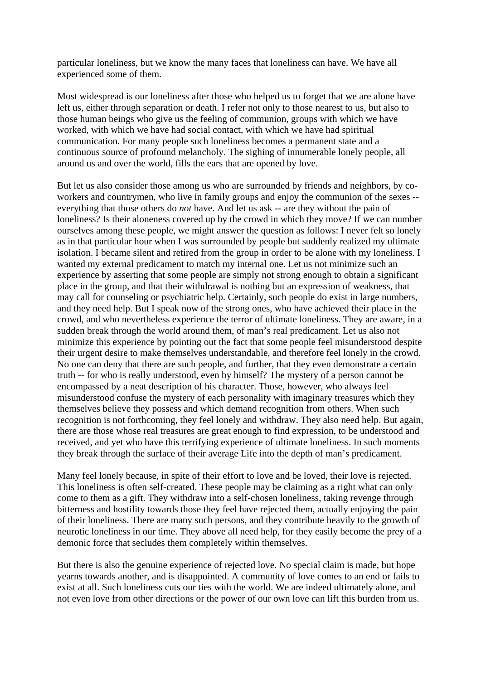particular loneliness, but we know the many faces that loneliness can have. We have all experienced some of them.

Most widespread is our loneliness after those who helped us to forget that we are alone have left us, either through separation or death. I refer not only to those nearest to us, but also to those human beings who give us the feeling of communion, groups with which we have worked, with which we have had social contact, with which we have had spiritual communication. For many people such loneliness becomes a permanent state and a continuous source of profound melancholy. The sighing of innumerable lonely people, all around us and over the world, fills the ears that are opened by love.

But let us also consider those among us who are surrounded by friends and neighbors, by coworkers and countrymen, who live in family groups and enjoy the communion of the sexes - everything that those others do *not* have. And let us ask -- are they without the pain of loneliness? Is their aloneness covered up by the crowd in which they move? If we can number ourselves among these people, we might answer the question as follows: I never felt so lonely as in that particular hour when I was surrounded by people but suddenly realized my ultimate isolation. I became silent and retired from the group in order to be alone with my loneliness. I wanted my external predicament to match my internal one. Let us not minimize such an experience by asserting that some people are simply not strong enough to obtain a significant place in the group, and that their withdrawal is nothing but an expression of weakness, that may call for counseling or psychiatric help. Certainly, such people do exist in large numbers, and they need help. But I speak now of the strong ones, who have achieved their place in the crowd, and who nevertheless experience the terror of ultimate loneliness. They are aware, in a sudden break through the world around them, of man's real predicament. Let us also not minimize this experience by pointing out the fact that some people feel misunderstood despite their urgent desire to make themselves understandable, and therefore feel lonely in the crowd. No one can deny that there are such people, and further, that they even demonstrate a certain truth -- for who is really understood, even by himself? The mystery of a person cannot be encompassed by a neat description of his character. Those, however, who always feel misunderstood confuse the mystery of each personality with imaginary treasures which they themselves believe they possess and which demand recognition from others. When such recognition is not forthcoming, they feel lonely and withdraw. They also need help. But again, there are those whose real treasures are great enough to find expression, to be understood and received, and yet who have this terrifying experience of ultimate loneliness. In such moments they break through the surface of their average Life into the depth of man's predicament.

Many feel lonely because, in spite of their effort to love and be loved, their love is rejected. This loneliness is often self-created. These people may be claiming as a right what can only come to them as a gift. They withdraw into a self-chosen loneliness, taking revenge through bitterness and hostility towards those they feel have rejected them, actually enjoying the pain of their loneliness. There are many such persons, and they contribute heavily to the growth of neurotic loneliness in our time. They above all need help, for they easily become the prey of a demonic force that secludes them completely within themselves.

But there is also the genuine experience of rejected love. No special claim is made, but hope yearns towards another, and is disappointed. A community of love comes to an end or fails to exist at all. Such loneliness cuts our ties with the world. We are indeed ultimately alone, and not even love from other directions or the power of our own love can lift this burden from us.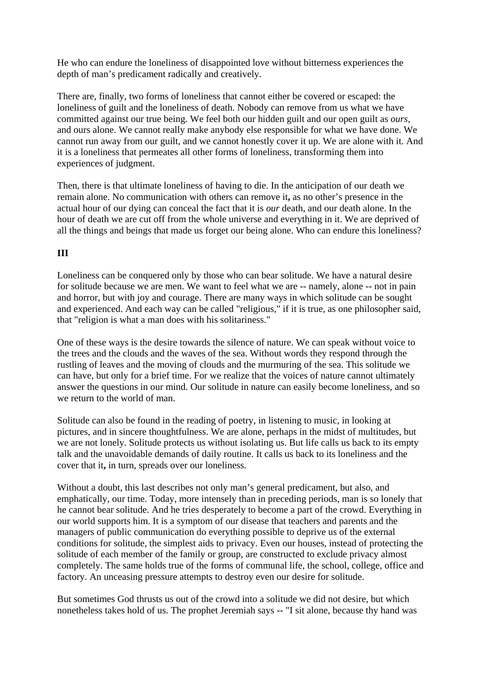He who can endure the loneliness of disappointed love without bitterness experiences the depth of man's predicament radically and creatively.

There are, finally, two forms of loneliness that cannot either be covered or escaped: the loneliness of guilt and the loneliness of death. Nobody can remove from us what we have committed against our true being. We feel both our hidden guilt and our open guilt as *ours,*  and ours alone. We cannot really make anybody else responsible for what we have done. We cannot run away from our guilt, and we cannot honestly cover it up. We are alone with it. And it is a loneliness that permeates all other forms of loneliness, transforming them into experiences of judgment.

Then, there is that ultimate loneliness of having to die. In the anticipation of our death we remain alone. No communication with others can remove it**,** as no other's presence in the actual hour of our dying can conceal the fact that it is *our* death, and our death alone. In the hour of death we are cut off from the whole universe and everything in it. We are deprived of all the things and beings that made us forget our being alone. Who can endure this loneliness?

#### **III**

Loneliness can be conquered only by those who can bear solitude. We have a natural desire for solitude because we are men. We want to feel what we are -- namely, alone -- not in pain and horror, but with joy and courage. There are many ways in which solitude can be sought and experienced. And each way can be called "religious," if it is true, as one philosopher said, that "religion is what a man does with his solitariness."

One of these ways is the desire towards the silence of nature. We can speak without voice to the trees and the clouds and the waves of the sea. Without words they respond through the rustling of leaves and the moving of clouds and the murmuring of the sea. This solitude we can have, but only for a brief time. For we realize that the voices of nature cannot ultimately answer the questions in our mind. Our solitude in nature can easily become loneliness, and so we return to the world of man.

Solitude can also be found in the reading of poetry, in listening to music, in looking at pictures, and in sincere thoughtfulness. We are alone, perhaps in the midst of multitudes, but we are not lonely. Solitude protects us without isolating us. But life calls us back to its empty talk and the unavoidable demands of daily routine. It calls us back to its loneliness and the cover that it**,** in turn, spreads over our loneliness.

Without a doubt, this last describes not only man's general predicament, but also, and emphatically, our time. Today, more intensely than in preceding periods, man is so lonely that he cannot bear solitude. And he tries desperately to become a part of the crowd. Everything in our world supports him. It is a symptom of our disease that teachers and parents and the managers of public communication do everything possible to deprive us of the external conditions for solitude, the simplest aids to privacy. Even our houses, instead of protecting the solitude of each member of the family or group, are constructed to exclude privacy almost completely. The same holds true of the forms of communal life, the school, college, office and factory. An unceasing pressure attempts to destroy even our desire for solitude.

But sometimes God thrusts us out of the crowd into a solitude we did not desire, but which nonetheless takes hold of us. The prophet Jeremiah says -- "I sit alone, because thy hand was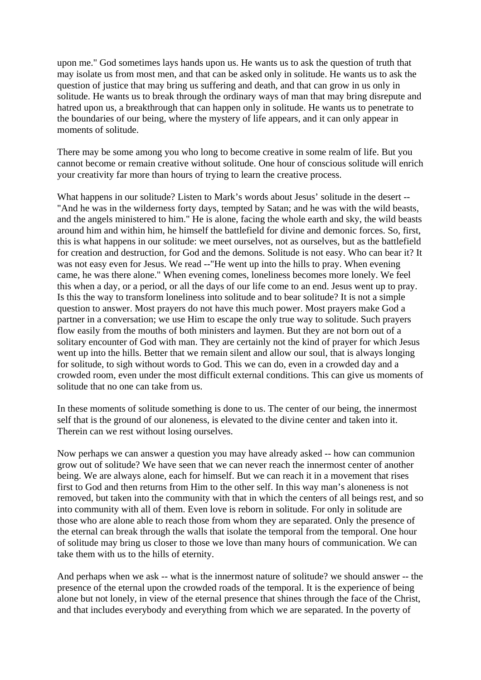upon me." God sometimes lays hands upon us. He wants us to ask the question of truth that may isolate us from most men, and that can be asked only in solitude. He wants us to ask the question of justice that may bring us suffering and death, and that can grow in us only in solitude. He wants us to break through the ordinary ways of man that may bring disrepute and hatred upon us, a breakthrough that can happen only in solitude. He wants us to penetrate to the boundaries of our being, where the mystery of life appears, and it can only appear in moments of solitude.

There may be some among you who long to become creative in some realm of life. But you cannot become or remain creative without solitude. One hour of conscious solitude will enrich your creativity far more than hours of trying to learn the creative process.

What happens in our solitude? Listen to Mark's words about Jesus' solitude in the desert -- "And he was in the wilderness forty days, tempted by Satan; and he was with the wild beasts, and the angels ministered to him." He is alone, facing the whole earth and sky, the wild beasts around him and within him, he himself the battlefield for divine and demonic forces. So, first, this is what happens in our solitude: we meet ourselves, not as ourselves, but as the battlefield for creation and destruction, for God and the demons. Solitude is not easy. Who can bear it? It was not easy even for Jesus. We read --"He went up into the hills to pray. When evening came, he was there alone." When evening comes, loneliness becomes more lonely. We feel this when a day, or a period, or all the days of our life come to an end. Jesus went up to pray. Is this the way to transform loneliness into solitude and to bear solitude? It is not a simple question to answer. Most prayers do not have this much power. Most prayers make God a partner in a conversation; we use Him to escape the only true way to solitude. Such prayers flow easily from the mouths of both ministers and laymen. But they are not born out of a solitary encounter of God with man. They are certainly not the kind of prayer for which Jesus went up into the hills. Better that we remain silent and allow our soul, that is always longing for solitude, to sigh without words to God. This we can do, even in a crowded day and a crowded room, even under the most difficult external conditions. This can give us moments of solitude that no one can take from us.

In these moments of solitude something is done to us. The center of our being, the innermost self that is the ground of our aloneness, is elevated to the divine center and taken into it. Therein can we rest without losing ourselves.

Now perhaps we can answer a question you may have already asked -- how can communion grow out of solitude? We have seen that we can never reach the innermost center of another being. We are always alone, each for himself. But we can reach it in a movement that rises first to God and then returns from Him to the other self. In this way man's aloneness is not removed, but taken into the community with that in which the centers of all beings rest, and so into community with all of them. Even love is reborn in solitude. For only in solitude are those who are alone able to reach those from whom they are separated. Only the presence of the eternal can break through the walls that isolate the temporal from the temporal. One hour of solitude may bring us closer to those we love than many hours of communication. We can take them with us to the hills of eternity.

And perhaps when we ask -- what is the innermost nature of solitude? we should answer -- the presence of the eternal upon the crowded roads of the temporal. It is the experience of being alone but not lonely, in view of the eternal presence that shines through the face of the Christ, and that includes everybody and everything from which we are separated. In the poverty of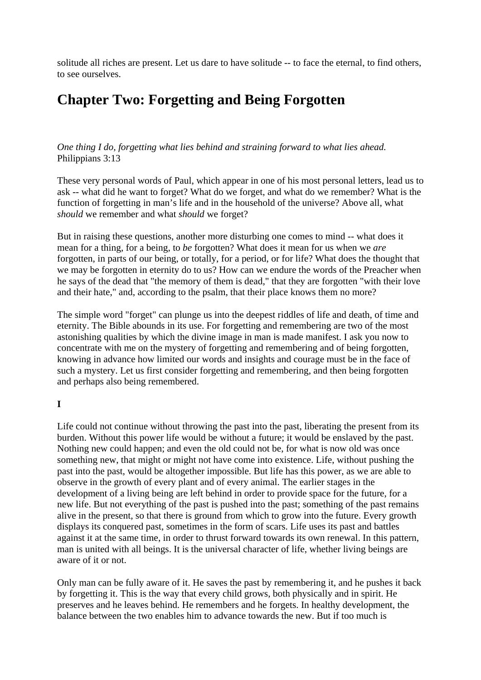solitude all riches are present. Let us dare to have solitude -- to face the eternal, to find others, to see ourselves.

## **Chapter Two: Forgetting and Being Forgotten**

*One thing I do, forgetting what lies behind and straining forward to what lies ahead.*  Philippians 3:13

These very personal words of Paul, which appear in one of his most personal letters, lead us to ask -- what did he want to forget? What do we forget, and what do we remember? What is the function of forgetting in man's life and in the household of the universe? Above all, what *should* we remember and what *should* we forget?

But in raising these questions, another more disturbing one comes to mind -- what does it mean for a thing, for a being, to *be* forgotten? What does it mean for us when we *are*  forgotten, in parts of our being, or totally, for a period, or for life? What does the thought that we may be forgotten in eternity do to us? How can we endure the words of the Preacher when he says of the dead that "the memory of them is dead," that they are forgotten "with their love and their hate," and, according to the psalm, that their place knows them no more?

The simple word "forget" can plunge us into the deepest riddles of life and death, of time and eternity. The Bible abounds in its use. For forgetting and remembering are two of the most astonishing qualities by which the divine image in man is made manifest. I ask you now to concentrate with me on the mystery of forgetting and remembering and of being forgotten, knowing in advance how limited our words and insights and courage must be in the face of such a mystery. Let us first consider forgetting and remembering, and then being forgotten and perhaps also being remembered.

#### **I**

Life could not continue without throwing the past into the past, liberating the present from its burden. Without this power life would be without a future; it would be enslaved by the past. Nothing new could happen; and even the old could not be, for what is now old was once something new, that might or might not have come into existence. Life, without pushing the past into the past, would be altogether impossible. But life has this power, as we are able to observe in the growth of every plant and of every animal. The earlier stages in the development of a living being are left behind in order to provide space for the future, for a new life. But not everything of the past is pushed into the past; something of the past remains alive in the present, so that there is ground from which to grow into the future. Every growth displays its conquered past, sometimes in the form of scars. Life uses its past and battles against it at the same time, in order to thrust forward towards its own renewal. In this pattern, man is united with all beings. It is the universal character of life, whether living beings are aware of it or not.

Only man can be fully aware of it. He saves the past by remembering it, and he pushes it back by forgetting it. This is the way that every child grows, both physically and in spirit. He preserves and he leaves behind. He remembers and he forgets. In healthy development, the balance between the two enables him to advance towards the new. But if too much is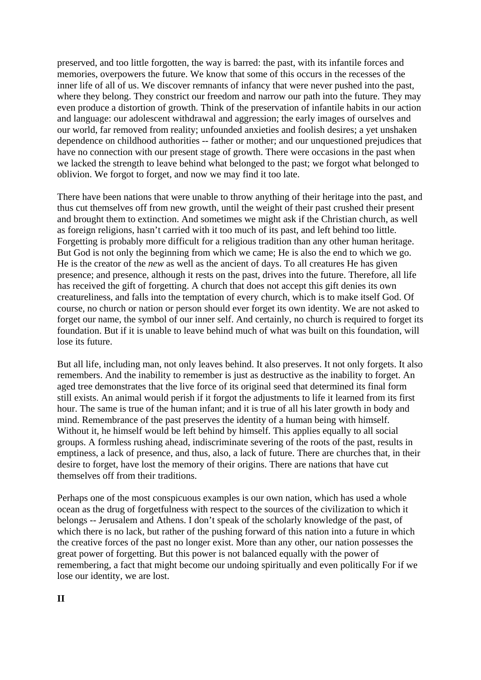preserved, and too little forgotten, the way is barred: the past, with its infantile forces and memories, overpowers the future. We know that some of this occurs in the recesses of the inner life of all of us. We discover remnants of infancy that were never pushed into the past, where they belong. They constrict our freedom and narrow our path into the future. They may even produce a distortion of growth. Think of the preservation of infantile habits in our action and language: our adolescent withdrawal and aggression; the early images of ourselves and our world, far removed from reality; unfounded anxieties and foolish desires; a yet unshaken dependence on childhood authorities -- father or mother; and our unquestioned prejudices that have no connection with our present stage of growth. There were occasions in the past when we lacked the strength to leave behind what belonged to the past; we forgot what belonged to oblivion. We forgot to forget, and now we may find it too late.

There have been nations that were unable to throw anything of their heritage into the past, and thus cut themselves off from new growth, until the weight of their past crushed their present and brought them to extinction. And sometimes we might ask if the Christian church, as well as foreign religions, hasn't carried with it too much of its past, and left behind too little. Forgetting is probably more difficult for a religious tradition than any other human heritage. But God is not only the beginning from which we came; He is also the end to which we go. He is the creator of the *new* as well as the ancient of days. To all creatures He has given presence; and presence, although it rests on the past, drives into the future. Therefore, all life has received the gift of forgetting. A church that does not accept this gift denies its own creatureliness, and falls into the temptation of every church, which is to make itself God. Of course, no church or nation or person should ever forget its own identity. We are not asked to forget our name, the symbol of our inner self. And certainly, no church is required to forget its foundation. But if it is unable to leave behind much of what was built on this foundation, will lose its future.

But all life, including man, not only leaves behind. It also preserves. It not only forgets. It also remembers. And the inability to remember is just as destructive as the inability to forget. An aged tree demonstrates that the live force of its original seed that determined its final form still exists. An animal would perish if it forgot the adjustments to life it learned from its first hour. The same is true of the human infant; and it is true of all his later growth in body and mind. Remembrance of the past preserves the identity of a human being with himself. Without it, he himself would be left behind by himself. This applies equally to all social groups. A formless rushing ahead, indiscriminate severing of the roots of the past, results in emptiness, a lack of presence, and thus, also, a lack of future. There are churches that, in their desire to forget, have lost the memory of their origins. There are nations that have cut themselves off from their traditions.

Perhaps one of the most conspicuous examples is our own nation, which has used a whole ocean as the drug of forgetfulness with respect to the sources of the civilization to which it belongs -- Jerusalem and Athens. I don't speak of the scholarly knowledge of the past, of which there is no lack, but rather of the pushing forward of this nation into a future in which the creative forces of the past no longer exist. More than any other, our nation possesses the great power of forgetting. But this power is not balanced equally with the power of remembering, a fact that might become our undoing spiritually and even politically For if we lose our identity, we are lost.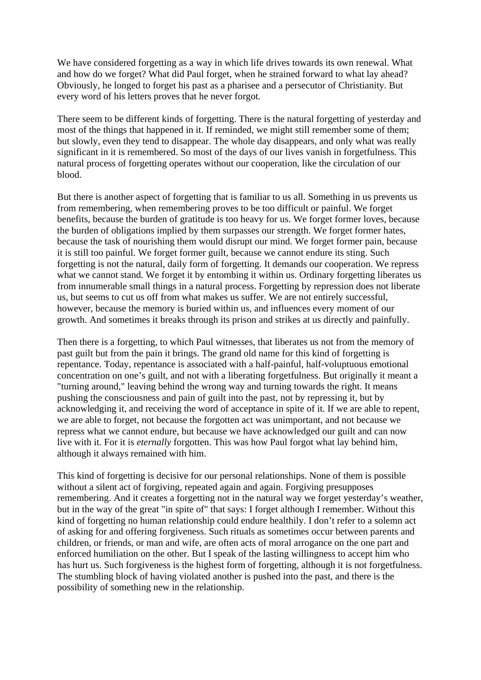We have considered forgetting as a way in which life drives towards its own renewal. What and how do we forget? What did Paul forget, when he strained forward to what lay ahead? Obviously, he longed to forget his past as a pharisee and a persecutor of Christianity. But every word of his letters proves that he never forgot.

There seem to be different kinds of forgetting. There is the natural forgetting of yesterday and most of the things that happened in it. If reminded, we might still remember some of them; but slowly, even they tend to disappear. The whole day disappears, and only what was really significant in it is remembered. So most of the days of our lives vanish in forgetfulness. This natural process of forgetting operates without our cooperation, like the circulation of our blood.

But there is another aspect of forgetting that is familiar to us all. Something in us prevents us from remembering, when remembering proves to be too difficult or painful. We forget benefits, because the burden of gratitude is too heavy for us. We forget former loves, because the burden of obligations implied by them surpasses our strength. We forget former hates, because the task of nourishing them would disrupt our mind. We forget former pain, because it is still too painful. We forget former guilt, because we cannot endure its sting. Such forgetting is not the natural, daily form of forgetting. It demands our cooperation. We repress what we cannot stand. We forget it by entombing it within us. Ordinary forgetting liberates us from innumerable small things in a natural process. Forgetting by repression does not liberate us, but seems to cut us off from what makes us suffer. We are not entirely successful, however, because the memory is buried within us, and influences every moment of our growth. And sometimes it breaks through its prison and strikes at us directly and painfully.

Then there is a forgetting, to which Paul witnesses, that liberates us not from the memory of past guilt but from the pain it brings. The grand old name for this kind of forgetting is repentance. Today, repentance is associated with a half-painful, half-voluptuous emotional concentration on one's guilt, and not with a liberating forgetfulness. But originally it meant a "turning around," leaving behind the wrong way and turning towards the right. It means pushing the consciousness and pain of guilt into the past, not by repressing it, but by acknowledging it, and receiving the word of acceptance in spite of it. If we are able to repent, we are able to forget, not because the forgotten act was unimportant, and not because we repress what we cannot endure, but because we have acknowledged our guilt and can now live with it. For it is *eternally* forgotten. This was how Paul forgot what lay behind him, although it always remained with him.

This kind of forgetting is decisive for our personal relationships. None of them is possible without a silent act of forgiving, repeated again and again. Forgiving presupposes remembering. And it creates a forgetting not in the natural way we forget yesterday's weather, but in the way of the great "in spite of" that says: I forget although I remember. Without this kind of forgetting no human relationship could endure healthily. I don't refer to a solemn act of asking for and offering forgiveness. Such rituals as sometimes occur between parents and children, or friends, or man and wife, are often acts of moral arrogance on the one part and enforced humiliation on the other. But I speak of the lasting willingness to accept him who has hurt us. Such forgiveness is the highest form of forgetting, although it is not forgetfulness. The stumbling block of having violated another is pushed into the past, and there is the possibility of something new in the relationship.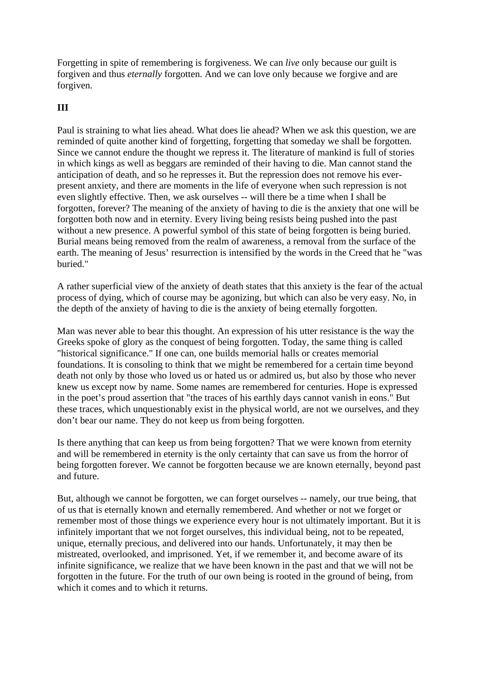Forgetting in spite of remembering is forgiveness. We can *live* only because our guilt is forgiven and thus *eternally* forgotten. And we can love only because we forgive and are forgiven.

#### **III**

Paul is straining to what lies ahead. What does lie ahead? When we ask this question, we are reminded of quite another kind of forgetting, forgetting that someday we shall be forgotten. Since we cannot endure the thought we repress it. The literature of mankind is full of stories in which kings as well as beggars are reminded of their having to die. Man cannot stand the anticipation of death, and so he represses it. But the repression does not remove his everpresent anxiety, and there are moments in the life of everyone when such repression is not even slightly effective. Then, we ask ourselves -- will there be a time when I shall be forgotten, forever? The meaning of the anxiety of having to die is the anxiety that one will be forgotten both now and in eternity. Every living being resists being pushed into the past without a new presence. A powerful symbol of this state of being forgotten is being buried. Burial means being removed from the realm of awareness, a removal from the surface of the earth. The meaning of Jesus' resurrection is intensified by the words in the Creed that he "was buried."

A rather superficial view of the anxiety of death states that this anxiety is the fear of the actual process of dying, which of course may be agonizing, but which can also be very easy. No, in the depth of the anxiety of having to die is the anxiety of being eternally forgotten.

Man was never able to bear this thought. An expression of his utter resistance is the way the Greeks spoke of glory as the conquest of being forgotten. Today, the same thing is called "historical significance." If one can, one builds memorial halls or creates memorial foundations. It is consoling to think that we might be remembered for a certain time beyond death not only by those who loved us or hated us or admired us, but also by those who never knew us except now by name. Some names are remembered for centuries. Hope is expressed in the poet's proud assertion that "the traces of his earthly days cannot vanish in eons." But these traces, which unquestionably exist in the physical world, are not we ourselves, and they don't bear our name. They do not keep us from being forgotten.

Is there anything that can keep us from being forgotten? That we were known from eternity and will be remembered in eternity is the only certainty that can save us from the horror of being forgotten forever. We cannot be forgotten because we are known eternally, beyond past and future.

But, although we cannot be forgotten, we can forget ourselves -- namely, our true being, that of us that is eternally known and eternally remembered. And whether or not we forget or remember most of those things we experience every hour is not ultimately important. But it is infinitely important that we not forget ourselves, this individual being, not to be repeated, unique, eternally precious, and delivered into our hands. Unfortunately, it may then be mistreated, overlooked, and imprisoned. Yet, if we remember it, and become aware of its infinite significance, we realize that we have been known in the past and that we will not be forgotten in the future. For the truth of our own being is rooted in the ground of being, from which it comes and to which it returns.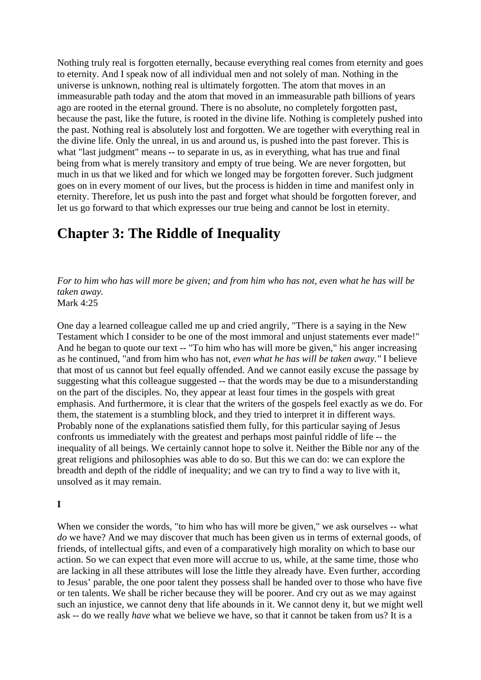Nothing truly real is forgotten eternally, because everything real comes from eternity and goes to eternity. And I speak now of all individual men and not solely of man. Nothing in the universe is unknown, nothing real is ultimately forgotten. The atom that moves in an immeasurable path today and the atom that moved in an immeasurable path billions of years ago are rooted in the eternal ground. There is no absolute, no completely forgotten past, because the past, like the future, is rooted in the divine life. Nothing is completely pushed into the past. Nothing real is absolutely lost and forgotten. We are together with everything real in the divine life. Only the unreal, in us and around us, is pushed into the past forever. This is what "last judgment" means -- to separate in us, as in everything, what has true and final being from what is merely transitory and empty of true being. We are never forgotten, but much in us that we liked and for which we longed may be forgotten forever. Such judgment goes on in every moment of our lives, but the process is hidden in time and manifest only in eternity. Therefore, let us push into the past and forget what should be forgotten forever, and let us go forward to that which expresses our true being and cannot be lost in eternity.

### **Chapter 3: The Riddle of Inequality**

*For to him who has will more be given; and from him who has not, even what he has will be taken away.*  Mark 4:25

One day a learned colleague called me up and cried angrily, "There is a saying in the New Testament which I consider to be one of the most immoral and unjust statements ever made!" And he began to quote our text -- "To him who has will more be given," his anger increasing as he continued, "and from him who has not, *even what he has will be taken away."* I believe that most of us cannot but feel equally offended. And we cannot easily excuse the passage by suggesting what this colleague suggested -- that the words may be due to a misunderstanding on the part of the disciples. No, they appear at least four times in the gospels with great emphasis. And furthermore, it is clear that the writers of the gospels feel exactly as we do. For them, the statement is a stumbling block, and they tried to interpret it in different ways. Probably none of the explanations satisfied them fully, for this particular saying of Jesus confronts us immediately with the greatest and perhaps most painful riddle of life -- the inequality of all beings. We certainly cannot hope to solve it. Neither the Bible nor any of the great religions and philosophies was able to do so. But this we can do: we can explore the breadth and depth of the riddle of inequality; and we can try to find a way to live with it, unsolved as it may remain.

#### **I**

When we consider the words, "to him who has will more be given," we ask ourselves -- what *do* we have? And we may discover that much has been given us in terms of external goods, of friends, of intellectual gifts, and even of a comparatively high morality on which to base our action. So we can expect that even more will accrue to us, while, at the same time, those who are lacking in all these attributes will lose the little they already have. Even further, according to Jesus' parable, the one poor talent they possess shall be handed over to those who have five or ten talents. We shall be richer because they will be poorer. And cry out as we may against such an injustice, we cannot deny that life abounds in it. We cannot deny it, but we might well ask -- do we really *have* what we believe we have, so that it cannot be taken from us? It is a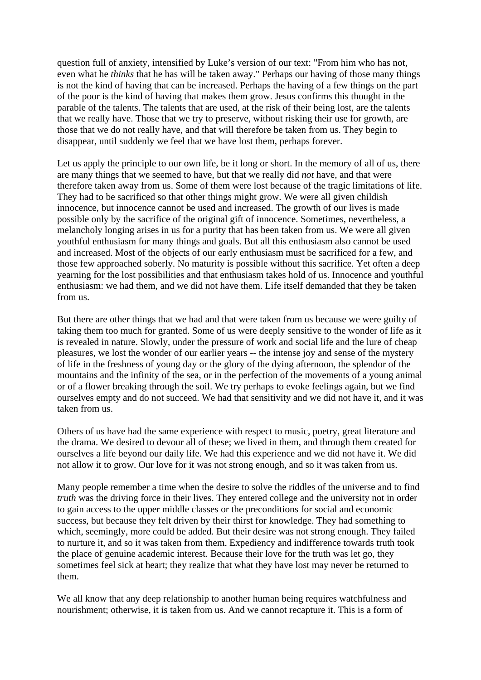question full of anxiety, intensified by Luke's version of our text: "From him who has not, even what he *thinks* that he has will be taken away." Perhaps our having of those many things is not the kind of having that can be increased. Perhaps the having of a few things on the part of the poor is the kind of having that makes them grow. Jesus confirms this thought in the parable of the talents. The talents that are used, at the risk of their being lost, are the talents that we really have. Those that we try to preserve, without risking their use for growth, are those that we do not really have, and that will therefore be taken from us. They begin to disappear, until suddenly we feel that we have lost them, perhaps forever.

Let us apply the principle to our own life, be it long or short. In the memory of all of us, there are many things that we seemed to have, but that we really did *not* have, and that were therefore taken away from us. Some of them were lost because of the tragic limitations of life. They had to be sacrificed so that other things might grow. We were all given childish innocence, but innocence cannot be used and increased. The growth of our lives is made possible only by the sacrifice of the original gift of innocence. Sometimes, nevertheless, a melancholy longing arises in us for a purity that has been taken from us. We were all given youthful enthusiasm for many things and goals. But all this enthusiasm also cannot be used and increased. Most of the objects of our early enthusiasm must be sacrificed for a few, and those few approached soberly. No maturity is possible without this sacrifice. Yet often a deep yearning for the lost possibilities and that enthusiasm takes hold of us. Innocence and youthful enthusiasm: we had them, and we did not have them. Life itself demanded that they be taken from us.

But there are other things that we had and that were taken from us because we were guilty of taking them too much for granted. Some of us were deeply sensitive to the wonder of life as it is revealed in nature. Slowly, under the pressure of work and social life and the lure of cheap pleasures, we lost the wonder of our earlier years -- the intense joy and sense of the mystery of life in the freshness of young day or the glory of the dying afternoon, the splendor of the mountains and the infinity of the sea, or in the perfection of the movements of a young animal or of a flower breaking through the soil. We try perhaps to evoke feelings again, but we find ourselves empty and do not succeed. We had that sensitivity and we did not have it, and it was taken from us.

Others of us have had the same experience with respect to music, poetry, great literature and the drama. We desired to devour all of these; we lived in them, and through them created for ourselves a life beyond our daily life. We had this experience and we did not have it. We did not allow it to grow. Our love for it was not strong enough, and so it was taken from us.

Many people remember a time when the desire to solve the riddles of the universe and to find *truth* was the driving force in their lives. They entered college and the university not in order to gain access to the upper middle classes or the preconditions for social and economic success, but because they felt driven by their thirst for knowledge. They had something to which, seemingly, more could be added. But their desire was not strong enough. They failed to nurture it, and so it was taken from them. Expediency and indifference towards truth took the place of genuine academic interest. Because their love for the truth was let go, they sometimes feel sick at heart; they realize that what they have lost may never be returned to them.

We all know that any deep relationship to another human being requires watchfulness and nourishment; otherwise, it is taken from us. And we cannot recapture it. This is a form of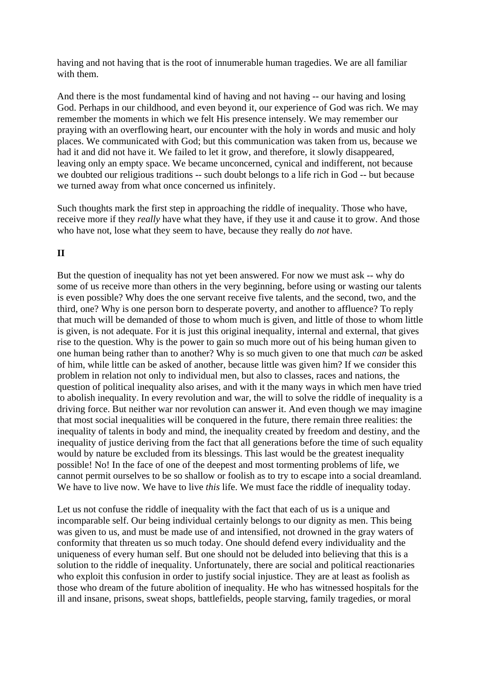having and not having that is the root of innumerable human tragedies. We are all familiar with them.

And there is the most fundamental kind of having and not having -- our having and losing God. Perhaps in our childhood, and even beyond it, our experience of God was rich. We may remember the moments in which we felt His presence intensely. We may remember our praying with an overflowing heart, our encounter with the holy in words and music and holy places. We communicated with God; but this communication was taken from us, because we had it and did not have it. We failed to let it grow, and therefore, it slowly disappeared, leaving only an empty space. We became unconcerned, cynical and indifferent, not because we doubted our religious traditions -- such doubt belongs to a life rich in God -- but because we turned away from what once concerned us infinitely.

Such thoughts mark the first step in approaching the riddle of inequality. Those who have, receive more if they *really* have what they have, if they use it and cause it to grow. And those who have not, lose what they seem to have, because they really do *not* have.

#### **II**

But the question of inequality has not yet been answered. For now we must ask -- why do some of us receive more than others in the very beginning, before using or wasting our talents is even possible? Why does the one servant receive five talents, and the second, two, and the third, one? Why is one person born to desperate poverty, and another to affluence? To reply that much will be demanded of those to whom much is given, and little of those to whom little is given, is not adequate. For it is just this original inequality, internal and external, that gives rise to the question. Why is the power to gain so much more out of his being human given to one human being rather than to another? Why is so much given to one that much *can* be asked of him, while little can be asked of another, because little was given him? If we consider this problem in relation not only to individual men, but also to classes, races and nations, the question of political inequality also arises, and with it the many ways in which men have tried to abolish inequality. In every revolution and war, the will to solve the riddle of inequality is a driving force. But neither war nor revolution can answer it. And even though we may imagine that most social inequalities will be conquered in the future, there remain three realities: the inequality of talents in body and mind, the inequality created by freedom and destiny, and the inequality of justice deriving from the fact that all generations before the time of such equality would by nature be excluded from its blessings. This last would be the greatest inequality possible! No! In the face of one of the deepest and most tormenting problems of life, we cannot permit ourselves to be so shallow or foolish as to try to escape into a social dreamland. We have to live now. We have to live *this* life. We must face the riddle of inequality today.

Let us not confuse the riddle of inequality with the fact that each of us is a unique and incomparable self. Our being individual certainly belongs to our dignity as men. This being was given to us, and must be made use of and intensified, not drowned in the gray waters of conformity that threaten us so much today. One should defend every individuality and the uniqueness of every human self. But one should not be deluded into believing that this is a solution to the riddle of inequality. Unfortunately, there are social and political reactionaries who exploit this confusion in order to justify social injustice. They are at least as foolish as those who dream of the future abolition of inequality. He who has witnessed hospitals for the ill and insane, prisons, sweat shops, battlefields, people starving, family tragedies, or moral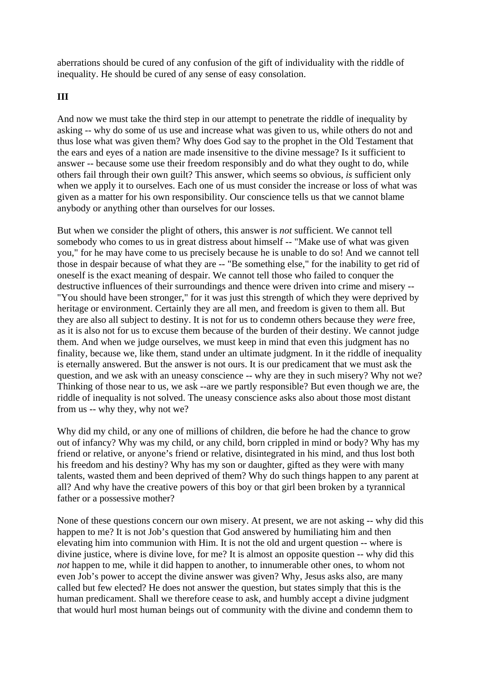aberrations should be cured of any confusion of the gift of individuality with the riddle of inequality. He should be cured of any sense of easy consolation.

#### **III**

And now we must take the third step in our attempt to penetrate the riddle of inequality by asking -- why do some of us use and increase what was given to us, while others do not and thus lose what was given them? Why does God say to the prophet in the Old Testament that the ears and eyes of a nation are made insensitive to the divine message? Is it sufficient to answer -- because some use their freedom responsibly and do what they ought to do, while others fail through their own guilt? This answer, which seems so obvious, *is* sufficient only when we apply it to ourselves. Each one of us must consider the increase or loss of what was given as a matter for his own responsibility. Our conscience tells us that we cannot blame anybody or anything other than ourselves for our losses.

But when we consider the plight of others, this answer is *not* sufficient. We cannot tell somebody who comes to us in great distress about himself -- "Make use of what was given you," for he may have come to us precisely because he is unable to do so! And we cannot tell those in despair because of what they are -- "Be something else," for the inability to get rid of oneself is the exact meaning of despair. We cannot tell those who failed to conquer the destructive influences of their surroundings and thence were driven into crime and misery -- "You should have been stronger," for it was just this strength of which they were deprived by heritage or environment. Certainly they are all men, and freedom is given to them all. But they are also all subject to destiny. It is not for us to condemn others because they *were* free, as it is also not for us to excuse them because of the burden of their destiny. We cannot judge them. And when we judge ourselves, we must keep in mind that even this judgment has no finality, because we, like them, stand under an ultimate judgment. In it the riddle of inequality is eternally answered. But the answer is not ours. It is our predicament that we must ask the question, and we ask with an uneasy conscience -- why are they in such misery? Why not we? Thinking of those near to us, we ask --are we partly responsible? But even though we are, the riddle of inequality is not solved. The uneasy conscience asks also about those most distant from us -- why they, why not we?

Why did my child, or any one of millions of children, die before he had the chance to grow out of infancy? Why was my child, or any child, born crippled in mind or body? Why has my friend or relative, or anyone's friend or relative, disintegrated in his mind, and thus lost both his freedom and his destiny? Why has my son or daughter, gifted as they were with many talents, wasted them and been deprived of them? Why do such things happen to any parent at all? And why have the creative powers of this boy or that girl been broken by a tyrannical father or a possessive mother?

None of these questions concern our own misery. At present, we are not asking -- why did this happen to me? It is not Job's question that God answered by humiliating him and then elevating him into communion with Him. It is not the old and urgent question -- where is divine justice, where is divine love, for me? It is almost an opposite question -- why did this *not* happen to me, while it did happen to another, to innumerable other ones, to whom not even Job's power to accept the divine answer was given? Why, Jesus asks also, are many called but few elected? He does not answer the question, but states simply that this is the human predicament. Shall we therefore cease to ask, and humbly accept a divine judgment that would hurl most human beings out of community with the divine and condemn them to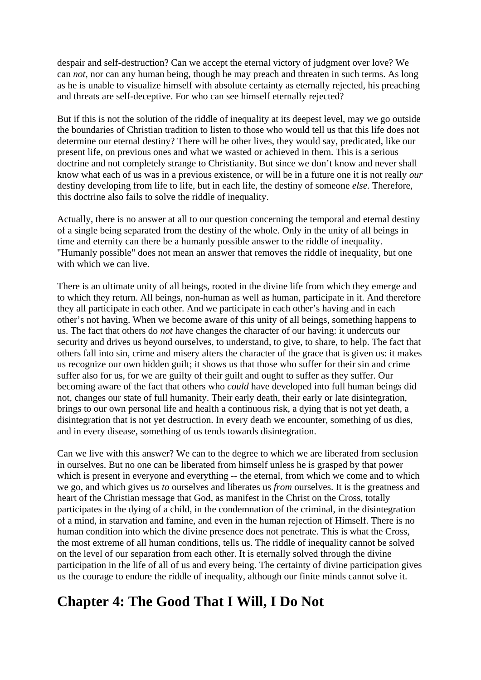despair and self-destruction? Can we accept the eternal victory of judgment over love? We can *not,* nor can any human being, though he may preach and threaten in such terms. As long as he is unable to visualize himself with absolute certainty as eternally rejected, his preaching and threats are self-deceptive. For who can see himself eternally rejected?

But if this is not the solution of the riddle of inequality at its deepest level, may we go outside the boundaries of Christian tradition to listen to those who would tell us that this life does not determine our eternal destiny? There will be other lives, they would say, predicated, like our present life, on previous ones and what we wasted or achieved in them. This is a serious doctrine and not completely strange to Christianity. But since we don't know and never shall know what each of us was in a previous existence, or will be in a future one it is not really *our*  destiny developing from life to life, but in each life, the destiny of someone *else.* Therefore, this doctrine also fails to solve the riddle of inequality.

Actually, there is no answer at all to our question concerning the temporal and eternal destiny of a single being separated from the destiny of the whole. Only in the unity of all beings in time and eternity can there be a humanly possible answer to the riddle of inequality. "Humanly possible" does not mean an answer that removes the riddle of inequality, but one with which we can live.

There is an ultimate unity of all beings, rooted in the divine life from which they emerge and to which they return. All beings, non-human as well as human, participate in it. And therefore they all participate in each other. And we participate in each other's having and in each other's not having. When we become aware of this unity of all beings, something happens to us. The fact that others do *not* have changes the character of our having: it undercuts our security and drives us beyond ourselves, to understand, to give, to share, to help. The fact that others fall into sin, crime and misery alters the character of the grace that is given us: it makes us recognize our own hidden guilt; it shows us that those who suffer for their sin and crime suffer also for us, for we are guilty of their guilt and ought to suffer as they suffer. Our becoming aware of the fact that others who *could* have developed into full human beings did not, changes our state of full humanity. Their early death, their early or late disintegration, brings to our own personal life and health a continuous risk, a dying that is not yet death, a disintegration that is not yet destruction. In every death we encounter, something of us dies, and in every disease, something of us tends towards disintegration.

Can we live with this answer? We can to the degree to which we are liberated from seclusion in ourselves. But no one can be liberated from himself unless he is grasped by that power which is present in everyone and everything -- the eternal, from which we come and to which we go, and which gives us *to* ourselves and liberates us *from* ourselves. It is the greatness and heart of the Christian message that God, as manifest in the Christ on the Cross, totally participates in the dying of a child, in the condemnation of the criminal, in the disintegration of a mind, in starvation and famine, and even in the human rejection of Himself. There is no human condition into which the divine presence does not penetrate. This is what the Cross, the most extreme of all human conditions, tells us. The riddle of inequality cannot be solved on the level of our separation from each other. It is eternally solved through the divine participation in the life of all of us and every being. The certainty of divine participation gives us the courage to endure the riddle of inequality, although our finite minds cannot solve it.

### **Chapter 4: The Good That I Will, I Do Not**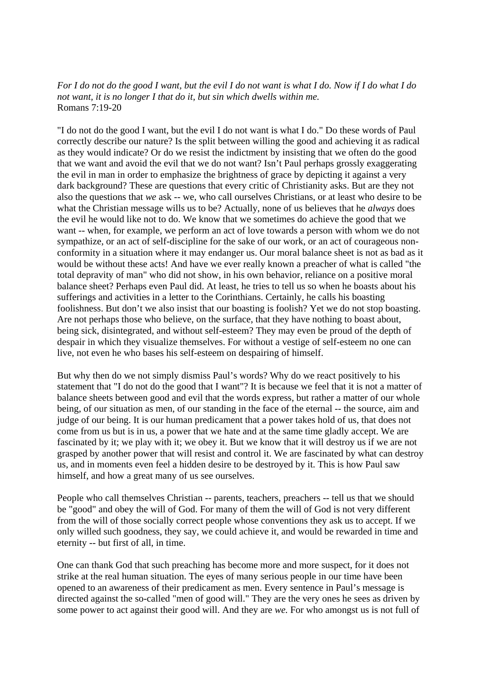*For I do not do the good I want, but the evil I do not want is what I do. Now if I do what I do not want, it is no longer I that do it, but sin which dwells within me.* Romans 7:19-20

"I do not do the good I want, but the evil I do not want is what I do." Do these words of Paul correctly describe our nature? Is the split between willing the good and achieving it as radical as they would indicate? Or do we resist the indictment by insisting that we often do the good that we want and avoid the evil that we do not want? Isn't Paul perhaps grossly exaggerating the evil in man in order to emphasize the brightness of grace by depicting it against a very dark background? These are questions that every critic of Christianity asks. But are they not also the questions that *we* ask -- we, who call ourselves Christians, or at least who desire to be what the Christian message wills us to be? Actually, none of us believes that he *always* does the evil he would like not to do. We know that we sometimes do achieve the good that we want -- when, for example, we perform an act of love towards a person with whom we do not sympathize, or an act of self-discipline for the sake of our work, or an act of courageous nonconformity in a situation where it may endanger us. Our moral balance sheet is not as bad as it would be without these acts! And have we ever really known a preacher of what is called "the total depravity of man" who did not show, in his own behavior, reliance on a positive moral balance sheet? Perhaps even Paul did. At least, he tries to tell us so when he boasts about his sufferings and activities in a letter to the Corinthians. Certainly, he calls his boasting foolishness. But don't we also insist that our boasting is foolish? Yet we do not stop boasting. Are not perhaps those who believe, on the surface, that they have nothing to boast about, being sick, disintegrated, and without self-esteem? They may even be proud of the depth of despair in which they visualize themselves. For without a vestige of self-esteem no one can live, not even he who bases his self-esteem on despairing of himself.

But why then do we not simply dismiss Paul's words? Why do we react positively to his statement that "I do not do the good that I want"? It is because we feel that it is not a matter of balance sheets between good and evil that the words express, but rather a matter of our whole being, of our situation as men, of our standing in the face of the eternal -- the source, aim and judge of our being. It is our human predicament that a power takes hold of us, that does not come from us but is in us, a power that we hate and at the same time gladly accept. We are fascinated by it; we play with it; we obey it. But we know that it will destroy us if we are not grasped by another power that will resist and control it. We are fascinated by what can destroy us, and in moments even feel a hidden desire to be destroyed by it. This is how Paul saw himself, and how a great many of us see ourselves.

People who call themselves Christian -- parents, teachers, preachers -- tell us that we should be "good" and obey the will of God. For many of them the will of God is not very different from the will of those socially correct people whose conventions they ask us to accept. If we only willed such goodness, they say, we could achieve it, and would be rewarded in time and eternity -- but first of all, in time.

One can thank God that such preaching has become more and more suspect, for it does not strike at the real human situation. The eyes of many serious people in our time have been opened to an awareness of their predicament as men. Every sentence in Paul's message is directed against the so-called "men of good will." They are the very ones he sees as driven by some power to act against their good will. And they are *we.* For who amongst us is not full of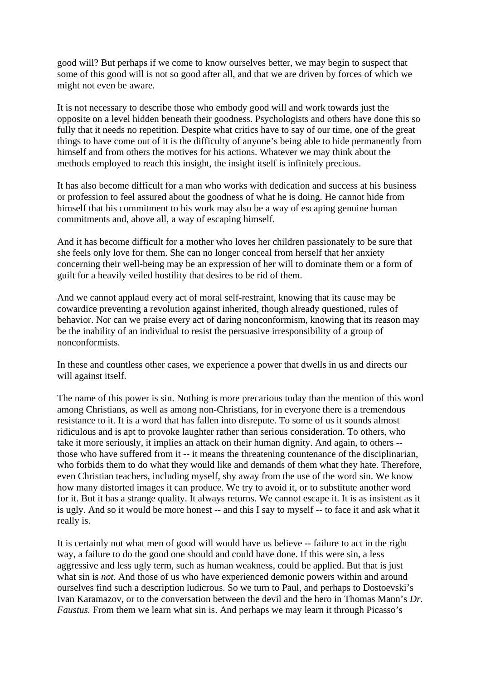good will? But perhaps if we come to know ourselves better, we may begin to suspect that some of this good will is not so good after all, and that we are driven by forces of which we might not even be aware.

It is not necessary to describe those who embody good will and work towards just the opposite on a level hidden beneath their goodness. Psychologists and others have done this so fully that it needs no repetition. Despite what critics have to say of our time, one of the great things to have come out of it is the difficulty of anyone's being able to hide permanently from himself and from others the motives for his actions. Whatever we may think about the methods employed to reach this insight, the insight itself is infinitely precious.

It has also become difficult for a man who works with dedication and success at his business or profession to feel assured about the goodness of what he is doing. He cannot hide from himself that his commitment to his work may also be a way of escaping genuine human commitments and, above all, a way of escaping himself.

And it has become difficult for a mother who loves her children passionately to be sure that she feels only love for them. She can no longer conceal from herself that her anxiety concerning their well-being may be an expression of her will to dominate them or a form of guilt for a heavily veiled hostility that desires to be rid of them.

And we cannot applaud every act of moral self-restraint, knowing that its cause may be cowardice preventing a revolution against inherited, though already questioned, rules of behavior. Nor can we praise every act of daring nonconformism, knowing that its reason may be the inability of an individual to resist the persuasive irresponsibility of a group of nonconformists.

In these and countless other cases, we experience a power that dwells in us and directs our will against itself.

The name of this power is sin. Nothing is more precarious today than the mention of this word among Christians, as well as among non-Christians, for in everyone there is a tremendous resistance to it. It is a word that has fallen into disrepute. To some of us it sounds almost ridiculous and is apt to provoke laughter rather than serious consideration. To others, who take it more seriously, it implies an attack on their human dignity. And again, to others - those who have suffered from it -- it means the threatening countenance of the disciplinarian, who forbids them to do what they would like and demands of them what they hate. Therefore, even Christian teachers, including myself, shy away from the use of the word sin. We know how many distorted images it can produce. We try to avoid it, or to substitute another word for it. But it has a strange quality. It always returns. We cannot escape it. It is as insistent as it is ugly. And so it would be more honest -- and this I say to myself -- to face it and ask what it really is.

It is certainly not what men of good will would have us believe -- failure to act in the right way, a failure to do the good one should and could have done. If this were sin, a less aggressive and less ugly term, such as human weakness, could be applied. But that is just what sin is *not*. And those of us who have experienced demonic powers within and around ourselves find such a description ludicrous. So we turn to Paul, and perhaps to Dostoevski's Ivan Karamazov, or to the conversation between the devil and the hero in Thomas Mann's *Dr. Faustus.* From them we learn what sin is. And perhaps we may learn it through Picasso's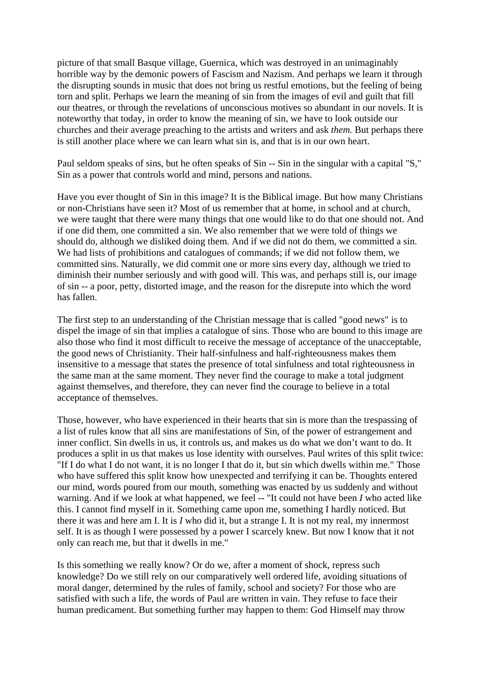picture of that small Basque village, Guernica, which was destroyed in an unimaginably horrible way by the demonic powers of Fascism and Nazism. And perhaps we learn it through the disrupting sounds in music that does not bring us restful emotions, but the feeling of being torn and split. Perhaps we learn the meaning of sin from the images of evil and guilt that fill our theatres, or through the revelations of unconscious motives so abundant in our novels. It is noteworthy that today, in order to know the meaning of sin, we have to look outside our churches and their average preaching to the artists and writers and ask *them.* But perhaps there is still another place where we can learn what sin is, and that is in our own heart.

Paul seldom speaks of sins, but he often speaks of Sin -- Sin in the singular with a capital "S," Sin as a power that controls world and mind, persons and nations.

Have you ever thought of Sin in this image? It is the Biblical image. But how many Christians or non-Christians have seen it? Most of us remember that at home, in school and at church, we were taught that there were many things that one would like to do that one should not. And if one did them, one committed a sin. We also remember that we were told of things we should do, although we disliked doing them. And if we did not do them, we committed a sin. We had lists of prohibitions and catalogues of commands; if we did not follow them, we committed sins. Naturally, we did commit one or more sins every day, although we tried to diminish their number seriously and with good will. This was, and perhaps still is, our image of sin -- a poor, petty, distorted image, and the reason for the disrepute into which the word has fallen.

The first step to an understanding of the Christian message that is called "good news" is to dispel the image of sin that implies a catalogue of sins. Those who are bound to this image are also those who find it most difficult to receive the message of acceptance of the unacceptable, the good news of Christianity. Their half-sinfulness and half-righteousness makes them insensitive to a message that states the presence of total sinfulness and total righteousness in the same man at the same moment. They never find the courage to make a total judgment against themselves, and therefore, they can never find the courage to believe in a total acceptance of themselves.

Those, however, who have experienced in their hearts that sin is more than the trespassing of a list of rules know that all sins are manifestations of Sin, of the power of estrangement and inner conflict. Sin dwells in us, it controls us, and makes us do what we don't want to do. It produces a split in us that makes us lose identity with ourselves. Paul writes of this split twice: "If I do what I do not want, it is no longer I that do it, but sin which dwells within me." Those who have suffered this split know how unexpected and terrifying it can be. Thoughts entered our mind, words poured from our mouth, something was enacted by us suddenly and without warning. And if we look at what happened, we feel -- "It could not have been *I* who acted like this. I cannot find myself in it. Something came upon me, something I hardly noticed. But there it was and here am I. It is *I* who did it, but a strange I. It is not my real, my innermost self. It is as though I were possessed by a power I scarcely knew. But now I know that it not only can reach me, but that it dwells in me."

Is this something we really know? Or do we, after a moment of shock, repress such knowledge? Do we still rely on our comparatively well ordered life, avoiding situations of moral danger, determined by the rules of family, school and society? For those who are satisfied with such a life, the words of Paul are written in vain. They refuse to face their human predicament. But something further may happen to them: God Himself may throw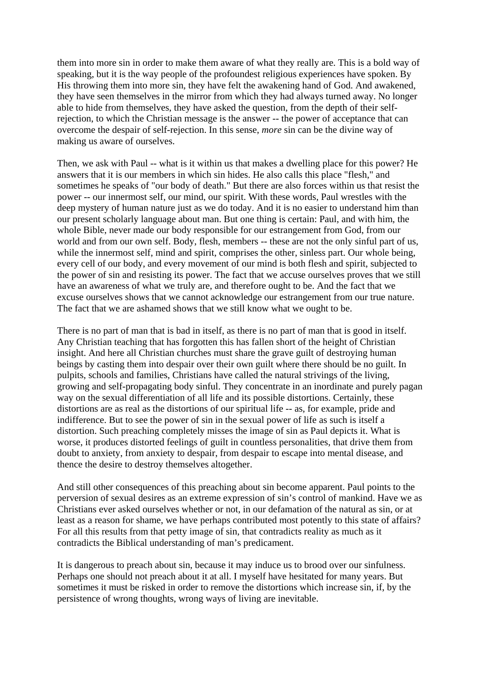them into more sin in order to make them aware of what they really are. This is a bold way of speaking, but it is the way people of the profoundest religious experiences have spoken. By His throwing them into more sin, they have felt the awakening hand of God. And awakened, they have seen themselves in the mirror from which they had always turned away. No longer able to hide from themselves, they have asked the question, from the depth of their selfrejection, to which the Christian message is the answer -- the power of acceptance that can overcome the despair of self-rejection. In this sense, *more* sin can be the divine way of making us aware of ourselves.

Then, we ask with Paul -- what is it within us that makes a dwelling place for this power? He answers that it is our members in which sin hides. He also calls this place "flesh," and sometimes he speaks of "our body of death." But there are also forces within us that resist the power -- our innermost self, our mind, our spirit. With these words, Paul wrestles with the deep mystery of human nature just as we do today. And it is no easier to understand him than our present scholarly language about man. But one thing is certain: Paul, and with him, the whole Bible, never made our body responsible for our estrangement from God, from our world and from our own self. Body, flesh, members -- these are not the only sinful part of us, while the innermost self, mind and spirit, comprises the other, sinless part. Our whole being, every cell of our body, and every movement of our mind is both flesh and spirit, subjected to the power of sin and resisting its power. The fact that we accuse ourselves proves that we still have an awareness of what we truly are, and therefore ought to be. And the fact that we excuse ourselves shows that we cannot acknowledge our estrangement from our true nature. The fact that we are ashamed shows that we still know what we ought to be.

There is no part of man that is bad in itself, as there is no part of man that is good in itself. Any Christian teaching that has forgotten this has fallen short of the height of Christian insight. And here all Christian churches must share the grave guilt of destroying human beings by casting them into despair over their own guilt where there should be no guilt. In pulpits, schools and families, Christians have called the natural strivings of the living, growing and self-propagating body sinful. They concentrate in an inordinate and purely pagan way on the sexual differentiation of all life and its possible distortions. Certainly, these distortions are as real as the distortions of our spiritual life -- as, for example, pride and indifference. But to see the power of sin in the sexual power of life as such is itself a distortion. Such preaching completely misses the image of sin as Paul depicts it. What is worse, it produces distorted feelings of guilt in countless personalities, that drive them from doubt to anxiety, from anxiety to despair, from despair to escape into mental disease, and thence the desire to destroy themselves altogether.

And still other consequences of this preaching about sin become apparent. Paul points to the perversion of sexual desires as an extreme expression of sin's control of mankind. Have we as Christians ever asked ourselves whether or not, in our defamation of the natural as sin, or at least as a reason for shame, we have perhaps contributed most potently to this state of affairs? For all this results from that petty image of sin, that contradicts reality as much as it contradicts the Biblical understanding of man's predicament.

It is dangerous to preach about sin, because it may induce us to brood over our sinfulness. Perhaps one should not preach about it at all. I myself have hesitated for many years. But sometimes it must be risked in order to remove the distortions which increase sin, if, by the persistence of wrong thoughts, wrong ways of living are inevitable.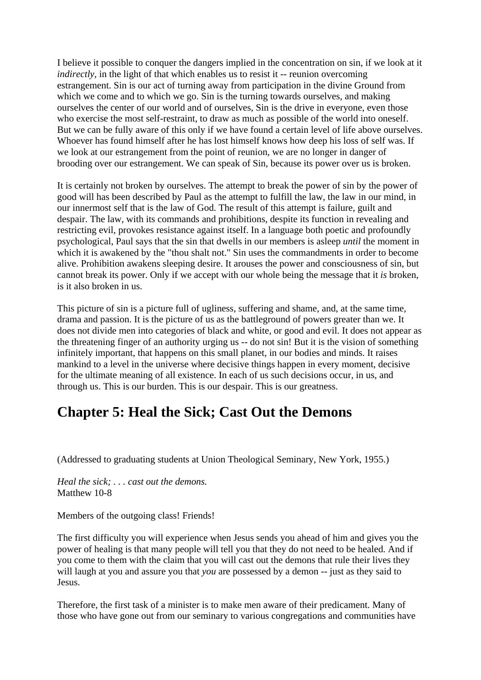I believe it possible to conquer the dangers implied in the concentration on sin, if we look at it *indirectly*, in the light of that which enables us to resist it -- reunion overcoming estrangement. Sin is our act of turning away from participation in the divine Ground from which we come and to which we go. Sin is the turning towards ourselves, and making ourselves the center of our world and of ourselves, Sin is the drive in everyone, even those who exercise the most self-restraint, to draw as much as possible of the world into oneself. But we can be fully aware of this only if we have found a certain level of life above ourselves. Whoever has found himself after he has lost himself knows how deep his loss of self was. If we look at our estrangement from the point of reunion, we are no longer in danger of brooding over our estrangement. We can speak of Sin, because its power over us is broken.

It is certainly not broken by ourselves. The attempt to break the power of sin by the power of good will has been described by Paul as the attempt to fulfill the law, the law in our mind, in our innermost self that is the law of God. The result of this attempt is failure, guilt and despair. The law, with its commands and prohibitions, despite its function in revealing and restricting evil, provokes resistance against itself. In a language both poetic and profoundly psychological, Paul says that the sin that dwells in our members is asleep *until* the moment in which it is awakened by the "thou shalt not." Sin uses the commandments in order to become alive. Prohibition awakens sleeping desire. It arouses the power and consciousness of sin, but cannot break its power. Only if we accept with our whole being the message that it *is* broken, is it also broken in us.

This picture of sin is a picture full of ugliness, suffering and shame, and, at the same time, drama and passion. It is the picture of us as the battleground of powers greater than we. It does not divide men into categories of black and white, or good and evil. It does not appear as the threatening finger of an authority urging us -- do not sin! But it is the vision of something infinitely important, that happens on this small planet, in our bodies and minds. It raises mankind to a level in the universe where decisive things happen in every moment, decisive for the ultimate meaning of all existence. In each of us such decisions occur, in us, and through us. This is our burden. This is our despair. This is our greatness.

# **Chapter 5: Heal the Sick; Cast Out the Demons**

(Addressed to graduating students at Union Theological Seminary, New York, 1955.)

*Heal the sick; . . . cast out the demons.*  Matthew 10-8

Members of the outgoing class! Friends!

The first difficulty you will experience when Jesus sends you ahead of him and gives you the power of healing is that many people will tell you that they do not need to be healed. And if you come to them with the claim that you will cast out the demons that rule their lives they will laugh at you and assure you that *you* are possessed by a demon -- just as they said to Jesus.

Therefore, the first task of a minister is to make men aware of their predicament. Many of those who have gone out from our seminary to various congregations and communities have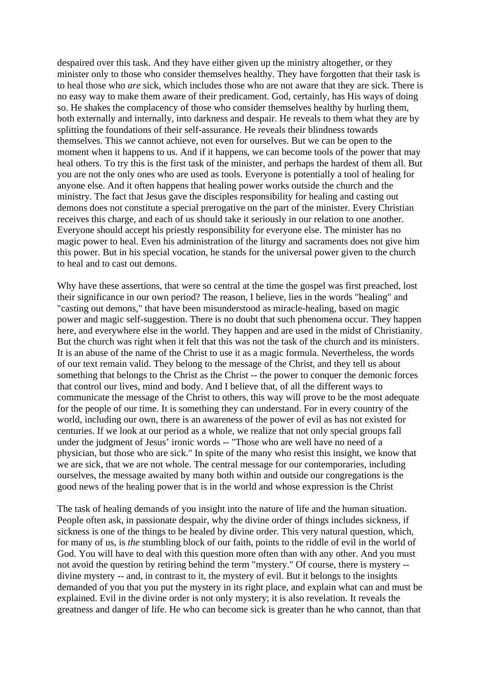despaired over this task. And they have either given up the ministry altogether, or they minister only to those who consider themselves healthy. They have forgotten that their task is to heal those who *are* sick, which includes those who are not aware that they are sick. There is no easy way to make them aware of their predicament. God, certainly, has His ways of doing so. He shakes the complacency of those who consider themselves healthy by hurling them, both externally and internally, into darkness and despair. He reveals to them what they are by splitting the foundations of their self-assurance. He reveals their blindness towards themselves. This *we* cannot achieve, not even for ourselves. But we can be open to the moment when it happens to us. And if it happens, we can become tools of the power that may heal others. To try this is the first task of the minister, and perhaps the hardest of them all. But you are not the only ones who are used as tools. Everyone is potentially a tool of healing for anyone else. And it often happens that healing power works outside the church and the ministry. The fact that Jesus gave the disciples responsibility for healing and casting out demons does not constitute a special prerogative on the part of the minister. Every Christian receives this charge, and each of us should take it seriously in our relation to one another. Everyone should accept his priestly responsibility for everyone else. The minister has no magic power to heal. Even his administration of the liturgy and sacraments does not give him this power. But in his special vocation, he stands for the universal power given to the church to heal and to cast out demons.

Why have these assertions, that were so central at the time the gospel was first preached, lost their significance in our own period? The reason, I believe, lies in the words "healing" and "casting out demons," that have been misunderstood as miracle-healing, based on magic power and magic self-suggestion. There is no doubt that such phenomena occur. They happen here, and everywhere else in the world. They happen and are used in the midst of Christianity. But the church was right when it felt that this was not the task of the church and its ministers. It is an abuse of the name of the Christ to use it as a magic formula. Nevertheless, the words of our text remain valid. They belong to the message of the Christ, and they tell us about something that belongs to the Christ as the Christ -- the power to conquer the demonic forces that control our lives, mind and body. And I believe that, of all the different ways to communicate the message of the Christ to others, this way will prove to be the most adequate for the people of our time. It is something they can understand. For in every country of the world, including our own, there is an awareness of the power of evil as has not existed for centuries. If we look at our period as a whole, we realize that not only special groups fall under the judgment of Jesus' ironic words -- "Those who are well have no need of a physician, but those who are sick." In spite of the many who resist this insight, we know that we are sick, that we are not whole. The central message for our contemporaries, including ourselves, the message awaited by many both within and outside our congregations is the good news of the healing power that is in the world and whose expression is the Christ

The task of healing demands of you insight into the nature of life and the human situation. People often ask, in passionate despair, why the divine order of things includes sickness, if sickness is one of the things to be healed by divine order. This very natural question, which, for many of us, is *the* stumbling block of our faith, points to the riddle of evil in the world of God. You will have to deal with this question more often than with any other. And you must not avoid the question by retiring behind the term "mystery." Of course, there is mystery - divine mystery -- and, in contrast to it, the mystery of evil. But it belongs to the insights demanded of you that you put the mystery in its right place, and explain what can and must be explained. Evil in the divine order is not only mystery; it is also revelation. It reveals the greatness and danger of life. He who can become sick is greater than he who cannot, than that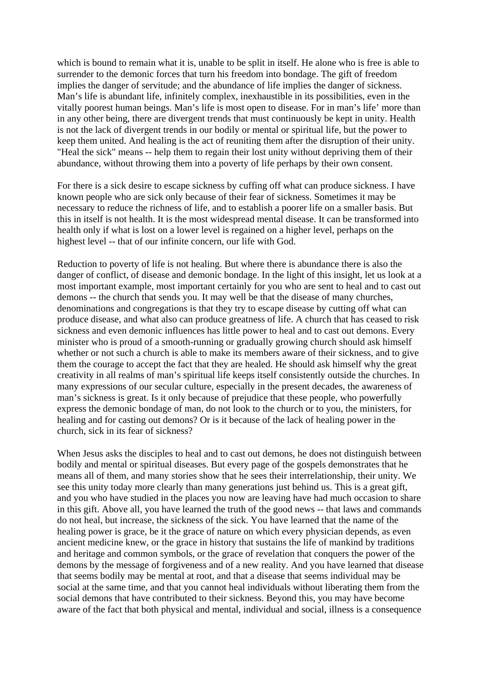which is bound to remain what it is, unable to be split in itself. He alone who is free is able to surrender to the demonic forces that turn his freedom into bondage. The gift of freedom implies the danger of servitude; and the abundance of life implies the danger of sickness. Man's life is abundant life, infinitely complex, inexhaustible in its possibilities, even in the vitally poorest human beings. Man's life is most open to disease. For in man's life' more than in any other being, there are divergent trends that must continuously be kept in unity. Health is not the lack of divergent trends in our bodily or mental or spiritual life, but the power to keep them united. And healing is the act of reuniting them after the disruption of their unity. "Heal the sick" means -- help them to regain their lost unity without depriving them of their abundance, without throwing them into a poverty of life perhaps by their own consent.

For there is a sick desire to escape sickness by cuffing off what can produce sickness. I have known people who are sick only because of their fear of sickness. Sometimes it may be necessary to reduce the richness of life, and to establish a poorer life on a smaller basis. But this in itself is not health. It is the most widespread mental disease. It can be transformed into health only if what is lost on a lower level is regained on a higher level, perhaps on the highest level -- that of our infinite concern, our life with God.

Reduction to poverty of life is not healing. But where there is abundance there is also the danger of conflict, of disease and demonic bondage. In the light of this insight, let us look at a most important example, most important certainly for you who are sent to heal and to cast out demons -- the church that sends you. It may well be that the disease of many churches, denominations and congregations is that they try to escape disease by cutting off what can produce disease, and what also can produce greatness of life. A church that has ceased to risk sickness and even demonic influences has little power to heal and to cast out demons. Every minister who is proud of a smooth-running or gradually growing church should ask himself whether or not such a church is able to make its members aware of their sickness, and to give them the courage to accept the fact that they are healed. He should ask himself why the great creativity in all realms of man's spiritual life keeps itself consistently outside the churches. In many expressions of our secular culture, especially in the present decades, the awareness of man's sickness is great. Is it only because of prejudice that these people, who powerfully express the demonic bondage of man, do not look to the church or to you, the ministers, for healing and for casting out demons? Or is it because of the lack of healing power in the church, sick in its fear of sickness?

When Jesus asks the disciples to heal and to cast out demons, he does not distinguish between bodily and mental or spiritual diseases. But every page of the gospels demonstrates that he means all of them, and many stories show that he sees their interrelationship, their unity. We see this unity today more clearly than many generations just behind us. This is a great gift, and you who have studied in the places you now are leaving have had much occasion to share in this gift. Above all, you have learned the truth of the good news -- that laws and commands do not heal, but increase, the sickness of the sick. You have learned that the name of the healing power is grace, be it the grace of nature on which every physician depends, as even ancient medicine knew, or the grace in history that sustains the life of mankind by traditions and heritage and common symbols, or the grace of revelation that conquers the power of the demons by the message of forgiveness and of a new reality. And you have learned that disease that seems bodily may be mental at root, and that a disease that seems individual may be social at the same time, and that you cannot heal individuals without liberating them from the social demons that have contributed to their sickness. Beyond this, you may have become aware of the fact that both physical and mental, individual and social, illness is a consequence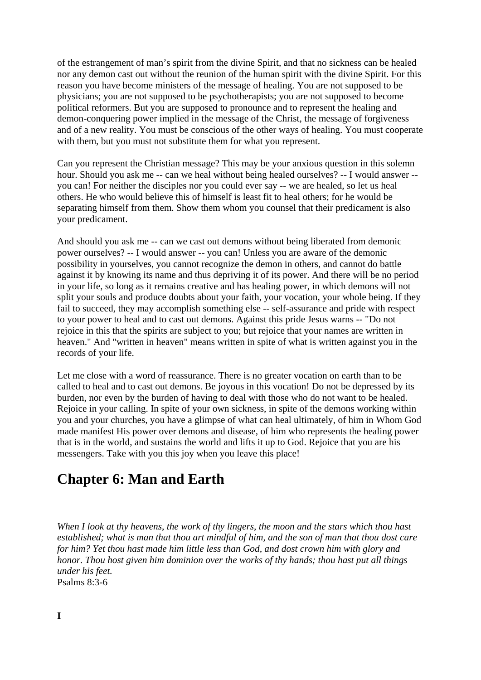of the estrangement of man's spirit from the divine Spirit, and that no sickness can be healed nor any demon cast out without the reunion of the human spirit with the divine Spirit. For this reason you have become ministers of the message of healing. You are not supposed to be physicians; you are not supposed to be psychotherapists; you are not supposed to become political reformers. But you are supposed to pronounce and to represent the healing and demon-conquering power implied in the message of the Christ, the message of forgiveness and of a new reality. You must be conscious of the other ways of healing. You must cooperate with them, but you must not substitute them for what you represent.

Can you represent the Christian message? This may be your anxious question in this solemn hour. Should you ask me -- can we heal without being healed ourselves? -- I would answer - you can! For neither the disciples nor you could ever say -- we are healed, so let us heal others. He who would believe this of himself is least fit to heal others; for he would be separating himself from them. Show them whom you counsel that their predicament is also your predicament.

And should you ask me -- can we cast out demons without being liberated from demonic power ourselves? -- I would answer -- you can! Unless you are aware of the demonic possibility in yourselves, you cannot recognize the demon in others, and cannot do battle against it by knowing its name and thus depriving it of its power. And there will be no period in your life, so long as it remains creative and has healing power, in which demons will not split your souls and produce doubts about your faith, your vocation, your whole being. If they fail to succeed, they may accomplish something else -- self-assurance and pride with respect to your power to heal and to cast out demons. Against this pride Jesus warns -- "Do not rejoice in this that the spirits are subject to you; but rejoice that your names are written in heaven." And "written in heaven" means written in spite of what is written against you in the records of your life.

Let me close with a word of reassurance. There is no greater vocation on earth than to be called to heal and to cast out demons. Be joyous in this vocation! Do not be depressed by its burden, nor even by the burden of having to deal with those who do not want to be healed. Rejoice in your calling. In spite of your own sickness, in spite of the demons working within you and your churches, you have a glimpse of what can heal ultimately, of him in Whom God made manifest His power over demons and disease, of him who represents the healing power that is in the world, and sustains the world and lifts it up to God. Rejoice that you are his messengers. Take with you this joy when you leave this place!

# **Chapter 6: Man and Earth**

*When I look at thy heavens*, *the work of thy lingers, the moon and the stars which thou hast established; what is man that thou art mindful of him, and the son of man that thou dost care for him? Yet thou hast made him little less than God, and dost crown him with glory and honor. Thou host given him dominion over the works of thy hands; thou hast put all things under his feet.*  Psalms 8:3-6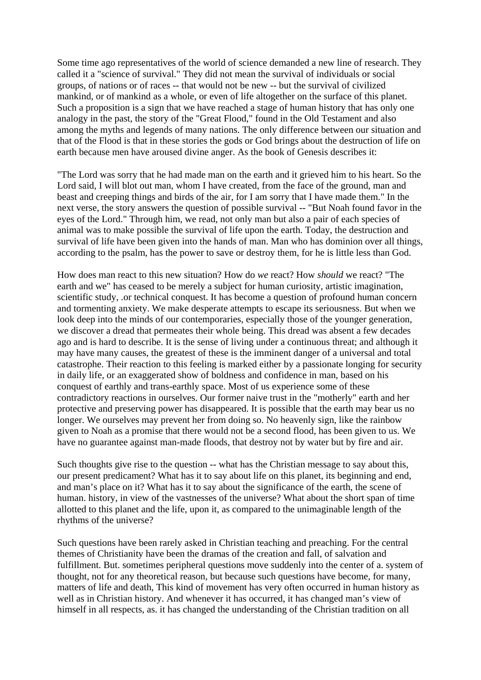Some time ago representatives of the world of science demanded a new line of research. They called it a "science of survival." They did not mean the survival of individuals or social groups, of nations or of races -- that would not be new -- but the survival of civilized mankind, or of mankind as a whole, or even of life altogether on the surface of this planet. Such a proposition is a sign that we have reached a stage of human history that has only one analogy in the past, the story of the "Great Flood," found in the Old Testament and also among the myths and legends of many nations. The only difference between our situation and that of the Flood is that in these stories the gods or God brings about the destruction of life on earth because men have aroused divine anger. As the book of Genesis describes it:

"The Lord was sorry that he had made man on the earth and it grieved him to his heart. So the Lord said, I will blot out man, whom I have created, from the face of the ground, man and beast and creeping things and birds of the air, for I am sorry that I have made them." In the next verse, the story answers the question of possible survival -- "But Noah found favor in the eyes of the Lord." Through him, we read, not only man but also a pair of each species of animal was to make possible the survival of life upon the earth. Today, the destruction and survival of life have been given into the hands of man. Man who has dominion over all things, according to the psalm, has the power to save or destroy them, for he is little less than God.

How does man react to this new situation? How do *we* react? How *should* we react? "The earth and we" has ceased to be merely a subject for human curiosity, artistic imagination, scientific study, .or technical conquest. It has become a question of profound human concern and tormenting anxiety. We make desperate attempts to escape its seriousness. But when we look deep into the minds of our contemporaries, especially those of the younger generation, we discover a dread that permeates their whole being. This dread was absent a few decades ago and is hard to describe. It is the sense of living under a continuous threat; and although it may have many causes, the greatest of these is the imminent danger of a universal and total catastrophe. Their reaction to this feeling is marked either by a passionate longing for security in daily life, or an exaggerated show of boldness and confidence in man, based on his conquest of earthly and trans-earthly space. Most of us experience some of these contradictory reactions in ourselves. Our former naive trust in the "motherly" earth and her protective and preserving power has disappeared. It is possible that the earth may bear us no longer. We ourselves may prevent her from doing so. No heavenly sign, like the rainbow given to Noah as a promise that there would not be a second flood, has been given to us. We have no guarantee against man-made floods, that destroy not by water but by fire and air.

Such thoughts give rise to the question -- what has the Christian message to say about this, our present predicament? What has it to say about life on this planet, its beginning and end, and man's place on it? What has it to say about the significance of the earth, the scene of human. history, in view of the vastnesses of the universe? What about the short span of time allotted to this planet and the life, upon it, as compared to the unimaginable length of the rhythms of the universe?

Such questions have been rarely asked in Christian teaching and preaching. For the central themes of Christianity have been the dramas of the creation and fall, of salvation and fulfillment. But. sometimes peripheral questions move suddenly into the center of a. system of thought, not for any theoretical reason, but because such questions have become, for many, matters of life and death, This kind of movement has very often occurred in human history as well as in Christian history. And whenever it has occurred, it has changed man's view of himself in all respects, as. it has changed the understanding of the Christian tradition on all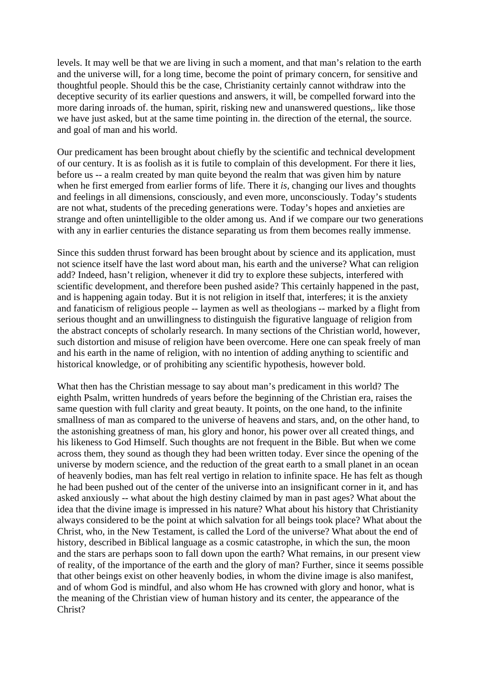levels. It may well be that we are living in such a moment, and that man's relation to the earth and the universe will, for a long time, become the point of primary concern, for sensitive and thoughtful people. Should this be the case, Christianity certainly cannot withdraw into the deceptive security of its earlier questions and answers, it will, be compelled forward into the more daring inroads of. the human, spirit, risking new and unanswered questions,. like those we have just asked, but at the same time pointing in. the direction of the eternal, the source. and goal of man and his world.

Our predicament has been brought about chiefly by the scientific and technical development of our century. It is as foolish as it is futile to complain of this development. For there it lies, before us -- a realm created by man quite beyond the realm that was given him by nature when he first emerged from earlier forms of life. There it *is,* changing our lives and thoughts and feelings in all dimensions, consciously, and even more, unconsciously. Today's students are not what, students of the preceding generations were. Today's hopes and anxieties are strange and often unintelligible to the older among us. And if we compare our two generations with any in earlier centuries the distance separating us from them becomes really immense.

Since this sudden thrust forward has been brought about by science and its application, must not science itself have the last word about man, his earth and the universe? What can religion add? Indeed, hasn't religion, whenever it did try to explore these subjects, interfered with scientific development, and therefore been pushed aside? This certainly happened in the past, and is happening again today. But it is not religion in itself that, interferes; it is the anxiety and fanaticism of religious people -- laymen as well as theologians -- marked by a flight from serious thought and an unwillingness to distinguish the figurative language of religion from the abstract concepts of scholarly research. In many sections of the Christian world, however, such distortion and misuse of religion have been overcome. Here one can speak freely of man and his earth in the name of religion, with no intention of adding anything to scientific and historical knowledge, or of prohibiting any scientific hypothesis, however bold.

What then has the Christian message to say about man's predicament in this world? The eighth Psalm, written hundreds of years before the beginning of the Christian era, raises the same question with full clarity and great beauty. It points, on the one hand, to the infinite smallness of man as compared to the universe of heavens and stars, and, on the other hand, to the astonishing greatness of man, his glory and honor, his power over all created things, and his likeness to God Himself. Such thoughts are not frequent in the Bible. But when we come across them, they sound as though they had been written today. Ever since the opening of the universe by modern science, and the reduction of the great earth to a small planet in an ocean of heavenly bodies, man has felt real vertigo in relation to infinite space. He has felt as though he had been pushed out of the center of the universe into an insignificant corner in it, and has asked anxiously -- what about the high destiny claimed by man in past ages? What about the idea that the divine image is impressed in his nature? What about his history that Christianity always considered to be the point at which salvation for all beings took place? What about the Christ, who, in the New Testament, is called the Lord of the universe? What about the end of history, described in Biblical language as a cosmic catastrophe, in which the sun, the moon and the stars are perhaps soon to fall down upon the earth? What remains, in our present view of reality, of the importance of the earth and the glory of man? Further, since it seems possible that other beings exist on other heavenly bodies, in whom the divine image is also manifest, and of whom God is mindful, and also whom He has crowned with glory and honor, what is the meaning of the Christian view of human history and its center, the appearance of the Christ?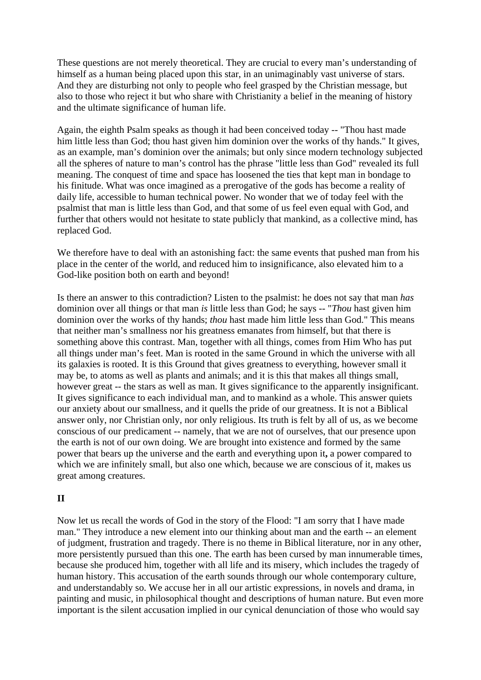These questions are not merely theoretical. They are crucial to every man's understanding of himself as a human being placed upon this star, in an unimaginably vast universe of stars. And they are disturbing not only to people who feel grasped by the Christian message, but also to those who reject it but who share with Christianity a belief in the meaning of history and the ultimate significance of human life.

Again, the eighth Psalm speaks as though it had been conceived today -- "Thou hast made him little less than God; thou hast given him dominion over the works of thy hands." It gives, as an example, man's dominion over the animals; but only since modern technology subjected all the spheres of nature to man's control has the phrase "little less than God" revealed its full meaning. The conquest of time and space has loosened the ties that kept man in bondage to his finitude. What was once imagined as a prerogative of the gods has become a reality of daily life, accessible to human technical power. No wonder that we of today feel with the psalmist that man is little less than God, and that some of us feel even equal with God, and further that others would not hesitate to state publicly that mankind, as a collective mind, has replaced God.

We therefore have to deal with an astonishing fact: the same events that pushed man from his place in the center of the world, and reduced him to insignificance, also elevated him to a God-like position both on earth and beyond!

Is there an answer to this contradiction? Listen to the psalmist: he does not say that man *has*  dominion over all things or that man *is* little less than God; he says -- "*Thou* hast given him dominion over the works of thy hands; *thou* hast made him little less than God." This means that neither man's smallness nor his greatness emanates from himself, but that there is something above this contrast. Man, together with all things, comes from Him Who has put all things under man's feet. Man is rooted in the same Ground in which the universe with all its galaxies is rooted. It is this Ground that gives greatness to everything, however small it may be, to atoms as well as plants and animals; and it is this that makes all things small, however great -- the stars as well as man. It gives significance to the apparently insignificant. It gives significance to each individual man, and to mankind as a whole. This answer quiets our anxiety about our smallness, and it quells the pride of our greatness. It is not a Biblical answer only, nor Christian only, nor only religious. Its truth is felt by all of us, as we become conscious of our predicament -- namely, that we are not of ourselves, that our presence upon the earth is not of our own doing. We are brought into existence and formed by the same power that bears up the universe and the earth and everything upon it**,** a power compared to which we are infinitely small, but also one which, because we are conscious of it, makes us great among creatures.

#### **II**

Now let us recall the words of God in the story of the Flood: "I am sorry that I have made man." They introduce a new element into our thinking about man and the earth -- an element of judgment, frustration and tragedy. There is no theme in Biblical literature, nor in any other, more persistently pursued than this one. The earth has been cursed by man innumerable times, because she produced him, together with all life and its misery, which includes the tragedy of human history. This accusation of the earth sounds through our whole contemporary culture, and understandably so. We accuse her in all our artistic expressions, in novels and drama, in painting and music, in philosophical thought and descriptions of human nature. But even more important is the silent accusation implied in our cynical denunciation of those who would say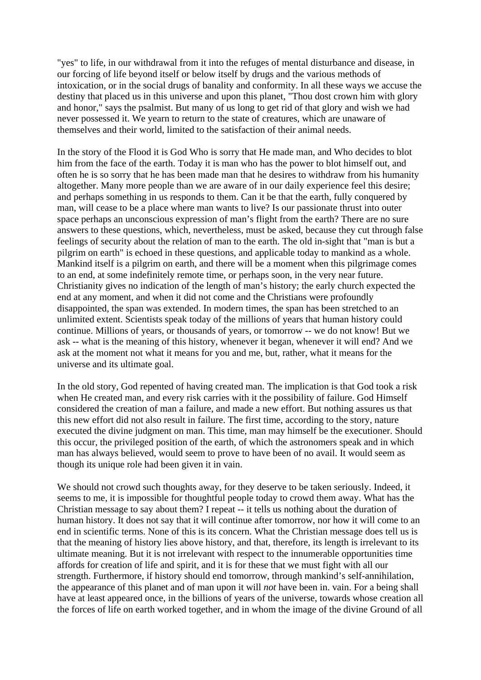"yes" to life, in our withdrawal from it into the refuges of mental disturbance and disease, in our forcing of life beyond itself or below itself by drugs and the various methods of intoxication, or in the social drugs of banality and conformity. In all these ways we accuse the destiny that placed us in this universe and upon this planet, "Thou dost crown him with glory and honor," says the psalmist. But many of us long to get rid of that glory and wish we had never possessed it. We yearn to return to the state of creatures, which are unaware of themselves and their world, limited to the satisfaction of their animal needs.

In the story of the Flood it is God Who is sorry that He made man, and Who decides to blot him from the face of the earth. Today it is man who has the power to blot himself out, and often he is so sorry that he has been made man that he desires to withdraw from his humanity altogether. Many more people than we are aware of in our daily experience feel this desire; and perhaps something in us responds to them. Can it be that the earth, fully conquered by man, will cease to be a place where man wants to live? Is our passionate thrust into outer space perhaps an unconscious expression of man's flight from the earth? There are no sure answers to these questions, which, nevertheless, must be asked, because they cut through false feelings of security about the relation of man to the earth. The old in-sight that "man is but a pilgrim on earth" is echoed in these questions, and applicable today to mankind as a whole. Mankind itself is a pilgrim on earth, and there will be a moment when this pilgrimage comes to an end, at some indefinitely remote time, or perhaps soon, in the very near future. Christianity gives no indication of the length of man's history; the early church expected the end at any moment, and when it did not come and the Christians were profoundly disappointed, the span was extended. In modern times, the span has been stretched to an unlimited extent. Scientists speak today of the millions of years that human history could continue. Millions of years, or thousands of years, or tomorrow -- we do not know! But we ask -- what is the meaning of this history, whenever it began, whenever it will end? And we ask at the moment not what it means for you and me, but, rather, what it means for the universe and its ultimate goal.

In the old story, God repented of having created man. The implication is that God took a risk when He created man, and every risk carries with it the possibility of failure. God Himself considered the creation of man a failure, and made a new effort. But nothing assures us that this new effort did not also result in failure. The first time, according to the story, nature executed the divine judgment on man. This time, man may himself be the executioner. Should this occur, the privileged position of the earth, of which the astronomers speak and in which man has always believed, would seem to prove to have been of no avail. It would seem as though its unique role had been given it in vain.

We should not crowd such thoughts away, for they deserve to be taken seriously. Indeed, it seems to me, it is impossible for thoughtful people today to crowd them away. What has the Christian message to say about them? I repeat -- it tells us nothing about the duration of human history. It does not say that it will continue after tomorrow, nor how it will come to an end in scientific terms. None of this is its concern. What the Christian message does tell us is that the meaning of history lies above history, and that, therefore, its length is irrelevant to its ultimate meaning. But it is not irrelevant with respect to the innumerable opportunities time affords for creation of life and spirit, and it is for these that we must fight with all our strength. Furthermore, if history should end tomorrow, through mankind's self-annihilation, the appearance of this planet and of man upon it will *not* have been in. vain. For a being shall have at least appeared once, in the billions of years of the universe, towards whose creation all the forces of life on earth worked together, and in whom the image of the divine Ground of all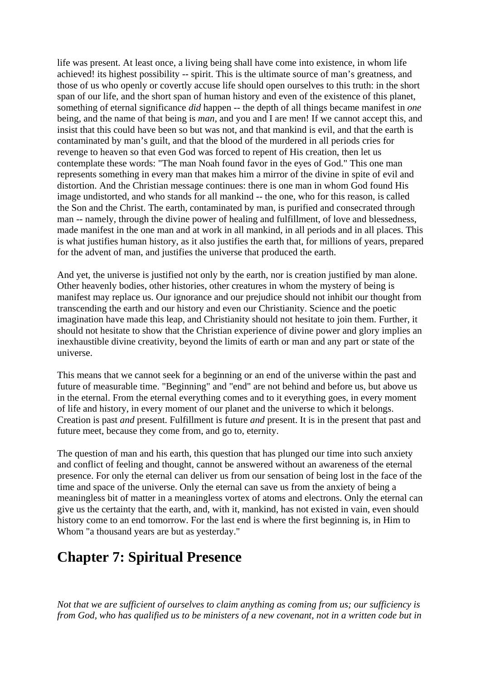life was present. At least once, a living being shall have come into existence, in whom life achieved! its highest possibility -- spirit. This is the ultimate source of man's greatness, and those of us who openly or covertly accuse life should open ourselves to this truth: in the short span of our life, and the short span of human history and even of the existence of this planet, something of eternal significance *did* happen -- the depth of all things became manifest in *one*  being, and the name of that being is *man,* and you and I are men! If we cannot accept this, and insist that this could have been so but was not, and that mankind is evil, and that the earth is contaminated by man's guilt, and that the blood of the murdered in all periods cries for revenge to heaven so that even God was forced to repent of His creation, then let us contemplate these words: "The man Noah found favor in the eyes of God." This one man represents something in every man that makes him a mirror of the divine in spite of evil and distortion. And the Christian message continues: there is one man in whom God found His image undistorted, and who stands for all mankind -- the one, who for this reason, is called the Son and the Christ. The earth, contaminated by man, is purified and consecrated through man -- namely, through the divine power of healing and fulfillment, of love and blessedness, made manifest in the one man and at work in all mankind, in all periods and in all places. This is what justifies human history, as it also justifies the earth that, for millions of years, prepared for the advent of man, and justifies the universe that produced the earth.

And yet, the universe is justified not only by the earth, nor is creation justified by man alone. Other heavenly bodies, other histories, other creatures in whom the mystery of being is manifest may replace us. Our ignorance and our prejudice should not inhibit our thought from transcending the earth and our history and even our Christianity. Science and the poetic imagination have made this leap, and Christianity should not hesitate to join them. Further, it should not hesitate to show that the Christian experience of divine power and glory implies an inexhaustible divine creativity, beyond the limits of earth or man and any part or state of the universe.

This means that we cannot seek for a beginning or an end of the universe within the past and future of measurable time. "Beginning" and "end" are not behind and before us, but above us in the eternal. From the eternal everything comes and to it everything goes, in every moment of life and history, in every moment of our planet and the universe to which it belongs. Creation is past *and* present. Fulfillment is future *and* present. It is in the present that past and future meet, because they come from, and go to, eternity.

The question of man and his earth, this question that has plunged our time into such anxiety and conflict of feeling and thought, cannot be answered without an awareness of the eternal presence. For only the eternal can deliver us from our sensation of being lost in the face of the time and space of the universe. Only the eternal can save us from the anxiety of being a meaningless bit of matter in a meaningless vortex of atoms and electrons. Only the eternal can give us the certainty that the earth, and, with it, mankind, has not existed in vain, even should history come to an end tomorrow. For the last end is where the first beginning is, in Him to Whom "a thousand years are but as yesterday."

### **Chapter 7: Spiritual Presence**

*Not that we are sufficient of ourselves to claim anything as coming from us; our sufficiency is from God, who has qualified us to be ministers of a new covenant, not in a written code but in*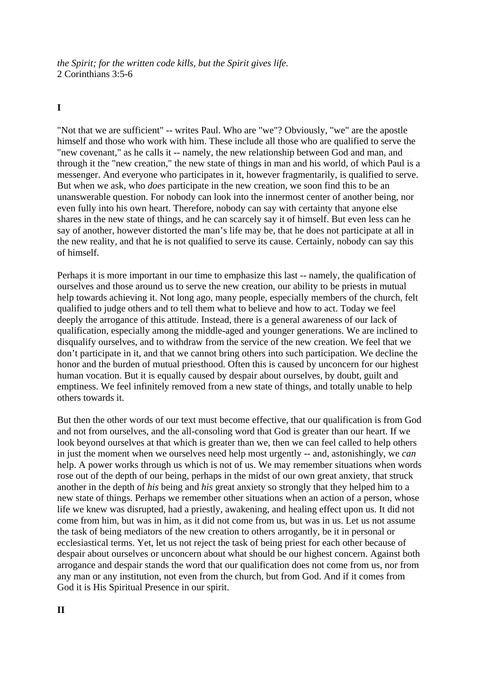*the Spirit; for the written code kills, but the Spirit gives life.*  2 Corinthians 3:5-6

#### **I**

"Not that we are sufficient" -- writes Paul. Who are "we"? Obviously, "we" are the apostle himself and those who work with him. These include all those who are qualified to serve the "new covenant," as he calls it -- namely, the new relationship between God and man, and through it the "new creation," the new state of things in man and his world, of which Paul is a messenger. And everyone who participates in it, however fragmentarily, is qualified to serve. But when we ask, who *does* participate in the new creation, we soon find this to be an unanswerable question. For nobody can look into the innermost center of another being, nor even fully into his own heart. Therefore, nobody can say with certainty that anyone else shares in the new state of things, and he can scarcely say it of himself. But even less can he say of another, however distorted the man's life may be, that he does not participate at all in the new reality, and that he is not qualified to serve its cause. Certainly, nobody can say this of himself.

Perhaps it is more important in our time to emphasize this last -- namely, the qualification of ourselves and those around us to serve the new creation, our ability to be priests in mutual help towards achieving it. Not long ago, many people, especially members of the church, felt qualified to judge others and to tell them what to believe and how to act. Today we feel deeply the arrogance of this attitude. Instead, there is a general awareness of our lack of qualification, especially among the middle-aged and younger generations. We are inclined to disqualify ourselves, and to withdraw from the service of the new creation. We feel that we don't participate in it, and that we cannot bring others into such participation. We decline the honor and the burden of mutual priesthood. Often this is caused by unconcern for our highest human vocation. But it is equally caused by despair about ourselves, by doubt, guilt and emptiness. We feel infinitely removed from a new state of things, and totally unable to help others towards it.

But then the other words of our text must become effective, that our qualification is from God and not from ourselves, and the all-consoling word that God is greater than our heart. If we look beyond ourselves at that which is greater than we, then we can feel called to help others in just the moment when we ourselves need help most urgently -- and, astonishingly, we *can*  help. A power works through us which is not of us. We may remember situations when words rose out of the depth of our being, perhaps in the midst of our own great anxiety, that struck another in the depth of *his* being and *his* great anxiety so strongly that they helped him to a new state of things. Perhaps we remember other situations when an action of a person, whose life we knew was disrupted, had a priestly, awakening, and healing effect upon us. It did not come from him, but was in him, as it did not come from us, but was in us. Let us not assume the task of being mediators of the new creation to others arrogantly, be it in personal or ecclesiastical terms. Yet, let us not reject the task of being priest for each other because of despair about ourselves or unconcern about what should be our highest concern. Against both arrogance and despair stands the word that our qualification does not come from us, nor from any man or any institution, not even from the church, but from God. And if it comes from God it is His Spiritual Presence in our spirit.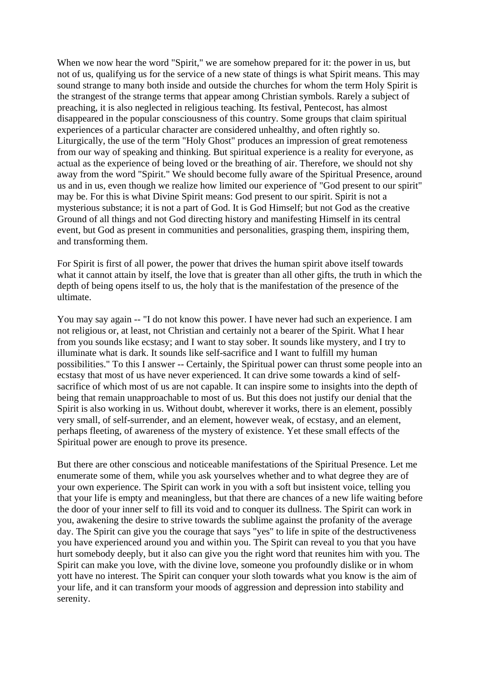When we now hear the word "Spirit," we are somehow prepared for it: the power in us, but not of us, qualifying us for the service of a new state of things is what Spirit means. This may sound strange to many both inside and outside the churches for whom the term Holy Spirit is the strangest of the strange terms that appear among Christian symbols. Rarely a subject of preaching, it is also neglected in religious teaching. Its festival, Pentecost, has almost disappeared in the popular consciousness of this country. Some groups that claim spiritual experiences of a particular character are considered unhealthy, and often rightly so. Liturgically, the use of the term "Holy Ghost" produces an impression of great remoteness from our way of speaking and thinking. But spiritual experience is a reality for everyone, as actual as the experience of being loved or the breathing of air. Therefore, we should not shy away from the word "Spirit." We should become fully aware of the Spiritual Presence, around us and in us, even though we realize how limited our experience of "God present to our spirit" may be. For this is what Divine Spirit means: God present to our spirit. Spirit is not a mysterious substance; it is not a part of God. It is God Himself; but not God as the creative Ground of all things and not God directing history and manifesting Himself in its central event, but God as present in communities and personalities, grasping them, inspiring them, and transforming them.

For Spirit is first of all power, the power that drives the human spirit above itself towards what it cannot attain by itself, the love that is greater than all other gifts, the truth in which the depth of being opens itself to us, the holy that is the manifestation of the presence of the ultimate.

You may say again -- "I do not know this power. I have never had such an experience. I am not religious or, at least, not Christian and certainly not a bearer of the Spirit. What I hear from you sounds like ecstasy; and I want to stay sober. It sounds like mystery, and I try to illuminate what is dark. It sounds like self-sacrifice and I want to fulfill my human possibilities." To this I answer -- Certainly, the Spiritual power can thrust some people into an ecstasy that most of us have never experienced. It can drive some towards a kind of selfsacrifice of which most of us are not capable. It can inspire some to insights into the depth of being that remain unapproachable to most of us. But this does not justify our denial that the Spirit is also working in us. Without doubt, wherever it works, there is an element, possibly very small, of self-surrender, and an element, however weak, of ecstasy, and an element, perhaps fleeting, of awareness of the mystery of existence. Yet these small effects of the Spiritual power are enough to prove its presence.

But there are other conscious and noticeable manifestations of the Spiritual Presence. Let me enumerate some of them, while you ask yourselves whether and to what degree they are of your own experience. The Spirit can work in you with a soft but insistent voice, telling you that your life is empty and meaningless, but that there are chances of a new life waiting before the door of your inner self to fill its void and to conquer its dullness. The Spirit can work in you, awakening the desire to strive towards the sublime against the profanity of the average day. The Spirit can give you the courage that says "yes" to life in spite of the destructiveness you have experienced around you and within you. The Spirit can reveal to you that you have hurt somebody deeply, but it also can give you the right word that reunites him with you. The Spirit can make you love, with the divine love, someone you profoundly dislike or in whom yott have no interest. The Spirit can conquer your sloth towards what you know is the aim of your life, and it can transform your moods of aggression and depression into stability and serenity.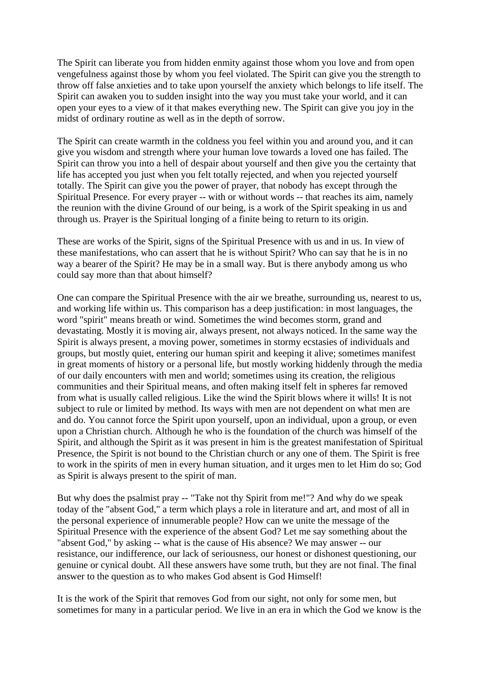The Spirit can liberate you from hidden enmity against those whom you love and from open vengefulness against those by whom you feel violated. The Spirit can give you the strength to throw off false anxieties and to take upon yourself the anxiety which belongs to life itself. The Spirit can awaken you to sudden insight into the way you must take your world, and it can open your eyes to a view of it that makes everything new. The Spirit can give you joy in the midst of ordinary routine as well as in the depth of sorrow.

The Spirit can create warmth in the coldness you feel within you and around you, and it can give you wisdom and strength where your human love towards a loved one has failed. The Spirit can throw you into a hell of despair about yourself and then give you the certainty that life has accepted you just when you felt totally rejected, and when you rejected yourself totally. The Spirit can give you the power of prayer, that nobody has except through the Spiritual Presence. For every prayer -- with or without words -- that reaches its aim, namely the reunion with the divine Ground of our being, is a work of the Spirit speaking in us and through us. Prayer is the Spiritual longing of a finite being to return to its origin.

These are works of the Spirit, signs of the Spiritual Presence with us and in us. In view of these manifestations, who can assert that he is without Spirit? Who can say that he is in no way a bearer of the Spirit? He may be in a small way. But is there anybody among us who could say more than that about himself?

One can compare the Spiritual Presence with the air we breathe, surrounding us, nearest to us, and working life within us. This comparison has a deep justification: in most languages, the word "spirit" means breath or wind. Sometimes the wind becomes storm, grand and devastating. Mostly it is moving air, always present, not always noticed. In the same way the Spirit is always present, a moving power, sometimes in stormy ecstasies of individuals and groups, but mostly quiet, entering our human spirit and keeping it alive; sometimes manifest in great moments of history or a personal life, but mostly working hiddenly through the media of our daily encounters with men and world; sometimes using its creation, the religious communities and their Spiritual means, and often making itself felt in spheres far removed from what is usually called religious. Like the wind the Spirit blows where it wills! It is not subject to rule or limited by method. Its ways with men are not dependent on what men are and do. You cannot force the Spirit upon yourself, upon an individual, upon a group, or even upon a Christian church. Although he who is the foundation of the church was himself of the Spirit, and although the Spirit as it was present in him is the greatest manifestation of Spiritual Presence, the Spirit is not bound to the Christian church or any one of them. The Spirit is free to work in the spirits of men in every human situation, and it urges men to let Him do so; God as Spirit is always present to the spirit of man.

But why does the psalmist pray -- "Take not thy Spirit from me!"? And why do we speak today of the "absent God," a term which plays a role in literature and art, and most of all in the personal experience of innumerable people? How can we unite the message of the Spiritual Presence with the experience of the absent God? Let me say something about the "absent God," by asking -- what is the cause of His absence? We may answer -- our resistance, our indifference, our lack of seriousness, our honest or dishonest questioning, our genuine or cynical doubt. All these answers have some truth, but they are not final. The final answer to the question as to who makes God absent is God Himself!

It is the work of the Spirit that removes God from our sight, not only for some men, but sometimes for many in a particular period. We live in an era in which the God we know is the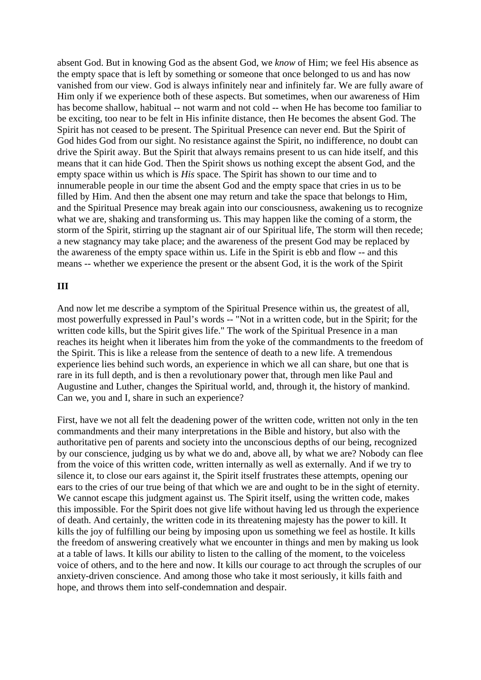absent God. But in knowing God as the absent God, we *know* of Him; we feel His absence as the empty space that is left by something or someone that once belonged to us and has now vanished from our view. God is always infinitely near and infinitely far. We are fully aware of Him only if we experience both of these aspects. But sometimes, when our awareness of Him has become shallow, habitual -- not warm and not cold -- when He has become too familiar to be exciting, too near to be felt in His infinite distance, then He becomes the absent God. The Spirit has not ceased to be present. The Spiritual Presence can never end. But the Spirit of God hides God from our sight. No resistance against the Spirit, no indifference, no doubt can drive the Spirit away. But the Spirit that always remains present to us can hide itself, and this means that it can hide God. Then the Spirit shows us nothing except the absent God, and the empty space within us which is *His* space. The Spirit has shown to our time and to innumerable people in our time the absent God and the empty space that cries in us to be filled by Him. And then the absent one may return and take the space that belongs to Him, and the Spiritual Presence may break again into our consciousness, awakening us to recognize what we are, shaking and transforming us. This may happen like the coming of a storm, the storm of the Spirit, stirring up the stagnant air of our Spiritual life, The storm will then recede; a new stagnancy may take place; and the awareness of the present God may be replaced by the awareness of the empty space within us. Life in the Spirit is ebb and flow -- and this means -- whether we experience the present or the absent God, it is the work of the Spirit

#### **III**

And now let me describe a symptom of the Spiritual Presence within us, the greatest of all, most powerfully expressed in Paul's words -- "Not in a written code, but in the Spirit; for the written code kills, but the Spirit gives life." The work of the Spiritual Presence in a man reaches its height when it liberates him from the yoke of the commandments to the freedom of the Spirit. This is like a release from the sentence of death to a new life. A tremendous experience lies behind such words, an experience in which we all can share, but one that is rare in its full depth, and is then a revolutionary power that, through men like Paul and Augustine and Luther, changes the Spiritual world, and, through it, the history of mankind. Can we, you and I, share in such an experience?

First, have we not all felt the deadening power of the written code, written not only in the ten commandments and their many interpretations in the Bible and history, but also with the authoritative pen of parents and society into the unconscious depths of our being, recognized by our conscience, judging us by what we do and, above all, by what we are? Nobody can flee from the voice of this written code, written internally as well as externally. And if we try to silence it, to close our ears against it, the Spirit itself frustrates these attempts, opening our ears to the cries of our true being of that which we are and ought to be in the sight of eternity. We cannot escape this judgment against us. The Spirit itself, using the written code, makes this impossible. For the Spirit does not give life without having led us through the experience of death. And certainly, the written code in its threatening majesty has the power to kill. It kills the joy of fulfilling our being by imposing upon us something we feel as hostile. It kills the freedom of answering creatively what we encounter in things and men by making us look at a table of laws. It kills our ability to listen to the calling of the moment, to the voiceless voice of others, and to the here and now. It kills our courage to act through the scruples of our anxiety-driven conscience. And among those who take it most seriously, it kills faith and hope, and throws them into self-condemnation and despair.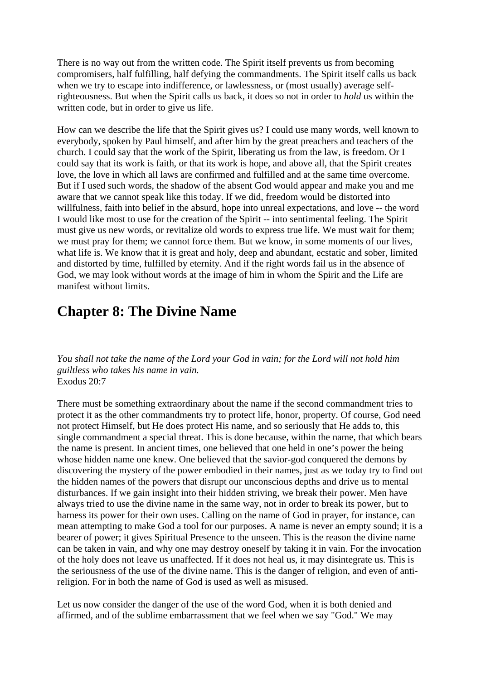There is no way out from the written code. The Spirit itself prevents us from becoming compromisers, half fulfilling, half defying the commandments. The Spirit itself calls us back when we try to escape into indifference, or lawlessness, or (most usually) average selfrighteousness. But when the Spirit calls us back, it does so not in order to *hold* us within the written code, but in order to give us life.

How can we describe the life that the Spirit gives us? I could use many words, well known to everybody, spoken by Paul himself, and after him by the great preachers and teachers of the church. I could say that the work of the Spirit, liberating us from the law, is freedom. Or I could say that its work is faith, or that its work is hope, and above all, that the Spirit creates love, the love in which all laws are confirmed and fulfilled and at the same time overcome. But if I used such words, the shadow of the absent God would appear and make you and me aware that we cannot speak like this today. If we did, freedom would be distorted into willfulness, faith into belief in the absurd, hope into unreal expectations, and love -- the word I would like most to use for the creation of the Spirit -- into sentimental feeling. The Spirit must give us new words, or revitalize old words to express true life. We must wait for them; we must pray for them; we cannot force them. But we know, in some moments of our lives, what life is. We know that it is great and holy, deep and abundant, ecstatic and sober, limited and distorted by time, fulfilled by eternity. And if the right words fail us in the absence of God, we may look without words at the image of him in whom the Spirit and the Life are manifest without limits.

### **Chapter 8: The Divine Name**

*You shall not take the name of the Lord your God in vain; for the Lord will not hold him guiltless who takes his name in vain.*  Exodus 20:7

There must be something extraordinary about the name if the second commandment tries to protect it as the other commandments try to protect life, honor, property. Of course, God need not protect Himself, but He does protect His name, and so seriously that He adds to, this single commandment a special threat. This is done because, within the name, that which bears the name is present. In ancient times, one believed that one held in one's power the being whose hidden name one knew. One believed that the savior-god conquered the demons by discovering the mystery of the power embodied in their names, just as we today try to find out the hidden names of the powers that disrupt our unconscious depths and drive us to mental disturbances. If we gain insight into their hidden striving, we break their power. Men have always tried to use the divine name in the same way, not in order to break its power, but to harness its power for their own uses. Calling on the name of God in prayer, for instance, can mean attempting to make God a tool for our purposes. A name is never an empty sound; it is a bearer of power; it gives Spiritual Presence to the unseen. This is the reason the divine name can be taken in vain, and why one may destroy oneself by taking it in vain. For the invocation of the holy does not leave us unaffected. If it does not heal us, it may disintegrate us. This is the seriousness of the use of the divine name. This is the danger of religion, and even of antireligion. For in both the name of God is used as well as misused.

Let us now consider the danger of the use of the word God, when it is both denied and affirmed, and of the sublime embarrassment that we feel when we say "God." We may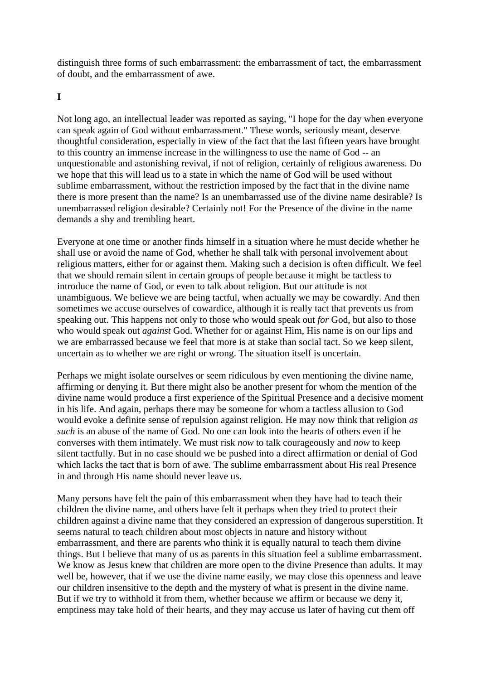distinguish three forms of such embarrassment: the embarrassment of tact, the embarrassment of doubt, and the embarrassment of awe.

#### **I**

Not long ago, an intellectual leader was reported as saying, "I hope for the day when everyone can speak again of God without embarrassment." These words, seriously meant, deserve thoughtful consideration, especially in view of the fact that the last fifteen years have brought to this country an immense increase in the willingness to use the name of God -- an unquestionable and astonishing revival, if not of religion, certainly of religious awareness. Do we hope that this will lead us to a state in which the name of God will be used without sublime embarrassment, without the restriction imposed by the fact that in the divine name there is more present than the name? Is an unembarrassed use of the divine name desirable? Is unembarrassed religion desirable? Certainly not! For the Presence of the divine in the name demands a shy and trembling heart.

Everyone at one time or another finds himself in a situation where he must decide whether he shall use or avoid the name of God, whether he shall talk with personal involvement about religious matters, either for or against them. Making such a decision is often difficult. We feel that we should remain silent in certain groups of people because it might be tactless to introduce the name of God, or even to talk about religion. But our attitude is not unambiguous. We believe we are being tactful, when actually we may be cowardly. And then sometimes we accuse ourselves of cowardice, although it is really tact that prevents us from speaking out. This happens not only to those who would speak out *for* God, but also to those who would speak out *against* God. Whether for or against Him, His name is on our lips and we are embarrassed because we feel that more is at stake than social tact. So we keep silent, uncertain as to whether we are right or wrong. The situation itself is uncertain.

Perhaps we might isolate ourselves or seem ridiculous by even mentioning the divine name, affirming or denying it. But there might also be another present for whom the mention of the divine name would produce a first experience of the Spiritual Presence and a decisive moment in his life. And again, perhaps there may be someone for whom a tactless allusion to God would evoke a definite sense of repulsion against religion. He may now think that religion *as such* is an abuse of the name of God. No one can look into the hearts of others even if he converses with them intimately. We must risk *now* to talk courageously and *now* to keep silent tactfully. But in no case should we be pushed into a direct affirmation or denial of God which lacks the tact that is born of awe. The sublime embarrassment about His real Presence in and through His name should never leave us.

Many persons have felt the pain of this embarrassment when they have had to teach their children the divine name, and others have felt it perhaps when they tried to protect their children against a divine name that they considered an expression of dangerous superstition. It seems natural to teach children about most objects in nature and history without embarrassment, and there are parents who think it is equally natural to teach them divine things. But I believe that many of us as parents in this situation feel a sublime embarrassment. We know as Jesus knew that children are more open to the divine Presence than adults. It may well be, however, that if we use the divine name easily, we may close this openness and leave our children insensitive to the depth and the mystery of what is present in the divine name. But if we try to withhold it from them, whether because we affirm or because we deny it, emptiness may take hold of their hearts, and they may accuse us later of having cut them off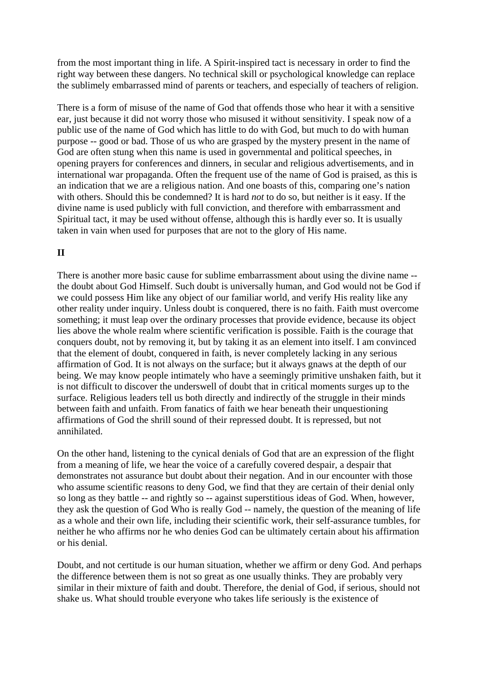from the most important thing in life. A Spirit-inspired tact is necessary in order to find the right way between these dangers. No technical skill or psychological knowledge can replace the sublimely embarrassed mind of parents or teachers, and especially of teachers of religion.

There is a form of misuse of the name of God that offends those who hear it with a sensitive ear, just because it did not worry those who misused it without sensitivity. I speak now of a public use of the name of God which has little to do with God, but much to do with human purpose -- good or bad. Those of us who are grasped by the mystery present in the name of God are often stung when this name is used in governmental and political speeches, in opening prayers for conferences and dinners, in secular and religious advertisements, and in international war propaganda. Often the frequent use of the name of God is praised, as this is an indication that we are a religious nation. And one boasts of this, comparing one's nation with others. Should this be condemned? It is hard *not* to do so, but neither is it easy. If the divine name is used publicly with full conviction, and therefore with embarrassment and Spiritual tact, it may be used without offense, although this is hardly ever so. It is usually taken in vain when used for purposes that are not to the glory of His name.

### **II**

There is another more basic cause for sublime embarrassment about using the divine name - the doubt about God Himself. Such doubt is universally human, and God would not be God if we could possess Him like any object of our familiar world, and verify His reality like any other reality under inquiry. Unless doubt is conquered, there is no faith. Faith must overcome something; it must leap over the ordinary processes that provide evidence, because its object lies above the whole realm where scientific verification is possible. Faith is the courage that conquers doubt, not by removing it, but by taking it as an element into itself. I am convinced that the element of doubt, conquered in faith, is never completely lacking in any serious affirmation of God. It is not always on the surface; but it always gnaws at the depth of our being. We may know people intimately who have a seemingly primitive unshaken faith, but it is not difficult to discover the underswell of doubt that in critical moments surges up to the surface. Religious leaders tell us both directly and indirectly of the struggle in their minds between faith and unfaith. From fanatics of faith we hear beneath their unquestioning affirmations of God the shrill sound of their repressed doubt. It is repressed, but not annihilated.

On the other hand, listening to the cynical denials of God that are an expression of the flight from a meaning of life, we hear the voice of a carefully covered despair, a despair that demonstrates not assurance but doubt about their negation. And in our encounter with those who assume scientific reasons to deny God, we find that they are certain of their denial only so long as they battle -- and rightly so -- against superstitious ideas of God. When, however, they ask the question of God Who is really God -- namely, the question of the meaning of life as a whole and their own life, including their scientific work, their self-assurance tumbles, for neither he who affirms nor he who denies God can be ultimately certain about his affirmation or his denial.

Doubt, and not certitude is our human situation, whether we affirm or deny God. And perhaps the difference between them is not so great as one usually thinks. They are probably very similar in their mixture of faith and doubt. Therefore, the denial of God, if serious, should not shake us. What should trouble everyone who takes life seriously is the existence of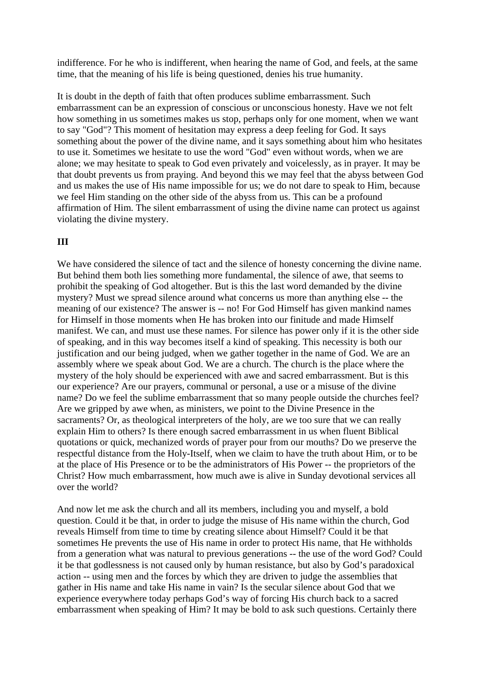indifference. For he who is indifferent, when hearing the name of God, and feels, at the same time, that the meaning of his life is being questioned, denies his true humanity.

It is doubt in the depth of faith that often produces sublime embarrassment. Such embarrassment can be an expression of conscious or unconscious honesty. Have we not felt how something in us sometimes makes us stop, perhaps only for one moment, when we want to say "God"? This moment of hesitation may express a deep feeling for God. It says something about the power of the divine name, and it says something about him who hesitates to use it. Sometimes we hesitate to use the word "God" even without words, when we are alone; we may hesitate to speak to God even privately and voicelessly, as in prayer. It may be that doubt prevents us from praying. And beyond this we may feel that the abyss between God and us makes the use of His name impossible for us; we do not dare to speak to Him, because we feel Him standing on the other side of the abyss from us. This can be a profound affirmation of Him. The silent embarrassment of using the divine name can protect us against violating the divine mystery.

#### **III**

We have considered the silence of tact and the silence of honesty concerning the divine name. But behind them both lies something more fundamental, the silence of awe, that seems to prohibit the speaking of God altogether. But is this the last word demanded by the divine mystery? Must we spread silence around what concerns us more than anything else -- the meaning of our existence? The answer is -- no! For God Himself has given mankind names for Himself in those moments when He has broken into our finitude and made Himself manifest. We can, and must use these names. For silence has power only if it is the other side of speaking, and in this way becomes itself a kind of speaking. This necessity is both our justification and our being judged, when we gather together in the name of God. We are an assembly where we speak about God. We are a church. The church is the place where the mystery of the holy should be experienced with awe and sacred embarrassment. But is this our experience? Are our prayers, communal or personal, a use or a misuse of the divine name? Do we feel the sublime embarrassment that so many people outside the churches feel? Are we gripped by awe when, as ministers, we point to the Divine Presence in the sacraments? Or, as theological interpreters of the holy, are we too sure that we can really explain Him to others? Is there enough sacred embarrassment in us when fluent Biblical quotations or quick, mechanized words of prayer pour from our mouths? Do we preserve the respectful distance from the Holy-Itself, when we claim to have the truth about Him, or to be at the place of His Presence or to be the administrators of His Power -- the proprietors of the Christ? How much embarrassment, how much awe is alive in Sunday devotional services all over the world?

And now let me ask the church and all its members, including you and myself, a bold question. Could it be that, in order to judge the misuse of His name within the church, God reveals Himself from time to time by creating silence about Himself? Could it be that sometimes He prevents the use of His name in order to protect His name, that He withholds from a generation what was natural to previous generations -- the use of the word God? Could it be that godlessness is not caused only by human resistance, but also by God's paradoxical action -- using men and the forces by which they are driven to judge the assemblies that gather in His name and take His name in vain? Is the secular silence about God that we experience everywhere today perhaps God's way of forcing His church back to a sacred embarrassment when speaking of Him? It may be bold to ask such questions. Certainly there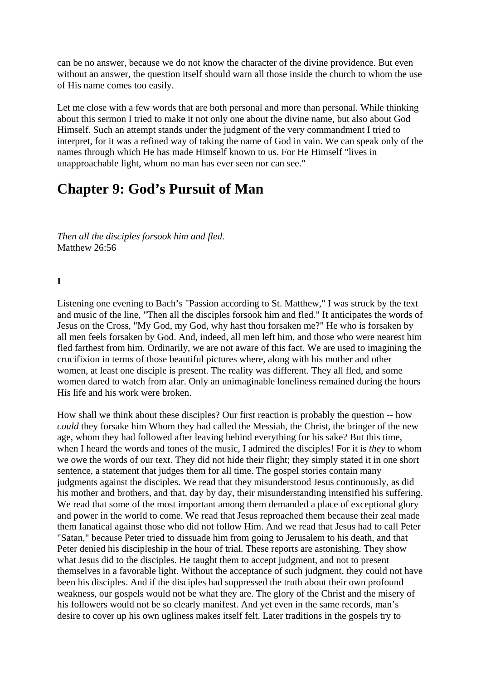can be no answer, because we do not know the character of the divine providence. But even without an answer, the question itself should warn all those inside the church to whom the use of His name comes too easily.

Let me close with a few words that are both personal and more than personal. While thinking about this sermon I tried to make it not only one about the divine name, but also about God Himself. Such an attempt stands under the judgment of the very commandment I tried to interpret, for it was a refined way of taking the name of God in vain. We can speak only of the names through which He has made Himself known to us. For He Himself "lives in unapproachable light, whom no man has ever seen nor can see."

## **Chapter 9: God's Pursuit of Man**

*Then all the disciples forsook him and fled.*  Matthew 26:56

### **I**

Listening one evening to Bach's "Passion according to St. Matthew," I was struck by the text and music of the line, "Then all the disciples forsook him and fled." It anticipates the words of Jesus on the Cross, "My God, my God, why hast thou forsaken me?" He who is forsaken by all men feels forsaken by God. And, indeed, all men left him, and those who were nearest him fled farthest from him. Ordinarily, we are not aware of this fact. We are used to imagining the crucifixion in terms of those beautiful pictures where, along with his mother and other women, at least one disciple is present. The reality was different. They all fled, and some women dared to watch from afar. Only an unimaginable loneliness remained during the hours His life and his work were broken.

How shall we think about these disciples? Our first reaction is probably the question -- how *could* they forsake him Whom they had called the Messiah, the Christ, the bringer of the new age, whom they had followed after leaving behind everything for his sake? But this time, when I heard the words and tones of the music, I admired the disciples! For it is *they* to whom we owe the words of our text. They did not hide their flight; they simply stated it in one short sentence, a statement that judges them for all time. The gospel stories contain many judgments against the disciples. We read that they misunderstood Jesus continuously, as did his mother and brothers, and that, day by day, their misunderstanding intensified his suffering. We read that some of the most important among them demanded a place of exceptional glory and power in the world to come. We read that Jesus reproached them because their zeal made them fanatical against those who did not follow Him. And we read that Jesus had to call Peter "Satan," because Peter tried to dissuade him from going to Jerusalem to his death, and that Peter denied his discipleship in the hour of trial. These reports are astonishing. They show what Jesus did to the disciples. He taught them to accept judgment, and not to present themselves in a favorable light. Without the acceptance of such judgment, they could not have been his disciples. And if the disciples had suppressed the truth about their own profound weakness, our gospels would not be what they are. The glory of the Christ and the misery of his followers would not be so clearly manifest. And yet even in the same records, man's desire to cover up his own ugliness makes itself felt. Later traditions in the gospels try to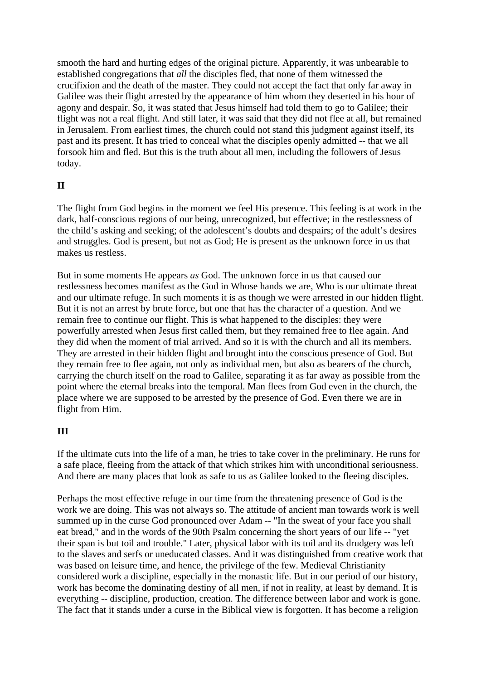smooth the hard and hurting edges of the original picture. Apparently, it was unbearable to established congregations that *all* the disciples fled, that none of them witnessed the crucifixion and the death of the master. They could not accept the fact that only far away in Galilee was their flight arrested by the appearance of him whom they deserted in his hour of agony and despair. So, it was stated that Jesus himself had told them to go to Galilee; their flight was not a real flight. And still later, it was said that they did not flee at all, but remained in Jerusalem. From earliest times, the church could not stand this judgment against itself, its past and its present. It has tried to conceal what the disciples openly admitted -- that we all forsook him and fled. But this is the truth about all men, including the followers of Jesus today.

## **II**

The flight from God begins in the moment we feel His presence. This feeling is at work in the dark, half-conscious regions of our being, unrecognized, but effective; in the restlessness of the child's asking and seeking; of the adolescent's doubts and despairs; of the adult's desires and struggles. God is present, but not as God; He is present as the unknown force in us that makes us restless.

But in some moments He appears *as* God. The unknown force in us that caused our restlessness becomes manifest as the God in Whose hands we are, Who is our ultimate threat and our ultimate refuge. In such moments it is as though we were arrested in our hidden flight. But it is not an arrest by brute force, but one that has the character of a question. And we remain free to continue our flight. This is what happened to the disciples: they were powerfully arrested when Jesus first called them, but they remained free to flee again. And they did when the moment of trial arrived. And so it is with the church and all its members. They are arrested in their hidden flight and brought into the conscious presence of God. But they remain free to flee again, not only as individual men, but also as bearers of the church, carrying the church itself on the road to Galilee, separating it as far away as possible from the point where the eternal breaks into the temporal. Man flees from God even in the church, the place where we are supposed to be arrested by the presence of God. Even there we are in flight from Him.

### **III**

If the ultimate cuts into the life of a man, he tries to take cover in the preliminary. He runs for a safe place, fleeing from the attack of that which strikes him with unconditional seriousness. And there are many places that look as safe to us as Galilee looked to the fleeing disciples.

Perhaps the most effective refuge in our time from the threatening presence of God is the work we are doing. This was not always so. The attitude of ancient man towards work is well summed up in the curse God pronounced over Adam -- "In the sweat of your face you shall eat bread," and in the words of the 90th Psalm concerning the short years of our life -- "yet their span is but toil and trouble." Later, physical labor with its toil and its drudgery was left to the slaves and serfs or uneducated classes. And it was distinguished from creative work that was based on leisure time, and hence, the privilege of the few. Medieval Christianity considered work a discipline, especially in the monastic life. But in our period of our history, work has become the dominating destiny of all men, if not in reality, at least by demand. It is everything -- discipline, production, creation. The difference between labor and work is gone. The fact that it stands under a curse in the Biblical view is forgotten. It has become a religion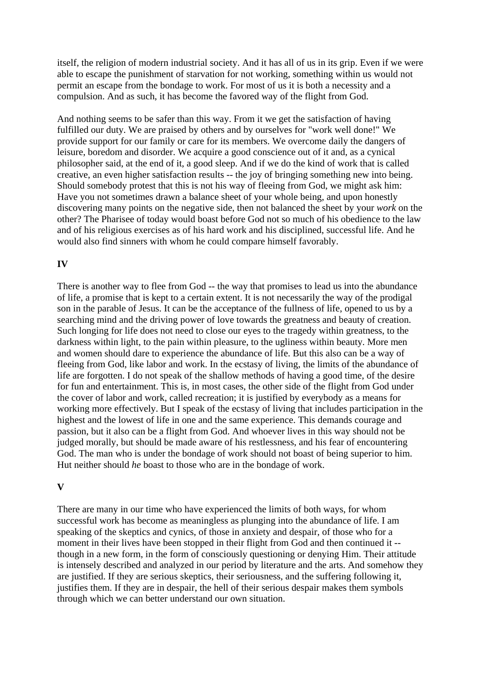itself, the religion of modern industrial society. And it has all of us in its grip. Even if we were able to escape the punishment of starvation for not working, something within us would not permit an escape from the bondage to work. For most of us it is both a necessity and a compulsion. And as such, it has become the favored way of the flight from God.

And nothing seems to be safer than this way. From it we get the satisfaction of having fulfilled our duty. We are praised by others and by ourselves for "work well done!" We provide support for our family or care for its members. We overcome daily the dangers of leisure, boredom and disorder. We acquire a good conscience out of it and, as a cynical philosopher said, at the end of it, a good sleep. And if we do the kind of work that is called creative, an even higher satisfaction results -- the joy of bringing something new into being. Should somebody protest that this is not his way of fleeing from God, we might ask him: Have you not sometimes drawn a balance sheet of your whole being, and upon honestly discovering many points on the negative side, then not balanced the sheet by your *work* on the other? The Pharisee of today would boast before God not so much of his obedience to the law and of his religious exercises as of his hard work and his disciplined, successful life. And he would also find sinners with whom he could compare himself favorably.

#### **IV**

There is another way to flee from God -- the way that promises to lead us into the abundance of life, a promise that is kept to a certain extent. It is not necessarily the way of the prodigal son in the parable of Jesus. It can be the acceptance of the fullness of life, opened to us by a searching mind and the driving power of love towards the greatness and beauty of creation. Such longing for life does not need to close our eyes to the tragedy within greatness, to the darkness within light, to the pain within pleasure, to the ugliness within beauty. More men and women should dare to experience the abundance of life. But this also can be a way of fleeing from God, like labor and work. In the ecstasy of living, the limits of the abundance of life are forgotten. I do not speak of the shallow methods of having a good time, of the desire for fun and entertainment. This is, in most cases, the other side of the flight from God under the cover of labor and work, called recreation; it is justified by everybody as a means for working more effectively. But I speak of the ecstasy of living that includes participation in the highest and the lowest of life in one and the same experience. This demands courage and passion, but it also can be a flight from God. And whoever lives in this way should not be judged morally, but should be made aware of his restlessness, and his fear of encountering God. The man who is under the bondage of work should not boast of being superior to him. Hut neither should *he* boast to those who are in the bondage of work.

#### **V**

There are many in our time who have experienced the limits of both ways, for whom successful work has become as meaningless as plunging into the abundance of life. I am speaking of the skeptics and cynics, of those in anxiety and despair, of those who for a moment in their lives have been stopped in their flight from God and then continued it - though in a new form, in the form of consciously questioning or denying Him. Their attitude is intensely described and analyzed in our period by literature and the arts. And somehow they are justified. If they are serious skeptics, their seriousness, and the suffering following it, justifies them. If they are in despair, the hell of their serious despair makes them symbols through which we can better understand our own situation.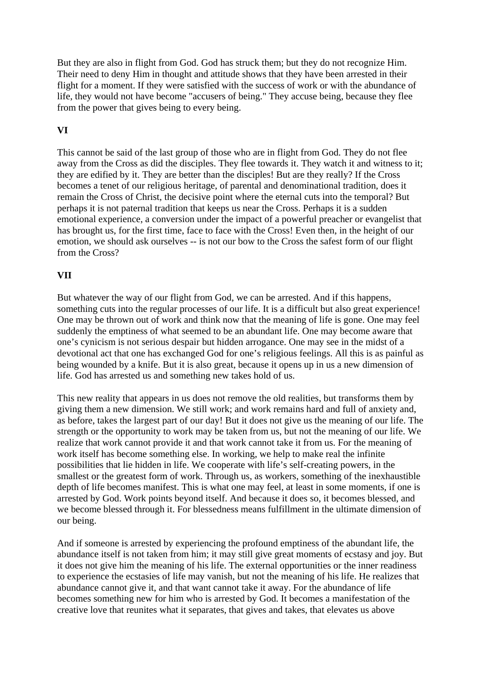But they are also in flight from God. God has struck them; but they do not recognize Him. Their need to deny Him in thought and attitude shows that they have been arrested in their flight for a moment. If they were satisfied with the success of work or with the abundance of life, they would not have become "accusers of being." They accuse being, because they flee from the power that gives being to every being.

## **VI**

This cannot be said of the last group of those who are in flight from God. They do not flee away from the Cross as did the disciples. They flee towards it. They watch it and witness to it; they are edified by it. They are better than the disciples! But are they really? If the Cross becomes a tenet of our religious heritage, of parental and denominational tradition, does it remain the Cross of Christ, the decisive point where the eternal cuts into the temporal? But perhaps it is not paternal tradition that keeps us near the Cross. Perhaps it is a sudden emotional experience, a conversion under the impact of a powerful preacher or evangelist that has brought us, for the first time, face to face with the Cross! Even then, in the height of our emotion, we should ask ourselves -- is not our bow to the Cross the safest form of our flight from the Cross?

### **VII**

But whatever the way of our flight from God, we can be arrested. And if this happens, something cuts into the regular processes of our life. It is a difficult but also great experience! One may be thrown out of work and think now that the meaning of life is gone. One may feel suddenly the emptiness of what seemed to be an abundant life. One may become aware that one's cynicism is not serious despair but hidden arrogance. One may see in the midst of a devotional act that one has exchanged God for one's religious feelings. All this is as painful as being wounded by a knife. But it is also great, because it opens up in us a new dimension of life. God has arrested us and something new takes hold of us.

This new reality that appears in us does not remove the old realities, but transforms them by giving them a new dimension. We still work; and work remains hard and full of anxiety and, as before, takes the largest part of our day! But it does not give us the meaning of our life. The strength or the opportunity to work may be taken from us, but not the meaning of our life. We realize that work cannot provide it and that work cannot take it from us. For the meaning of work itself has become something else. In working, we help to make real the infinite possibilities that lie hidden in life. We cooperate with life's self-creating powers, in the smallest or the greatest form of work. Through us, as workers, something of the inexhaustible depth of life becomes manifest. This is what one may feel, at least in some moments, if one is arrested by God. Work points beyond itself. And because it does so, it becomes blessed, and we become blessed through it. For blessedness means fulfillment in the ultimate dimension of our being.

And if someone is arrested by experiencing the profound emptiness of the abundant life, the abundance itself is not taken from him; it may still give great moments of ecstasy and joy. But it does not give him the meaning of his life. The external opportunities or the inner readiness to experience the ecstasies of life may vanish, but not the meaning of his life. He realizes that abundance cannot give it, and that want cannot take it away. For the abundance of life becomes something new for him who is arrested by God. It becomes a manifestation of the creative love that reunites what it separates, that gives and takes, that elevates us above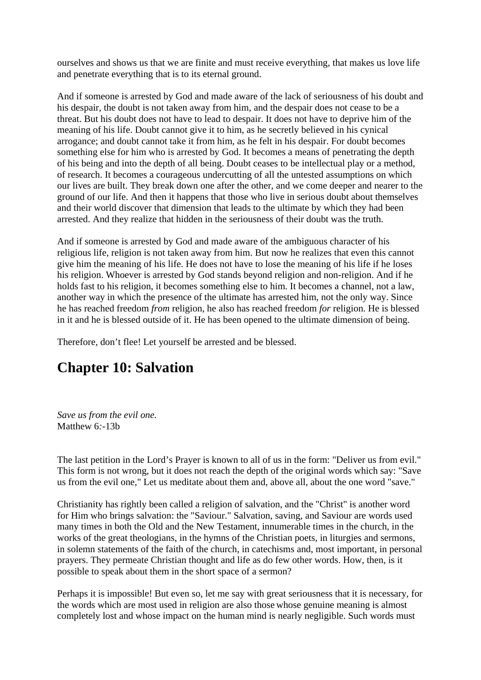ourselves and shows us that we are finite and must receive everything, that makes us love life and penetrate everything that is to its eternal ground.

And if someone is arrested by God and made aware of the lack of seriousness of his doubt and his despair, the doubt is not taken away from him, and the despair does not cease to be a threat. But his doubt does not have to lead to despair. It does not have to deprive him of the meaning of his life. Doubt cannot give it to him, as he secretly believed in his cynical arrogance; and doubt cannot take it from him, as he felt in his despair. For doubt becomes something else for him who is arrested by God. It becomes a means of penetrating the depth of his being and into the depth of all being. Doubt ceases to be intellectual play or a method, of research. It becomes a courageous undercutting of all the untested assumptions on which our lives are built. They break down one after the other, and we come deeper and nearer to the ground of our life. And then it happens that those who live in serious doubt about themselves and their world discover that dimension that leads to the ultimate by which they had been arrested. And they realize that hidden in the seriousness of their doubt was the truth.

And if someone is arrested by God and made aware of the ambiguous character of his religious life, religion is not taken away from him. But now he realizes that even this cannot give him the meaning of his life. He does not have to lose the meaning of his life if he loses his religion. Whoever is arrested by God stands beyond religion and non-religion. And if he holds fast to his religion, it becomes something else to him. It becomes a channel, not a law, another way in which the presence of the ultimate has arrested him, not the only way. Since he has reached freedom *from* religion, he also has reached freedom *for* religion. He is blessed in it and he is blessed outside of it. He has been opened to the ultimate dimension of being.

Therefore, don't flee! Let yourself be arrested and be blessed.

# **Chapter 10: Salvation**

*Save us from the evil one.*  Matthew 6*:*-13b

The last petition in the Lord's Prayer is known to all of us in the form: "Deliver us from evil." This form is not wrong, but it does not reach the depth of the original words which say: "Save us from the evil one," Let us meditate about them and, above all, about the one word "save."

Christianity has rightly been called a religion of salvation, and the "Christ" is another word for Him who brings salvation: the "Saviour." Salvation, saving, and Saviour are words used many times in both the Old and the New Testament, innumerable times in the church, in the works of the great theologians, in the hymns of the Christian poets, in liturgies and sermons, in solemn statements of the faith of the church, in catechisms and, most important, in personal prayers. They permeate Christian thought and life as do few other words. How, then, is it possible to speak about them in the short space of a sermon?

Perhaps it is impossible! But even so, let me say with great seriousness that it is necessary, for the words which are most used in religion are also those whose genuine meaning is almost completely lost and whose impact on the human mind is nearly negligible. Such words must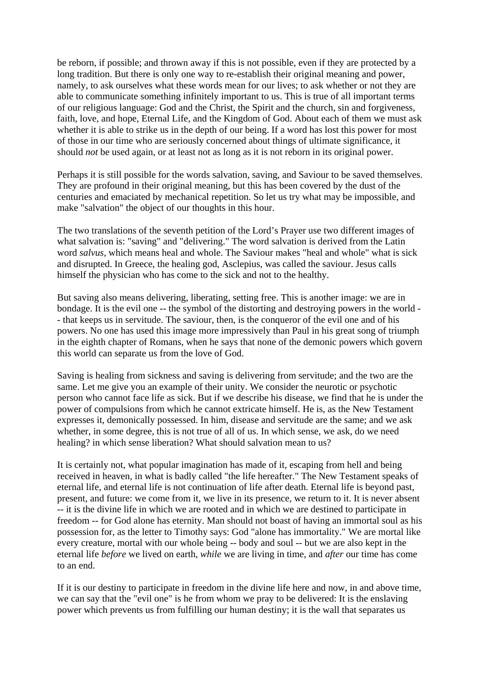be reborn, if possible; and thrown away if this is not possible, even if they are protected by a long tradition. But there is only one way to re-establish their original meaning and power, namely, to ask ourselves what these words mean for our lives; to ask whether or not they are able to communicate something infinitely important to us. This is true of all important terms of our religious language: God and the Christ, the Spirit and the church, sin and forgiveness, faith, love, and hope, Eternal Life, and the Kingdom of God. About each of them we must ask whether it is able to strike us in the depth of our being. If a word has lost this power for most of those in our time who are seriously concerned about things of ultimate significance, it should *not* be used again, or at least not as long as it is not reborn in its original power.

Perhaps it is still possible for the words salvation, saving, and Saviour to be saved themselves. They are profound in their original meaning, but this has been covered by the dust of the centuries and emaciated by mechanical repetition. So let us try what may be impossible, and make "salvation" the object of our thoughts in this hour.

The two translations of the seventh petition of the Lord's Prayer use two different images of what salvation is: "saving" and "delivering." The word salvation is derived from the Latin word *salvus,* which means heal and whole. The Saviour makes "heal and whole" what is sick and disrupted. In Greece, the healing god, Asclepius, was called the saviour. Jesus calls himself the physician who has come to the sick and not to the healthy.

But saving also means delivering, liberating, setting free. This is another image: we are in bondage. It is the evil one -- the symbol of the distorting and destroying powers in the world - - that keeps us in servitude. The saviour, then, is the conqueror of the evil one and of his powers. No one has used this image more impressively than Paul in his great song of triumph in the eighth chapter of Romans, when he says that none of the demonic powers which govern this world can separate us from the love of God.

Saving is healing from sickness and saving is delivering from servitude; and the two are the same. Let me give you an example of their unity. We consider the neurotic or psychotic person who cannot face life as sick. But if we describe his disease, we find that he is under the power of compulsions from which he cannot extricate himself. He is, as the New Testament expresses it, demonically possessed. In him, disease and servitude are the same; and we ask whether, in some degree, this is not true of all of us. In which sense, we ask, do we need healing? in which sense liberation? What should salvation mean to us?

It is certainly not, what popular imagination has made of it, escaping from hell and being received in heaven, in what is badly called "the life hereafter." The New Testament speaks of eternal life, and eternal life is not continuation of life after death. Eternal life is beyond past, present, and future: we come from it, we live in its presence, we return to it. It is never absent -- it is the divine life in which we are rooted and in which we are destined to participate in freedom -- for God alone has eternity. Man should not boast of having an immortal soul as his possession for, as the letter to Timothy says: God "alone has immortality." We are mortal like every creature, mortal with our whole being -- body and soul -- but we are also kept in the eternal life *before* we lived on earth, *while* we are living in time, and *after* our time has come to an end.

If it is our destiny to participate in freedom in the divine life here and now, in and above time, we can say that the "evil one" is he from whom we pray to be delivered: It is the enslaving power which prevents us from fulfilling our human destiny; it is the wall that separates us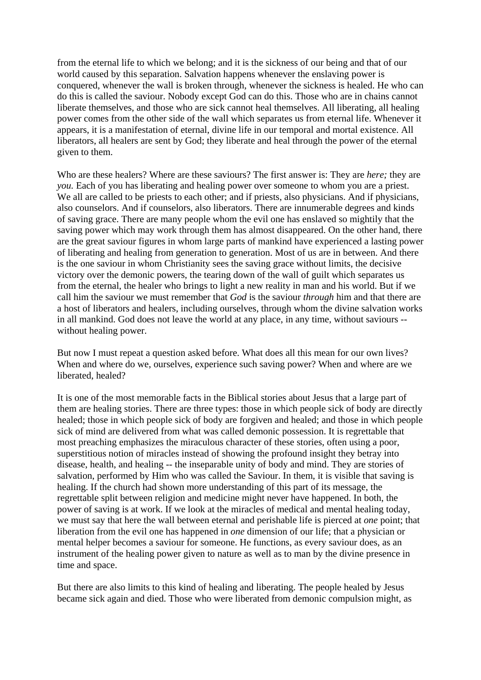from the eternal life to which we belong; and it is the sickness of our being and that of our world caused by this separation. Salvation happens whenever the enslaving power is conquered, whenever the wall is broken through, whenever the sickness is healed. He who can do this is called the saviour. Nobody except God can do this. Those who are in chains cannot liberate themselves, and those who are sick cannot heal themselves. All liberating, all healing power comes from the other side of the wall which separates us from eternal life. Whenever it appears, it is a manifestation of eternal, divine life in our temporal and mortal existence. All liberators, all healers are sent by God; they liberate and heal through the power of the eternal given to them.

Who are these healers? Where are these saviours? The first answer is: They are *here;* they are *you.* Each of you has liberating and healing power over someone to whom you are a priest. We all are called to be priests to each other; and if priests, also physicians. And if physicians, also counselors. And if counselors, also liberators. There are innumerable degrees and kinds of saving grace. There are many people whom the evil one has enslaved so mightily that the saving power which may work through them has almost disappeared. On the other hand, there are the great saviour figures in whom large parts of mankind have experienced a lasting power of liberating and healing from generation to generation. Most of us are in between. And there is the one saviour in whom Christianity sees the saving grace without limits, the decisive victory over the demonic powers, the tearing down of the wall of guilt which separates us from the eternal, the healer who brings to light a new reality in man and his world. But if we call him the saviour we must remember that *God* is the saviour *through* him and that there are a host of liberators and healers, including ourselves, through whom the divine salvation works in all mankind. God does not leave the world at any place, in any time, without saviours - without healing power.

But now I must repeat a question asked before. What does all this mean for our own lives? When and where do we, ourselves, experience such saving power? When and where are we liberated, healed?

It is one of the most memorable facts in the Biblical stories about Jesus that a large part of them are healing stories. There are three types: those in which people sick of body are directly healed; those in which people sick of body are forgiven and healed; and those in which people sick of mind are delivered from what was called demonic possession. It is regrettable that most preaching emphasizes the miraculous character of these stories, often using a poor, superstitious notion of miracles instead of showing the profound insight they betray into disease, health, and healing -- the inseparable unity of body and mind. They are stories of salvation, performed by Him who was called the Saviour. In them, it is visible that saving is healing. If the church had shown more understanding of this part of its message, the regrettable split between religion and medicine might never have happened. In both, the power of saving is at work. If we look at the miracles of medical and mental healing today, we must say that here the wall between eternal and perishable life is pierced at *one* point; that liberation from the evil one has happened in *one* dimension of our life; that a physician or mental helper becomes a saviour for someone. He functions, as every saviour does, as an instrument of the healing power given to nature as well as to man by the divine presence in time and space.

But there are also limits to this kind of healing and liberating. The people healed by Jesus became sick again and died. Those who were liberated from demonic compulsion might, as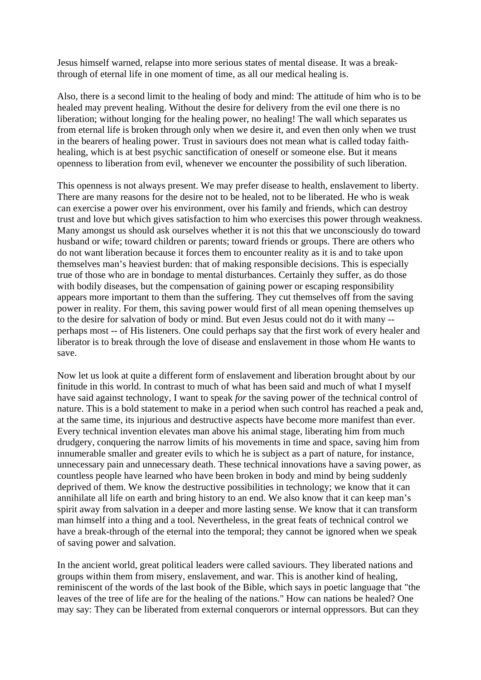Jesus himself warned, relapse into more serious states of mental disease. It was a breakthrough of eternal life in one moment of time, as all our medical healing is.

Also, there is a second limit to the healing of body and mind: The attitude of him who is to be healed may prevent healing. Without the desire for delivery from the evil one there is no liberation; without longing for the healing power, no healing! The wall which separates us from eternal life is broken through only when we desire it, and even then only when we trust in the bearers of healing power. Trust in saviours does not mean what is called today faithhealing, which is at best psychic sanctification of oneself or someone else. But it means openness to liberation from evil, whenever we encounter the possibility of such liberation.

This openness is not always present. We may prefer disease to health, enslavement to liberty. There are many reasons for the desire not to be healed, not to be liberated. He who is weak can exercise a power over his environment, over his family and friends, which can destroy trust and love but which gives satisfaction to him who exercises this power through weakness. Many amongst us should ask ourselves whether it is not this that we unconsciously do toward husband or wife; toward children or parents; toward friends or groups. There are others who do not want liberation because it forces them to encounter reality as it is and to take upon themselves man's heaviest burden: that of making responsible decisions. This is especially true of those who are in bondage to mental disturbances. Certainly they suffer, as do those with bodily diseases, but the compensation of gaining power or escaping responsibility appears more important to them than the suffering. They cut themselves off from the saving power in reality. For them, this saving power would first of all mean opening themselves up to the desire for salvation of body or mind. But even Jesus could not do it with many - perhaps most -- of His listeners. One could perhaps say that the first work of every healer and liberator is to break through the love of disease and enslavement in those whom He wants to save.

Now let us look at quite a different form of enslavement and liberation brought about by our finitude in this world. In contrast to much of what has been said and much of what I myself have said against technology, I want to speak *for* the saving power of the technical control of nature. This is a bold statement to make in a period when such control has reached a peak and, at the same time, its injurious and destructive aspects have become more manifest than ever. Every technical invention elevates man above his animal stage, liberating him from much drudgery, conquering the narrow limits of his movements in time and space, saving him from innumerable smaller and greater evils to which he is subject as a part of nature, for instance, unnecessary pain and unnecessary death. These technical innovations have a saving power, as countless people have learned who have been broken in body and mind by being suddenly deprived of them. We know the destructive possibilities in technology; we know that it can annihilate all life on earth and bring history to an end. We also know that it can keep man's spirit away from salvation in a deeper and more lasting sense. We know that it can transform man himself into a thing and a tool. Nevertheless, in the great feats of technical control we have a break-through of the eternal into the temporal; they cannot be ignored when we speak of saving power and salvation.

In the ancient world, great political leaders were called saviours. They liberated nations and groups within them from misery, enslavement, and war. This is another kind of healing, reminiscent of the words of the last book of the Bible, which says in poetic language that "the leaves of the tree of life are for the healing of the nations." How can nations be healed? One may say: They can be liberated from external conquerors or internal oppressors. But can they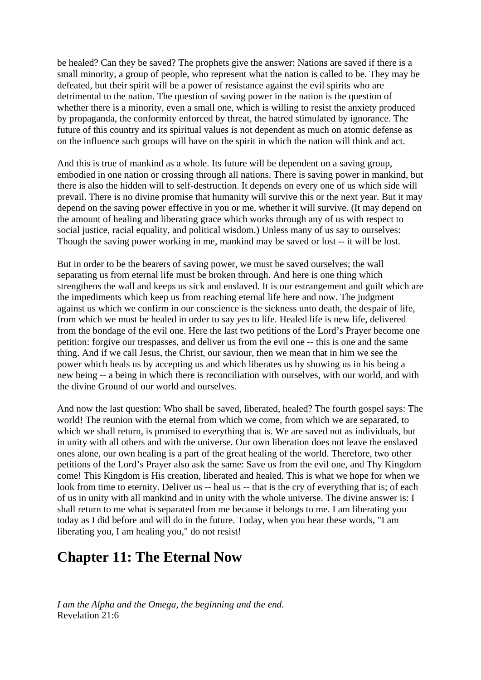be healed? Can they be saved? The prophets give the answer: Nations are saved if there is a small minority, a group of people, who represent what the nation is called to be. They may be defeated, but their spirit will be a power of resistance against the evil spirits who are detrimental to the nation. The question of saving power in the nation is the question of whether there is a minority, even a small one, which is willing to resist the anxiety produced by propaganda, the conformity enforced by threat, the hatred stimulated by ignorance. The future of this country and its spiritual values is not dependent as much on atomic defense as on the influence such groups will have on the spirit in which the nation will think and act.

And this is true of mankind as a whole. Its future will be dependent on a saving group, embodied in one nation or crossing through all nations. There is saving power in mankind, but there is also the hidden will to self-destruction. It depends on every one of us which side will prevail. There is no divine promise that humanity will survive this or the next year. But it may depend on the saving power effective in you or me, whether it will survive. (It may depend on the amount of healing and liberating grace which works through any of us with respect to social justice, racial equality, and political wisdom.) Unless many of us say to ourselves: Though the saving power working in me, mankind may be saved or lost -- it will be lost.

But in order to be the bearers of saving power, we must be saved ourselves; the wall separating us from eternal life must be broken through. And here is one thing which strengthens the wall and keeps us sick and enslaved. It is our estrangement and guilt which are the impediments which keep us from reaching eternal life here and now. The judgment against us which we confirm in our conscience is the sickness unto death, the despair of life, from which we must be healed in order to say *yes* to life. Healed life is new life, delivered from the bondage of the evil one. Here the last two petitions of the Lord's Prayer become one petition: forgive our trespasses, and deliver us from the evil one -- this is one and the same thing. And if we call Jesus, the Christ, our saviour, then we mean that in him we see the power which heals us by accepting us and which liberates us by showing us in his being a new being -- a being in which there is reconciliation with ourselves, with our world, and with the divine Ground of our world and ourselves.

And now the last question: Who shall be saved, liberated, healed? The fourth gospel says: The world! The reunion with the eternal from which we come, from which we are separated, to which we shall return, is promised to everything that is. We are saved not as individuals, but in unity with all others and with the universe. Our own liberation does not leave the enslaved ones alone, our own healing is a part of the great healing of the world. Therefore, two other petitions of the Lord's Prayer also ask the same: Save us from the evil one, and Thy Kingdom come! This Kingdom is His creation, liberated and healed. This is what we hope for when we look from time to eternity. Deliver us -- heal us -- that is the cry of everything that is; of each of us in unity with all mankind and in unity with the whole universe. The divine answer is: I shall return to me what is separated from me because it belongs to me. I am liberating you today as I did before and will do in the future. Today, when you hear these words, "I am liberating you, I am healing you," do not resist!

# **Chapter 11: The Eternal Now**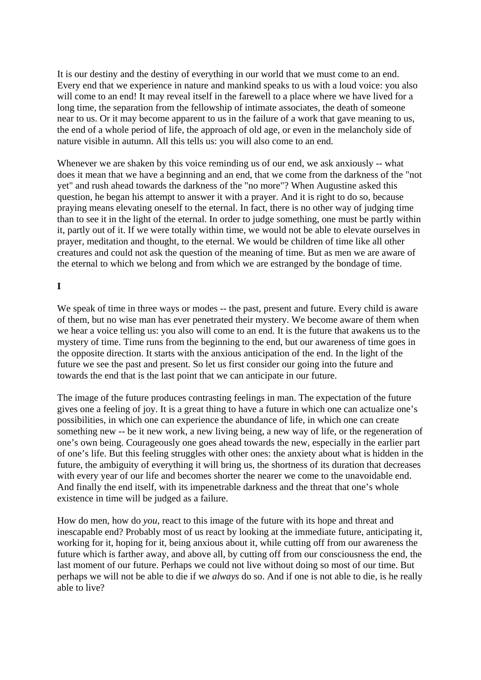It is our destiny and the destiny of everything in our world that we must come to an end. Every end that we experience in nature and mankind speaks to us with a loud voice: you also will come to an end! It may reveal itself in the farewell to a place where we have lived for a long time, the separation from the fellowship of intimate associates, the death of someone near to us. Or it may become apparent to us in the failure of a work that gave meaning to us, the end of a whole period of life, the approach of old age, or even in the melancholy side of nature visible in autumn. All this tells us: you will also come to an end.

Whenever we are shaken by this voice reminding us of our end, we ask anxiously -- what does it mean that we have a beginning and an end, that we come from the darkness of the "not yet" and rush ahead towards the darkness of the "no more"? When Augustine asked this question, he began his attempt to answer it with a prayer. And it is right to do so, because praying means elevating oneself to the eternal. In fact, there is no other way of judging time than to see it in the light of the eternal. In order to judge something, one must be partly within it, partly out of it. If we were totally within time, we would not be able to elevate ourselves in prayer, meditation and thought, to the eternal. We would be children of time like all other creatures and could not ask the question of the meaning of time. But as men we are aware of the eternal to which we belong and from which we are estranged by the bondage of time.

### **I**

We speak of time in three ways or modes -- the past, present and future. Every child is aware of them, but no wise man has ever penetrated their mystery. We become aware of them when we hear a voice telling us: you also will come to an end. It is the future that awakens us to the mystery of time. Time runs from the beginning to the end, but our awareness of time goes in the opposite direction. It starts with the anxious anticipation of the end. In the light of the future we see the past and present. So let us first consider our going into the future and towards the end that is the last point that we can anticipate in our future.

The image of the future produces contrasting feelings in man. The expectation of the future gives one a feeling of joy. It is a great thing to have a future in which one can actualize one's possibilities, in which one can experience the abundance of life, in which one can create something new -- be it new work, a new living being, a new way of life, or the regeneration of one's own being. Courageously one goes ahead towards the new, especially in the earlier part of one's life. But this feeling struggles with other ones: the anxiety about what is hidden in the future, the ambiguity of everything it will bring us, the shortness of its duration that decreases with every year of our life and becomes shorter the nearer we come to the unavoidable end. And finally the end itself, with its impenetrable darkness and the threat that one's whole existence in time will be judged as a failure.

How do men, how do *you,* react to this image of the future with its hope and threat and inescapable end? Probably most of us react by looking at the immediate future, anticipating it, working for it, hoping for it, being anxious about it, while cutting off from our awareness the future which is farther away, and above all, by cutting off from our consciousness the end, the last moment of our future. Perhaps we could not live without doing so most of our time. But perhaps we will not be able to die if we *always* do so. And if one is not able to die, is he really able to live?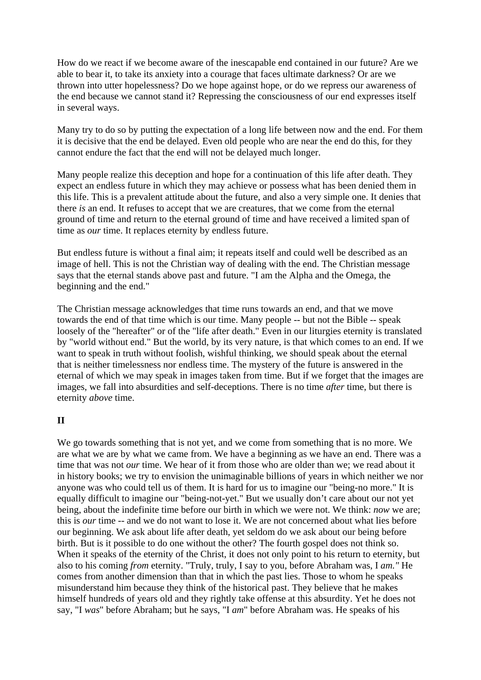How do we react if we become aware of the inescapable end contained in our future? Are we able to bear it, to take its anxiety into a courage that faces ultimate darkness? Or are we thrown into utter hopelessness? Do we hope against hope, or do we repress our awareness of the end because we cannot stand it? Repressing the consciousness of our end expresses itself in several ways.

Many try to do so by putting the expectation of a long life between now and the end. For them it is decisive that the end be delayed. Even old people who are near the end do this, for they cannot endure the fact that the end will not be delayed much longer.

Many people realize this deception and hope for a continuation of this life after death. They expect an endless future in which they may achieve or possess what has been denied them in this life. This is a prevalent attitude about the future, and also a very simple one. It denies that there *is* an end. It refuses to accept that we are creatures, that we come from the eternal ground of time and return to the eternal ground of time and have received a limited span of time as *our* time. It replaces eternity by endless future.

But endless future is without a final aim; it repeats itself and could well be described as an image of hell. This is not the Christian way of dealing with the end. The Christian message says that the eternal stands above past and future. "I am the Alpha and the Omega, the beginning and the end."

The Christian message acknowledges that time runs towards an end, and that we move towards the end of that time which is our time. Many people -- but not the Bible -- speak loosely of the "hereafter" or of the "life after death." Even in our liturgies eternity is translated by "world without end." But the world, by its very nature, is that which comes to an end. If we want to speak in truth without foolish, wishful thinking, we should speak about the eternal that is neither timelessness nor endless time. The mystery of the future is answered in the eternal of which we may speak in images taken from time. But if we forget that the images are images, we fall into absurdities and self-deceptions. There is no time *after* time, but there is eternity *above* time.

### **II**

We go towards something that is not yet, and we come from something that is no more. We are what we are by what we came from. We have a beginning as we have an end. There was a time that was not *our* time. We hear of it from those who are older than we; we read about it in history books; we try to envision the unimaginable billions of years in which neither we nor anyone was who could tell us of them. It is hard for us to imagine our "being-no more." It is equally difficult to imagine our "being-not-yet." But we usually don't care about our not yet being, about the indefinite time before our birth in which we were not. We think: *now* we are; this is *our* time -- and we do not want to lose it. We are not concerned about what lies before our beginning. We ask about life after death, yet seldom do we ask about our being before birth. But is it possible to do one without the other? The fourth gospel does not think so. When it speaks of the eternity of the Christ, it does not only point to his return to eternity, but also to his coming *from* eternity. "Truly, truly, I say to you, before Abraham was, I *am."* He comes from another dimension than that in which the past lies. Those to whom he speaks misunderstand him because they think of the historical past. They believe that he makes himself hundreds of years old and they rightly take offense at this absurdity. Yet he does not say, "I *was*" before Abraham; but he says, "I *am*" before Abraham was. He speaks of his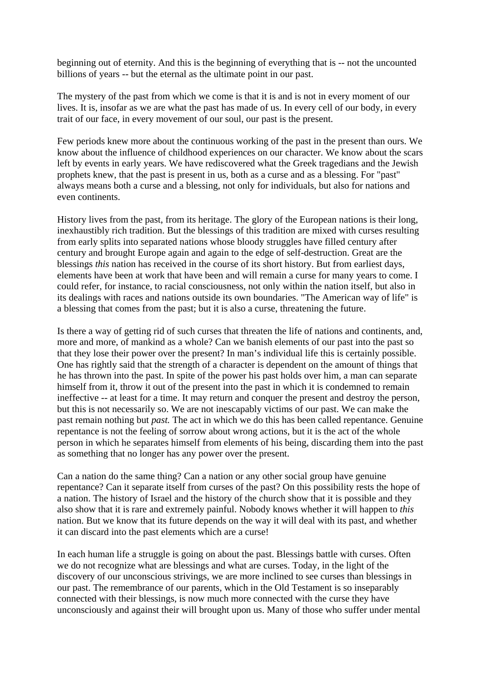beginning out of eternity. And this is the beginning of everything that is -- not the uncounted billions of years -- but the eternal as the ultimate point in our past.

The mystery of the past from which we come is that it is and is not in every moment of our lives. It is, insofar as we are what the past has made of us. In every cell of our body, in every trait of our face, in every movement of our soul, our past is the present.

Few periods knew more about the continuous working of the past in the present than ours. We know about the influence of childhood experiences on our character. We know about the scars left by events in early years. We have rediscovered what the Greek tragedians and the Jewish prophets knew, that the past is present in us, both as a curse and as a blessing. For "past" always means both a curse and a blessing, not only for individuals, but also for nations and even continents.

History lives from the past, from its heritage. The glory of the European nations is their long, inexhaustibly rich tradition. But the blessings of this tradition are mixed with curses resulting from early splits into separated nations whose bloody struggles have filled century after century and brought Europe again and again to the edge of self-destruction. Great are the blessings *this* nation has received in the course of its short history. But from earliest days, elements have been at work that have been and will remain a curse for many years to come. I could refer, for instance, to racial consciousness, not only within the nation itself, but also in its dealings with races and nations outside its own boundaries. "The American way of life" is a blessing that comes from the past; but it is also a curse, threatening the future.

Is there a way of getting rid of such curses that threaten the life of nations and continents, and, more and more, of mankind as a whole? Can we banish elements of our past into the past so that they lose their power over the present? In man's individual life this is certainly possible. One has rightly said that the strength of a character is dependent on the amount of things that he has thrown into the past. In spite of the power his past holds over him, a man can separate himself from it, throw it out of the present into the past in which it is condemned to remain ineffective -- at least for a time. It may return and conquer the present and destroy the person, but this is not necessarily so. We are not inescapably victims of our past. We can make the past remain nothing but *past.* The act in which we do this has been called repentance. Genuine repentance is not the feeling of sorrow about wrong actions, but it is the act of the whole person in which he separates himself from elements of his being, discarding them into the past as something that no longer has any power over the present.

Can a nation do the same thing? Can a nation or any other social group have genuine repentance? Can it separate itself from curses of the past? On this possibility rests the hope of a nation. The history of Israel and the history of the church show that it is possible and they also show that it is rare and extremely painful. Nobody knows whether it will happen to *this*  nation. But we know that its future depends on the way it will deal with its past, and whether it can discard into the past elements which are a curse!

In each human life a struggle is going on about the past. Blessings battle with curses. Often we do not recognize what are blessings and what are curses. Today, in the light of the discovery of our unconscious strivings, we are more inclined to see curses than blessings in our past. The remembrance of our parents, which in the Old Testament is so inseparably connected with their blessings, is now much more connected with the curse they have unconsciously and against their will brought upon us. Many of those who suffer under mental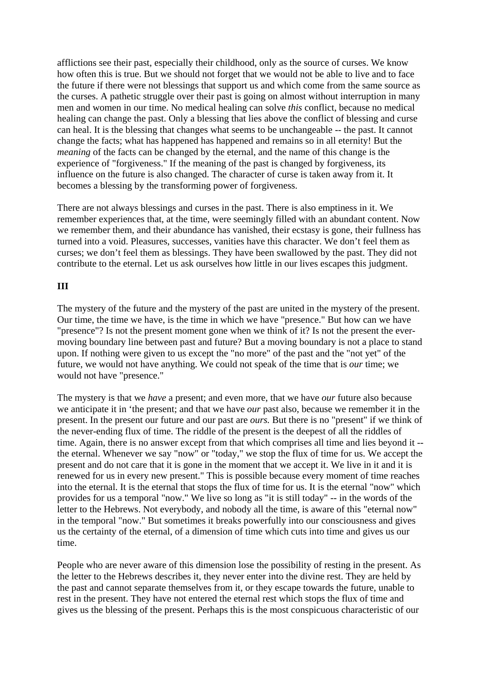afflictions see their past, especially their childhood, only as the source of curses. We know how often this is true. But we should not forget that we would not be able to live and to face the future if there were not blessings that support us and which come from the same source as the curses. A pathetic struggle over their past is going on almost without interruption in many men and women in our time. No medical healing can solve *this* conflict, because no medical healing can change the past. Only a blessing that lies above the conflict of blessing and curse can heal. It is the blessing that changes what seems to be unchangeable -- the past. It cannot change the facts; what has happened has happened and remains so in all eternity! But the *meaning* of the facts can be changed by the eternal, and the name of this change is the experience of "forgiveness." If the meaning of the past is changed by forgiveness, its influence on the future is also changed. The character of curse is taken away from it. It becomes a blessing by the transforming power of forgiveness.

There are not always blessings and curses in the past. There is also emptiness in it. We remember experiences that, at the time, were seemingly filled with an abundant content. Now we remember them, and their abundance has vanished, their ecstasy is gone, their fullness has turned into a void. Pleasures, successes, vanities have this character. We don't feel them as curses; we don't feel them as blessings. They have been swallowed by the past. They did not contribute to the eternal. Let us ask ourselves how little in our lives escapes this judgment.

#### **III**

The mystery of the future and the mystery of the past are united in the mystery of the present. Our time, the time we have, is the time in which we have "presence." But how can we have "presence"? Is not the present moment gone when we think of it? Is not the present the evermoving boundary line between past and future? But a moving boundary is not a place to stand upon. If nothing were given to us except the "no more" of the past and the "not yet" of the future, we would not have anything. We could not speak of the time that is *our* time; we would not have "presence."

The mystery is that we *have* a present; and even more, that we have *our* future also because we anticipate it in 'the present; and that we have *our* past also, because we remember it in the present. In the present our future and our past are *ours.* But there is no "present" if we think of the never-ending flux of time. The riddle of the present is the deepest of all the riddles of time. Again, there is no answer except from that which comprises all time and lies beyond it - the eternal. Whenever we say "now" or "today," we stop the flux of time for us. We accept the present and do not care that it is gone in the moment that we accept it. We live in it and it is renewed for us in every new present." This is possible because every moment of time reaches into the eternal. It is the eternal that stops the flux of time for us. It is the eternal "now" which provides for us a temporal "now." We live so long as "it is still today" -- in the words of the letter to the Hebrews. Not everybody, and nobody all the time, is aware of this "eternal now" in the temporal "now." But sometimes it breaks powerfully into our consciousness and gives us the certainty of the eternal, of a dimension of time which cuts into time and gives us our time.

People who are never aware of this dimension lose the possibility of resting in the present. As the letter to the Hebrews describes it, they never enter into the divine rest. They are held by the past and cannot separate themselves from it, or they escape towards the future, unable to rest in the present. They have not entered the eternal rest which stops the flux of time and gives us the blessing of the present. Perhaps this is the most conspicuous characteristic of our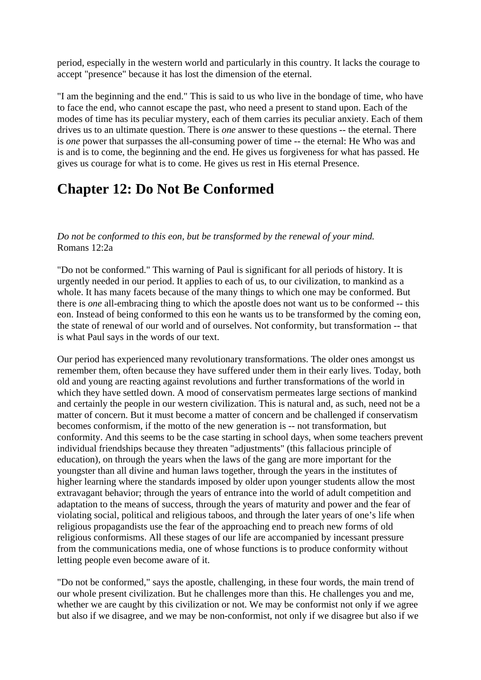period, especially in the western world and particularly in this country. It lacks the courage to accept "presence" because it has lost the dimension of the eternal.

"I am the beginning and the end." This is said to us who live in the bondage of time, who have to face the end, who cannot escape the past, who need a present to stand upon. Each of the modes of time has its peculiar mystery, each of them carries its peculiar anxiety. Each of them drives us to an ultimate question. There is *one* answer to these questions -- the eternal. There is *one* power that surpasses the all-consuming power of time -- the eternal: He Who was and is and is to come, the beginning and the end. He gives us forgiveness for what has passed. He gives us courage for what is to come. He gives us rest in His eternal Presence.

# **Chapter 12: Do Not Be Conformed**

*Do not be conformed to this eon, but be transformed by the renewal of your mind.*  Romans 12:2a

"Do not be conformed." This warning of Paul is significant for all periods of history. It is urgently needed in our period. It applies to each of us, to our civilization, to mankind as a whole. It has many facets because of the many things to which one may be conformed. But there is *one* all-embracing thing to which the apostle does not want us to be conformed -- this eon. Instead of being conformed to this eon he wants us to be transformed by the coming eon, the state of renewal of our world and of ourselves. Not conformity, but transformation -- that is what Paul says in the words of our text.

Our period has experienced many revolutionary transformations. The older ones amongst us remember them, often because they have suffered under them in their early lives. Today, both old and young are reacting against revolutions and further transformations of the world in which they have settled down. A mood of conservatism permeates large sections of mankind and certainly the people in our western civilization. This is natural and, as such, need not be a matter of concern. But it must become a matter of concern and be challenged if conservatism becomes conformism, if the motto of the new generation is -- not transformation, but conformity. And this seems to be the case starting in school days, when some teachers prevent individual friendships because they threaten "adjustments" (this fallacious principle of education), on through the years when the laws of the gang are more important for the youngster than all divine and human laws together, through the years in the institutes of higher learning where the standards imposed by older upon younger students allow the most extravagant behavior; through the years of entrance into the world of adult competition and adaptation to the means of success, through the years of maturity and power and the fear of violating social, political and religious taboos, and through the later years of one's life when religious propagandists use the fear of the approaching end to preach new forms of old religious conformisms. All these stages of our life are accompanied by incessant pressure from the communications media, one of whose functions is to produce conformity without letting people even become aware of it.

"Do not be conformed," says the apostle, challenging, in these four words, the main trend of our whole present civilization. But he challenges more than this. He challenges you and me, whether we are caught by this civilization or not. We may be conformist not only if we agree but also if we disagree, and we may be non-conformist, not only if we disagree but also if we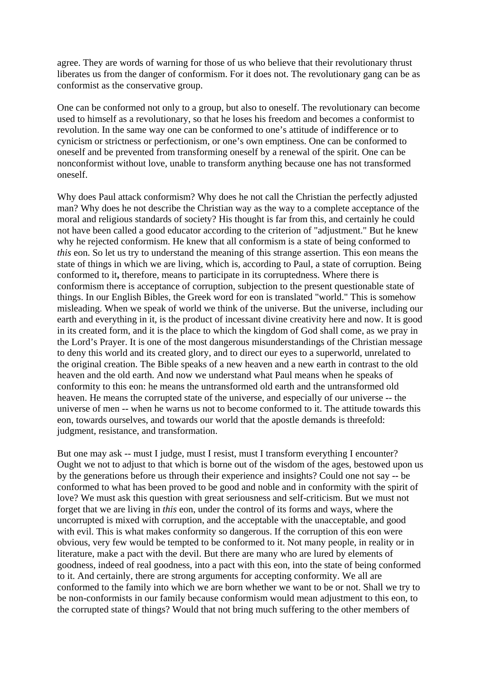agree. They are words of warning for those of us who believe that their revolutionary thrust liberates us from the danger of conformism. For it does not. The revolutionary gang can be as conformist as the conservative group.

One can be conformed not only to a group, but also to oneself. The revolutionary can become used to himself as a revolutionary, so that he loses his freedom and becomes a conformist to revolution. In the same way one can be conformed to one's attitude of indifference or to cynicism or strictness or perfectionism, or one's own emptiness. One can be conformed to oneself and be prevented from transforming oneself by a renewal of the spirit. One can be nonconformist without love, unable to transform anything because one has not transformed oneself.

Why does Paul attack conformism? Why does he not call the Christian the perfectly adjusted man? Why does he not describe the Christian way as the way to a complete acceptance of the moral and religious standards of society? His thought is far from this, and certainly he could not have been called a good educator according to the criterion of "adjustment." But he knew why he rejected conformism. He knew that all conformism is a state of being conformed to *this* eon. So let us try to understand the meaning of this strange assertion. This eon means the state of things in which we are living, which is, according to Paul, a state of corruption. Being conformed to it**,** therefore, means to participate in its corruptedness. Where there is conformism there is acceptance of corruption, subjection to the present questionable state of things. In our English Bibles, the Greek word for eon is translated "world." This is somehow misleading. When we speak of world we think of the universe. But the universe, including our earth and everything in it, is the product of incessant divine creativity here and now. It is good in its created form, and it is the place to which the kingdom of God shall come, as we pray in the Lord's Prayer. It is one of the most dangerous misunderstandings of the Christian message to deny this world and its created glory, and to direct our eyes to a superworld, unrelated to the original creation. The Bible speaks of a new heaven and a new earth in contrast to the old heaven and the old earth. And now we understand what Paul means when he speaks of conformity to this eon: he means the untransformed old earth and the untransformed old heaven. He means the corrupted state of the universe, and especially of our universe -- the universe of men -- when he warns us not to become conformed to it. The attitude towards this eon, towards ourselves, and towards our world that the apostle demands is threefold: judgment, resistance, and transformation.

But one may ask -- must I judge, must I resist, must I transform everything I encounter? Ought we not to adjust to that which is borne out of the wisdom of the ages, bestowed upon us by the generations before us through their experience and insights? Could one not say -- be conformed to what has been proved to be good and noble and in conformity with the spirit of love? We must ask this question with great seriousness and self-criticism. But we must not forget that we are living in *this* eon, under the control of its forms and ways, where the uncorrupted is mixed with corruption, and the acceptable with the unacceptable, and good with evil. This is what makes conformity so dangerous. If the corruption of this eon were obvious, very few would be tempted to be conformed to it. Not many people, in reality or in literature, make a pact with the devil. But there are many who are lured by elements of goodness, indeed of real goodness, into a pact with this eon, into the state of being conformed to it. And certainly, there are strong arguments for accepting conformity. We all are conformed to the family into which we are born whether we want to be or not. Shall we try to be non-conformists in our family because conformism would mean adjustment to this eon, to the corrupted state of things? Would that not bring much suffering to the other members of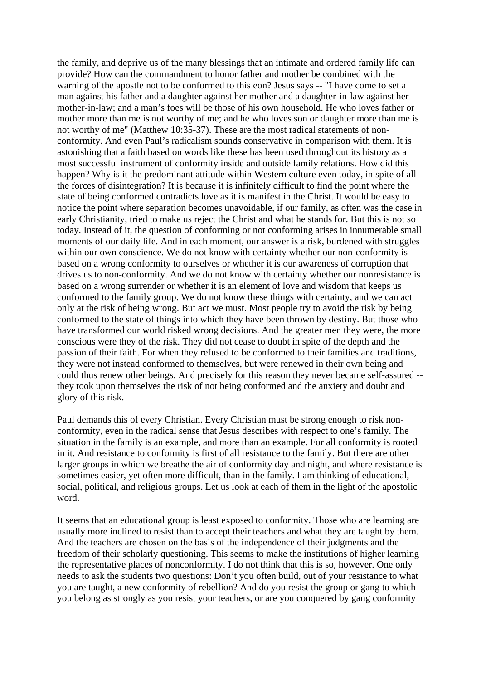the family, and deprive us of the many blessings that an intimate and ordered family life can provide? How can the commandment to honor father and mother be combined with the warning of the apostle not to be conformed to this eon? Jesus says -- "I have come to set a man against his father and a daughter against her mother and a daughter-in-law against her mother-in-law; and a man's foes will be those of his own household. He who loves father or mother more than me is not worthy of me; and he who loves son or daughter more than me is not worthy of me" (Matthew 10:35-37). These are the most radical statements of nonconformity. And even Paul's radicalism sounds conservative in comparison with them. It is astonishing that a faith based on words like these has been used throughout its history as a most successful instrument of conformity inside and outside family relations. How did this happen? Why is it the predominant attitude within Western culture even today, in spite of all the forces of disintegration? It is because it is infinitely difficult to find the point where the state of being conformed contradicts love as it is manifest in the Christ. It would be easy to notice the point where separation becomes unavoidable, if our family, as often was the case in early Christianity, tried to make us reject the Christ and what he stands for. But this is not so today. Instead of it, the question of conforming or not conforming arises in innumerable small moments of our daily life. And in each moment, our answer is a risk, burdened with struggles within our own conscience. We do not know with certainty whether our non-conformity is based on a wrong conformity to ourselves or whether it is our awareness of corruption that drives us to non-conformity. And we do not know with certainty whether our nonresistance is based on a wrong surrender or whether it is an element of love and wisdom that keeps us conformed to the family group. We do not know these things with certainty, and we can act only at the risk of being wrong. But act we must. Most people try to avoid the risk by being conformed to the state of things into which they have been thrown by destiny. But those who have transformed our world risked wrong decisions. And the greater men they were, the more conscious were they of the risk. They did not cease to doubt in spite of the depth and the passion of their faith. For when they refused to be conformed to their families and traditions, they were not instead conformed to themselves, but were renewed in their own being and could thus renew other beings. And precisely for this reason they never became self-assured - they took upon themselves the risk of not being conformed and the anxiety and doubt and glory of this risk.

Paul demands this of every Christian. Every Christian must be strong enough to risk nonconformity, even in the radical sense that Jesus describes with respect to one's family. The situation in the family is an example, and more than an example. For all conformity is rooted in it. And resistance to conformity is first of all resistance to the family. But there are other larger groups in which we breathe the air of conformity day and night, and where resistance is sometimes easier, yet often more difficult, than in the family. I am thinking of educational, social, political, and religious groups. Let us look at each of them in the light of the apostolic word.

It seems that an educational group is least exposed to conformity. Those who are learning are usually more inclined to resist than to accept their teachers and what they are taught by them. And the teachers are chosen on the basis of the independence of their judgments and the freedom of their scholarly questioning. This seems to make the institutions of higher learning the representative places of nonconformity. I do not think that this is so, however. One only needs to ask the students two questions: Don't you often build, out of your resistance to what you are taught, a new conformity of rebellion? And do you resist the group or gang to which you belong as strongly as you resist your teachers, or are you conquered by gang conformity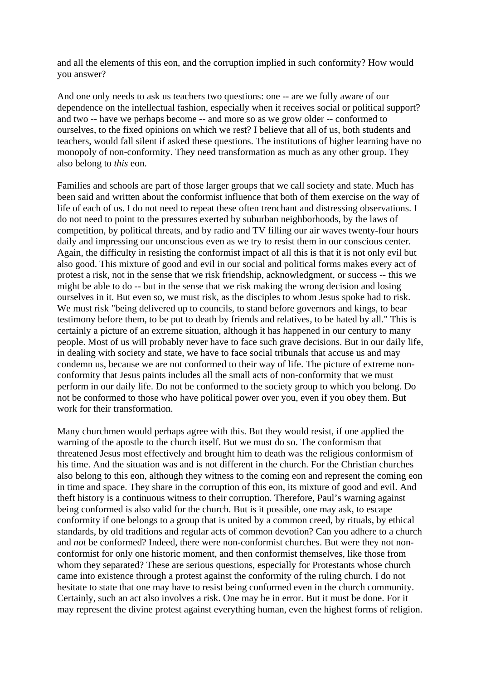and all the elements of this eon, and the corruption implied in such conformity? How would you answer?

And one only needs to ask us teachers two questions: one -- are we fully aware of our dependence on the intellectual fashion, especially when it receives social or political support? and two -- have we perhaps become -- and more so as we grow older -- conformed to ourselves, to the fixed opinions on which we rest? I believe that all of us, both students and teachers, would fall silent if asked these questions. The institutions of higher learning have no monopoly of non-conformity. They need transformation as much as any other group. They also belong to *this* eon.

Families and schools are part of those larger groups that we call society and state. Much has been said and written about the conformist influence that both of them exercise on the way of life of each of us. I do not need to repeat these often trenchant and distressing observations. I do not need to point to the pressures exerted by suburban neighborhoods, by the laws of competition, by political threats, and by radio and TV filling our air waves twenty-four hours daily and impressing our unconscious even as we try to resist them in our conscious center. Again, the difficulty in resisting the conformist impact of all this is that it is not only evil but also good. This mixture of good and evil in our social and political forms makes every act of protest a risk, not in the sense that we risk friendship, acknowledgment, or success -- this we might be able to do -- but in the sense that we risk making the wrong decision and losing ourselves in it. But even so, we must risk, as the disciples to whom Jesus spoke had to risk. We must risk "being delivered up to councils, to stand before governors and kings, to bear testimony before them, to be put to death by friends and relatives, to be hated by all." This is certainly a picture of an extreme situation, although it has happened in our century to many people. Most of us will probably never have to face such grave decisions. But in our daily life, in dealing with society and state, we have to face social tribunals that accuse us and may condemn us, because we are not conformed to their way of life. The picture of extreme nonconformity that Jesus paints includes all the small acts of non-conformity that we must perform in our daily life. Do not be conformed to the society group to which you belong. Do not be conformed to those who have political power over you, even if you obey them. But work for their transformation.

Many churchmen would perhaps agree with this. But they would resist, if one applied the warning of the apostle to the church itself. But we must do so. The conformism that threatened Jesus most effectively and brought him to death was the religious conformism of his time. And the situation was and is not different in the church. For the Christian churches also belong to this eon, although they witness to the coming eon and represent the coming eon in time and space. They share in the corruption of this eon, its mixture of good and evil. And theft history is a continuous witness to their corruption. Therefore, Paul's warning against being conformed is also valid for the church. But is it possible, one may ask, to escape conformity if one belongs to a group that is united by a common creed, by rituals, by ethical standards, by old traditions and regular acts of common devotion? Can you adhere to a church and *not* be conformed? Indeed, there were non-conformist churches. But were they not nonconformist for only one historic moment, and then conformist themselves, like those from whom they separated? These are serious questions, especially for Protestants whose church came into existence through a protest against the conformity of the ruling church. I do not hesitate to state that one may have to resist being conformed even in the church community. Certainly, such an act also involves a risk. One may be in error. But it must be done. For it may represent the divine protest against everything human, even the highest forms of religion.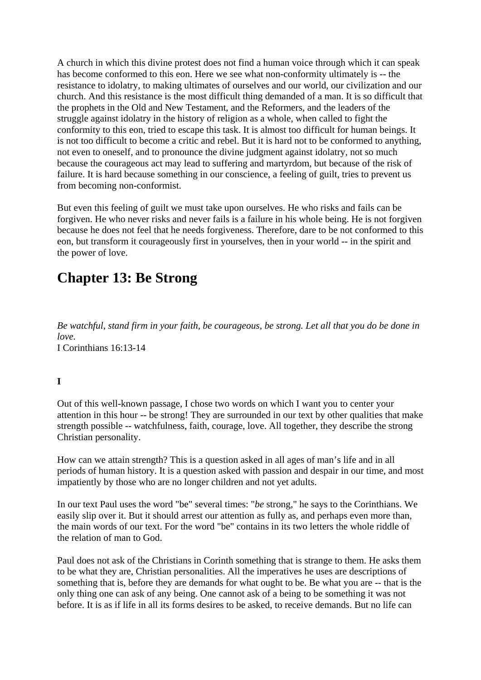A church in which this divine protest does not find a human voice through which it can speak has become conformed to this eon. Here we see what non-conformity ultimately is -- the resistance to idolatry, to making ultimates of ourselves and our world, our civilization and our church. And this resistance is the most difficult thing demanded of a man. It is so difficult that the prophets in the Old and New Testament, and the Reformers, and the leaders of the struggle against idolatry in the history of religion as a whole, when called to fight the conformity to this eon, tried to escape this task. It is almost too difficult for human beings. It is not too difficult to become a critic and rebel. But it is hard not to be conformed to anything, not even to oneself, and to pronounce the divine judgment against idolatry, not so much because the courageous act may lead to suffering and martyrdom, but because of the risk of failure. It is hard because something in our conscience, a feeling of guilt, tries to prevent us from becoming non-conformist.

But even this feeling of guilt we must take upon ourselves. He who risks and fails can be forgiven. He who never risks and never fails is a failure in his whole being. He is not forgiven because he does not feel that he needs forgiveness. Therefore, dare to be not conformed to this eon, but transform it courageously first in yourselves, then in your world -- in the spirit and the power of love.

# **Chapter 13: Be Strong**

*Be watchful, stand firm in your faith, be courageous, be strong. Let all that you do be done in love.*  I Corinthians 16:13-14

## **I**

Out of this well-known passage, I chose two words on which I want you to center your attention in this hour -- be strong! They are surrounded in our text by other qualities that make strength possible -- watchfulness, faith, courage, love. All together, they describe the strong Christian personality.

How can we attain strength? This is a question asked in all ages of man's life and in all periods of human history. It is a question asked with passion and despair in our time, and most impatiently by those who are no longer children and not yet adults.

In our text Paul uses the word "be" several times: "*be* strong," he says to the Corinthians. We easily slip over it. But it should arrest our attention as fully as, and perhaps even more than, the main words of our text. For the word "be" contains in its two letters the whole riddle of the relation of man to God.

Paul does not ask of the Christians in Corinth something that is strange to them. He asks them to be what they are, Christian personalities. All the imperatives he uses are descriptions of something that is, before they are demands for what ought to be. Be what you are -- that is the only thing one can ask of any being. One cannot ask of a being to be something it was not before. It is as if life in all its forms desires to be asked, to receive demands. But no life can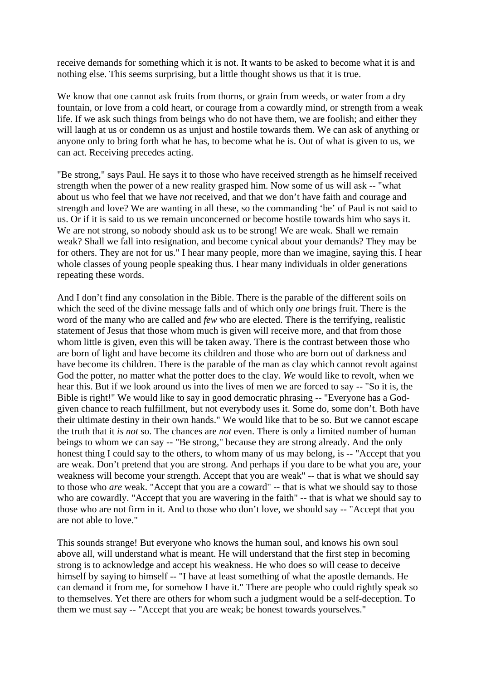receive demands for something which it is not. It wants to be asked to become what it is and nothing else. This seems surprising, but a little thought shows us that it is true.

We know that one cannot ask fruits from thorns, or grain from weeds, or water from a dry fountain, or love from a cold heart, or courage from a cowardly mind, or strength from a weak life. If we ask such things from beings who do not have them, we are foolish; and either they will laugh at us or condemn us as unjust and hostile towards them. We can ask of anything or anyone only to bring forth what he has, to become what he is. Out of what is given to us, we can act. Receiving precedes acting.

"Be strong," says Paul. He says it to those who have received strength as he himself received strength when the power of a new reality grasped him. Now some of us will ask -- "what about us who feel that we have *not* received, and that we don't have faith and courage and strength and love? We are wanting in all these, so the commanding 'be' of Paul is not said to us. Or if it is said to us we remain unconcerned or become hostile towards him who says it. We are not strong, so nobody should ask us to be strong! We are weak. Shall we remain weak? Shall we fall into resignation, and become cynical about your demands? They may be for others. They are not for us." I hear many people, more than we imagine, saying this. I hear whole classes of young people speaking thus. I hear many individuals in older generations repeating these words.

And I don't find any consolation in the Bible. There is the parable of the different soils on which the seed of the divine message falls and of which only *one* brings fruit. There is the word of the many who are called and *few* who are elected. There is the terrifying, realistic statement of Jesus that those whom much is given will receive more, and that from those whom little is given, even this will be taken away. There is the contrast between those who are born of light and have become its children and those who are born out of darkness and have become its children. There is the parable of the man as clay which cannot revolt against God the potter, no matter what the potter does to the clay. *We* would like to revolt, when we hear this. But if we look around us into the lives of men we are forced to say -- "So it is, the Bible is right!" We would like to say in good democratic phrasing -- "Everyone has a Godgiven chance to reach fulfillment, but not everybody uses it. Some do, some don't. Both have their ultimate destiny in their own hands." We would like that to be so. But we cannot escape the truth that it *is not* so. The chances are *not* even. There is only a limited number of human beings to whom we can say -- "Be strong," because they are strong already. And the only honest thing I could say to the others, to whom many of us may belong, is -- "Accept that you are weak. Don't pretend that you are strong. And perhaps if you dare to be what you are, your weakness will become your strength. Accept that you are weak" -- that is what we should say to those who *are* weak. "Accept that you are a coward" -- that is what we should say to those who are cowardly. "Accept that you are wavering in the faith" -- that is what we should say to those who are not firm in it. And to those who don't love, we should say -- "Accept that you are not able to love."

This sounds strange! But everyone who knows the human soul, and knows his own soul above all, will understand what is meant. He will understand that the first step in becoming strong is to acknowledge and accept his weakness. He who does so will cease to deceive himself by saying to himself -- "I have at least something of what the apostle demands. He can demand it from me, for somehow I have it." There are people who could rightly speak so to themselves. Yet there are others for whom such a judgment would be a self-deception. To them we must say -- "Accept that you are weak; be honest towards yourselves."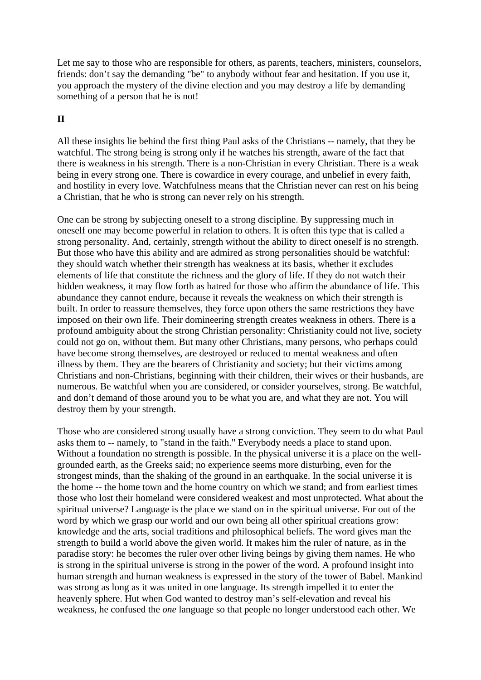Let me say to those who are responsible for others, as parents, teachers, ministers, counselors, friends: don't say the demanding "be" to anybody without fear and hesitation. If you use it, you approach the mystery of the divine election and you may destroy a life by demanding something of a person that he is not!

### **II**

All these insights lie behind the first thing Paul asks of the Christians -- namely, that they be watchful. The strong being is strong only if he watches his strength, aware of the fact that there is weakness in his strength. There is a non-Christian in every Christian. There is a weak being in every strong one. There is cowardice in every courage, and unbelief in every faith, and hostility in every love. Watchfulness means that the Christian never can rest on his being a Christian, that he who is strong can never rely on his strength.

One can be strong by subjecting oneself to a strong discipline. By suppressing much in oneself one may become powerful in relation to others. It is often this type that is called a strong personality. And, certainly, strength without the ability to direct oneself is no strength. But those who have this ability and are admired as strong personalities should be watchful: they should watch whether their strength has weakness at its basis, whether it excludes elements of life that constitute the richness and the glory of life. If they do not watch their hidden weakness, it may flow forth as hatred for those who affirm the abundance of life. This abundance they cannot endure, because it reveals the weakness on which their strength is built. In order to reassure themselves, they force upon others the same restrictions they have imposed on their own life. Their domineering strength creates weakness in others. There is a profound ambiguity about the strong Christian personality: Christianity could not live, society could not go on, without them. But many other Christians, many persons, who perhaps could have become strong themselves, are destroyed or reduced to mental weakness and often illness by them. They are the bearers of Christianity and society; but their victims among Christians and non-Christians, beginning with their children, their wives or their husbands, are numerous. Be watchful when you are considered, or consider yourselves, strong. Be watchful, and don't demand of those around you to be what you are, and what they are not. You will destroy them by your strength.

Those who are considered strong usually have a strong conviction. They seem to do what Paul asks them to -- namely, to "stand in the faith." Everybody needs a place to stand upon. Without a foundation no strength is possible. In the physical universe it is a place on the wellgrounded earth, as the Greeks said; no experience seems more disturbing, even for the strongest minds, than the shaking of the ground in an earthquake. In the social universe it is the home -- the home town and the home country on which we stand; and from earliest times those who lost their homeland were considered weakest and most unprotected. What about the spiritual universe? Language is the place we stand on in the spiritual universe. For out of the word by which we grasp our world and our own being all other spiritual creations grow: knowledge and the arts, social traditions and philosophical beliefs. The word gives man the strength to build a world above the given world. It makes him the ruler of nature, as in the paradise story: he becomes the ruler over other living beings by giving them names. He who is strong in the spiritual universe is strong in the power of the word. A profound insight into human strength and human weakness is expressed in the story of the tower of Babel. Mankind was strong as long as it was united in one language. Its strength impelled it to enter the heavenly sphere. Hut when God wanted to destroy man's self-elevation and reveal his weakness, he confused the *one* language so that people no longer understood each other. We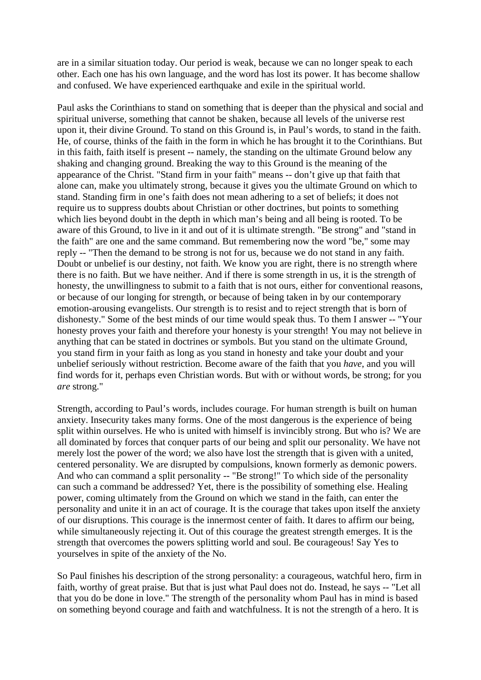are in a similar situation today. Our period is weak, because we can no longer speak to each other. Each one has his own language, and the word has lost its power. It has become shallow and confused. We have experienced earthquake and exile in the spiritual world.

Paul asks the Corinthians to stand on something that is deeper than the physical and social and spiritual universe, something that cannot be shaken, because all levels of the universe rest upon it, their divine Ground. To stand on this Ground is, in Paul's words, to stand in the faith. He, of course, thinks of the faith in the form in which he has brought it to the Corinthians. But in this faith, faith itself is present -- namely, the standing on the ultimate Ground below any shaking and changing ground. Breaking the way to this Ground is the meaning of the appearance of the Christ. "Stand firm in your faith" means -- don't give up that faith that alone can, make you ultimately strong, because it gives you the ultimate Ground on which to stand. Standing firm in one's faith does not mean adhering to a set of beliefs; it does not require us to suppress doubts about Christian or other doctrines, but points to something which lies beyond doubt in the depth in which man's being and all being is rooted. To be aware of this Ground, to live in it and out of it is ultimate strength. "Be strong" and "stand in the faith" are one and the same command. But remembering now the word "be," some may reply -- "Then the demand to be strong is not for us, because we do not stand in any faith. Doubt or unbelief is our destiny, not faith. We know you are right, there is no strength where there is no faith. But we have neither. And if there is some strength in us, it is the strength of honesty, the unwillingness to submit to a faith that is not ours, either for conventional reasons, or because of our longing for strength, or because of being taken in by our contemporary emotion-arousing evangelists. Our strength is to resist and to reject strength that is born of dishonesty." Some of the best minds of our time would speak thus. To them I answer -- "Your honesty proves your faith and therefore your honesty is your strength! You may not believe in anything that can be stated in doctrines or symbols. But you stand on the ultimate Ground, you stand firm in your faith as long as you stand in honesty and take your doubt and your unbelief seriously without restriction. Become aware of the faith that you *have*, and you will find words for it, perhaps even Christian words. But with or without words, be strong; for you *are* strong."

Strength, according to Paul's words, includes courage. For human strength is built on human anxiety. Insecurity takes many forms. One of the most dangerous is the experience of being split within ourselves. He who is united with himself is invincibly strong. But who is? We are all dominated by forces that conquer parts of our being and split our personality. We have not merely lost the power of the word; we also have lost the strength that is given with a united, centered personality. We are disrupted by compulsions, known formerly as demonic powers. And who can command a split personality -- "Be strong!" To which side of the personality can such a command be addressed? Yet, there is the possibility of something else. Healing power, coming ultimately from the Ground on which we stand in the faith, can enter the personality and unite it in an act of courage. It is the courage that takes upon itself the anxiety of our disruptions. This courage is the innermost center of faith. It dares to affirm our being, while simultaneously rejecting it. Out of this courage the greatest strength emerges. It is the strength that overcomes the powers splitting world and soul. Be courageous! Say Yes to yourselves in spite of the anxiety of the No.

So Paul finishes his description of the strong personality: a courageous, watchful hero, firm in faith, worthy of great praise. But that is just what Paul does not do. Instead, he says -- "Let all that you do be done in love." The strength of the personality whom Paul has in mind is based on something beyond courage and faith and watchfulness. It is not the strength of a hero. It is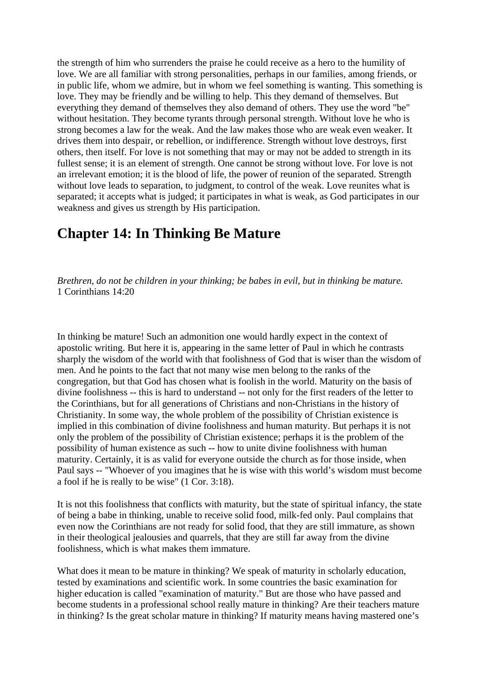the strength of him who surrenders the praise he could receive as a hero to the humility of love. We are all familiar with strong personalities, perhaps in our families, among friends, or in public life, whom we admire, but in whom we feel something is wanting. This something is love. They may be friendly and be willing to help. This they demand of themselves. But everything they demand of themselves they also demand of others. They use the word "be" without hesitation. They become tyrants through personal strength. Without love he who is strong becomes a law for the weak. And the law makes those who are weak even weaker. It drives them into despair, or rebellion, or indifference. Strength without love destroys, first others, then itself. For love is not something that may or may not be added to strength in its fullest sense; it is an element of strength. One cannot be strong without love. For love is not an irrelevant emotion; it is the blood of life, the power of reunion of the separated. Strength without love leads to separation, to judgment, to control of the weak. Love reunites what is separated; it accepts what is judged; it participates in what is weak, as God participates in our weakness and gives us strength by His participation.

# **Chapter 14: In Thinking Be Mature**

*Brethren, do not be children in your thinking; be babes in evil, but in thinking be mature.*  1 Corinthians 14:20

In thinking be mature! Such an admonition one would hardly expect in the context of apostolic writing. But here it is, appearing in the same letter of Paul in which he contrasts sharply the wisdom of the world with that foolishness of God that is wiser than the wisdom of men. And he points to the fact that not many wise men belong to the ranks of the congregation, but that God has chosen what is foolish in the world. Maturity on the basis of divine foolishness -- this is hard to understand -- not only for the first readers of the letter to the Corinthians, but for all generations of Christians and non-Christians in the history of Christianity. In some way, the whole problem of the possibility of Christian existence is implied in this combination of divine foolishness and human maturity. But perhaps it is not only the problem of the possibility of Christian existence; perhaps it is the problem of the possibility of human existence as such -- how to unite divine foolishness with human maturity. Certainly, it is as valid for everyone outside the church as for those inside, when Paul says -- "Whoever of you imagines that he is wise with this world's wisdom must become a fool if he is really to be wise" (1 Cor. 3:18).

It is not this foolishness that conflicts with maturity, but the state of spiritual infancy, the state of being a babe in thinking, unable to receive solid food, milk-fed only. Paul complains that even now the Corinthians are not ready for solid food, that they are still immature, as shown in their theological jealousies and quarrels, that they are still far away from the divine foolishness, which is what makes them immature.

What does it mean to be mature in thinking? We speak of maturity in scholarly education, tested by examinations and scientific work. In some countries the basic examination for higher education is called "examination of maturity." But are those who have passed and become students in a professional school really mature in thinking? Are their teachers mature in thinking? Is the great scholar mature in thinking? If maturity means having mastered one's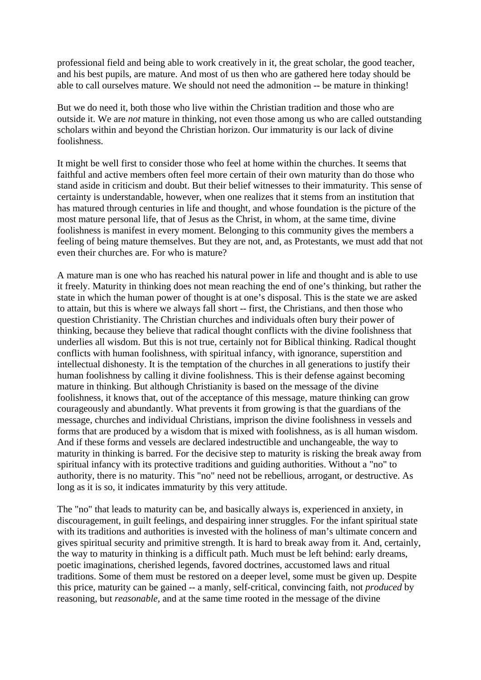professional field and being able to work creatively in it, the great scholar, the good teacher, and his best pupils, are mature. And most of us then who are gathered here today should be able to call ourselves mature. We should not need the admonition -- be mature in thinking!

But we do need it, both those who live within the Christian tradition and those who are outside it. We are *not* mature in thinking, not even those among us who are called outstanding scholars within and beyond the Christian horizon. Our immaturity is our lack of divine foolishness.

It might be well first to consider those who feel at home within the churches. It seems that faithful and active members often feel more certain of their own maturity than do those who stand aside in criticism and doubt. But their belief witnesses to their immaturity. This sense of certainty is understandable, however, when one realizes that it stems from an institution that has matured through centuries in life and thought, and whose foundation is the picture of the most mature personal life, that of Jesus as the Christ, in whom, at the same time, divine foolishness is manifest in every moment. Belonging to this community gives the members a feeling of being mature themselves. But they are not, and, as Protestants, we must add that not even their churches are. For who is mature?

A mature man is one who has reached his natural power in life and thought and is able to use it freely. Maturity in thinking does not mean reaching the end of one's thinking, but rather the state in which the human power of thought is at one's disposal. This is the state we are asked to attain, but this is where we always fall short -- first, the Christians, and then those who question Christianity. The Christian churches and individuals often bury their power of thinking, because they believe that radical thought conflicts with the divine foolishness that underlies all wisdom. But this is not true, certainly not for Biblical thinking. Radical thought conflicts with human foolishness, with spiritual infancy, with ignorance, superstition and intellectual dishonesty. It is the temptation of the churches in all generations to justify their human foolishness by calling it divine foolishness. This is their defense against becoming mature in thinking. But although Christianity is based on the message of the divine foolishness, it knows that, out of the acceptance of this message, mature thinking can grow courageously and abundantly. What prevents it from growing is that the guardians of the message, churches and individual Christians, imprison the divine foolishness in vessels and forms that are produced by a wisdom that is mixed with foolishness, as is all human wisdom. And if these forms and vessels are declared indestructible and unchangeable, the way to maturity in thinking is barred. For the decisive step to maturity is risking the break away from spiritual infancy with its protective traditions and guiding authorities. Without a "no" to authority, there is no maturity. This "no" need not be rebellious, arrogant, or destructive. As long as it is so, it indicates immaturity by this very attitude.

The "no" that leads to maturity can be, and basically always is, experienced in anxiety, in discouragement, in guilt feelings, and despairing inner struggles. For the infant spiritual state with its traditions and authorities is invested with the holiness of man's ultimate concern and gives spiritual security and primitive strength. It is hard to break away from it. And, certainly, the way to maturity in thinking is a difficult path. Much must be left behind: early dreams, poetic imaginations, cherished legends, favored doctrines, accustomed laws and ritual traditions. Some of them must be restored on a deeper level, some must be given up. Despite this price, maturity can be gained -- a manly, self-critical, convincing faith, not *produced* by reasoning, but *reasonable,* and at the same time rooted in the message of the divine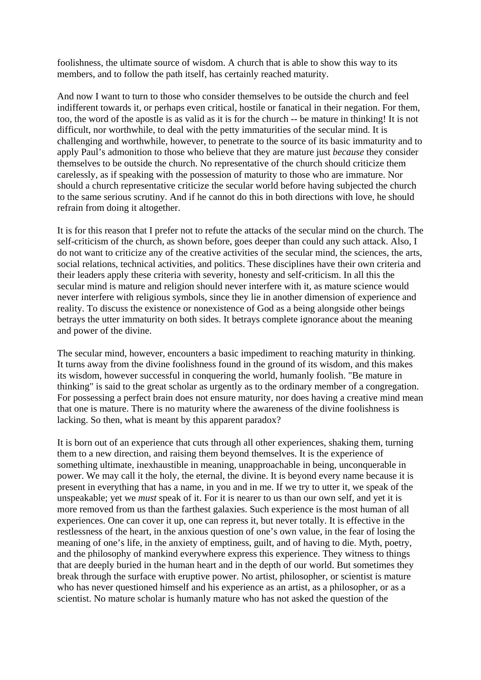foolishness, the ultimate source of wisdom. A church that is able to show this way to its members, and to follow the path itself, has certainly reached maturity.

And now I want to turn to those who consider themselves to be outside the church and feel indifferent towards it, or perhaps even critical, hostile or fanatical in their negation. For them, too, the word of the apostle is as valid as it is for the church -- be mature in thinking! It is not difficult, nor worthwhile, to deal with the petty immaturities of the secular mind. It is challenging and worthwhile, however, to penetrate to the source of its basic immaturity and to apply Paul's admonition to those who believe that they are mature just *because* they consider themselves to be outside the church. No representative of the church should criticize them carelessly, as if speaking with the possession of maturity to those who are immature. Nor should a church representative criticize the secular world before having subjected the church to the same serious scrutiny. And if he cannot do this in both directions with love, he should refrain from doing it altogether.

It is for this reason that I prefer not to refute the attacks of the secular mind on the church. The self-criticism of the church, as shown before, goes deeper than could any such attack. Also, I do not want to criticize any of the creative activities of the secular mind, the sciences, the arts, social relations, technical activities, and politics. These disciplines have their own criteria and their leaders apply these criteria with severity, honesty and self-criticism. In all this the secular mind is mature and religion should never interfere with it, as mature science would never interfere with religious symbols, since they lie in another dimension of experience and reality. To discuss the existence or nonexistence of God as a being alongside other beings betrays the utter immaturity on both sides. It betrays complete ignorance about the meaning and power of the divine.

The secular mind, however, encounters a basic impediment to reaching maturity in thinking. It turns away from the divine foolishness found in the ground of its wisdom, and this makes its wisdom, however successful in conquering the world, humanly foolish. "Be mature in thinking" is said to the great scholar as urgently as to the ordinary member of a congregation. For possessing a perfect brain does not ensure maturity, nor does having a creative mind mean that one is mature. There is no maturity where the awareness of the divine foolishness is lacking. So then, what is meant by this apparent paradox?

It is born out of an experience that cuts through all other experiences, shaking them, turning them to a new direction, and raising them beyond themselves. It is the experience of something ultimate, inexhaustible in meaning, unapproachable in being, unconquerable in power. We may call it the holy, the eternal, the divine. It is beyond every name because it is present in everything that has a name, in you and in me. If we try to utter it, we speak of the unspeakable; yet we *must* speak of it. For it is nearer to us than our own self, and yet it is more removed from us than the farthest galaxies. Such experience is the most human of all experiences. One can cover it up, one can repress it, but never totally. It is effective in the restlessness of the heart, in the anxious question of one's own value, in the fear of losing the meaning of one's life, in the anxiety of emptiness, guilt, and of having to die. Myth, poetry, and the philosophy of mankind everywhere express this experience. They witness to things that are deeply buried in the human heart and in the depth of our world. But sometimes they break through the surface with eruptive power. No artist, philosopher, or scientist is mature who has never questioned himself and his experience as an artist, as a philosopher, or as a scientist. No mature scholar is humanly mature who has not asked the question of the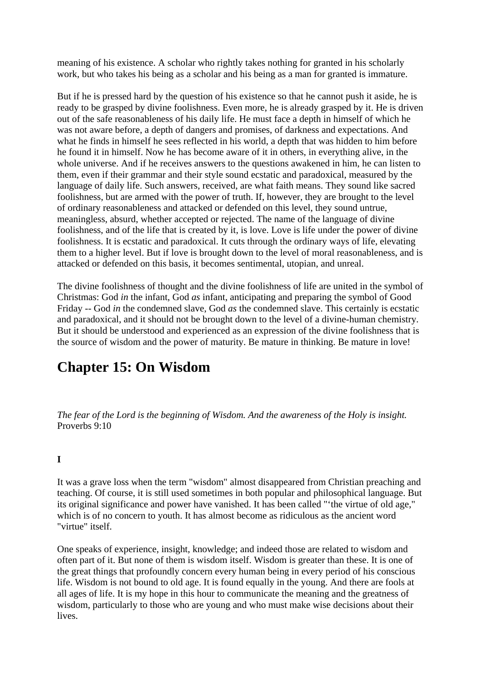meaning of his existence. A scholar who rightly takes nothing for granted in his scholarly work, but who takes his being as a scholar and his being as a man for granted is immature.

But if he is pressed hard by the question of his existence so that he cannot push it aside, he is ready to be grasped by divine foolishness. Even more, he is already grasped by it. He is driven out of the safe reasonableness of his daily life. He must face a depth in himself of which he was not aware before, a depth of dangers and promises, of darkness and expectations. And what he finds in himself he sees reflected in his world, a depth that was hidden to him before he found it in himself. Now he has become aware of it in others, in everything alive, in the whole universe. And if he receives answers to the questions awakened in him, he can listen to them, even if their grammar and their style sound ecstatic and paradoxical, measured by the language of daily life. Such answers, received, are what faith means. They sound like sacred foolishness, but are armed with the power of truth. If, however, they are brought to the level of ordinary reasonableness and attacked or defended on this level, they sound untrue, meaningless, absurd, whether accepted or rejected. The name of the language of divine foolishness, and of the life that is created by it, is love. Love is life under the power of divine foolishness. It is ecstatic and paradoxical. It cuts through the ordinary ways of life, elevating them to a higher level. But if love is brought down to the level of moral reasonableness, and is attacked or defended on this basis, it becomes sentimental, utopian, and unreal.

The divine foolishness of thought and the divine foolishness of life are united in the symbol of Christmas: God *in* the infant, God *as* infant, anticipating and preparing the symbol of Good Friday -- God *in* the condemned slave, God *as* the condemned slave. This certainly is ecstatic and paradoxical, and it should not be brought down to the level of a divine-human chemistry. But it should be understood and experienced as an expression of the divine foolishness that is the source of wisdom and the power of maturity. Be mature in thinking. Be mature in love!

# **Chapter 15: On Wisdom**

*The fear of the Lord is the beginning of Wisdom. And the awareness of the Holy is insight.*  Proverbs 9:10

## **I**

It was a grave loss when the term "wisdom" almost disappeared from Christian preaching and teaching. Of course, it is still used sometimes in both popular and philosophical language. But its original significance and power have vanished. It has been called "'the virtue of old age," which is of no concern to youth. It has almost become as ridiculous as the ancient word "virtue" itself.

One speaks of experience, insight, knowledge; and indeed those are related to wisdom and often part of it. But none of them is wisdom itself. Wisdom is greater than these. It is one of the great things that profoundly concern every human being in every period of his conscious life. Wisdom is not bound to old age. It is found equally in the young. And there are fools at all ages of life. It is my hope in this hour to communicate the meaning and the greatness of wisdom, particularly to those who are young and who must make wise decisions about their lives.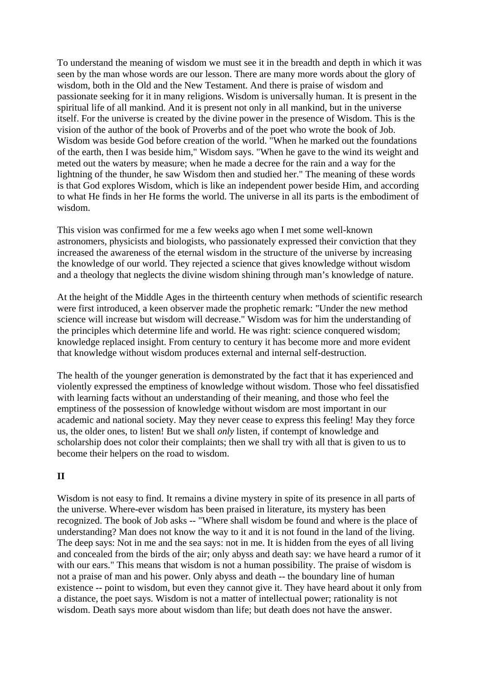To understand the meaning of wisdom we must see it in the breadth and depth in which it was seen by the man whose words are our lesson. There are many more words about the glory of wisdom, both in the Old and the New Testament. And there is praise of wisdom and passionate seeking for it in many religions. Wisdom is universally human. It is present in the spiritual life of all mankind. And it is present not only in all mankind, but in the universe itself. For the universe is created by the divine power in the presence of Wisdom. This is the vision of the author of the book of Proverbs and of the poet who wrote the book of Job. Wisdom was beside God before creation of the world. "When he marked out the foundations of the earth, then I was beside him," Wisdom says. "When he gave to the wind its weight and meted out the waters by measure; when he made a decree for the rain and a way for the lightning of the thunder, he saw Wisdom then and studied her." The meaning of these words is that God explores Wisdom, which is like an independent power beside Him, and according to what He finds in her He forms the world. The universe in all its parts is the embodiment of wisdom.

This vision was confirmed for me a few weeks ago when I met some well-known astronomers, physicists and biologists, who passionately expressed their conviction that they increased the awareness of the eternal wisdom in the structure of the universe by increasing the knowledge of our world. They rejected a science that gives knowledge without wisdom and a theology that neglects the divine wisdom shining through man's knowledge of nature.

At the height of the Middle Ages in the thirteenth century when methods of scientific research were first introduced, a keen observer made the prophetic remark: "Under the new method science will increase but wisdom will decrease." Wisdom was for him the understanding of the principles which determine life and world. He was right: science conquered wisdom; knowledge replaced insight. From century to century it has become more and more evident that knowledge without wisdom produces external and internal self-destruction.

The health of the younger generation is demonstrated by the fact that it has experienced and violently expressed the emptiness of knowledge without wisdom. Those who feel dissatisfied with learning facts without an understanding of their meaning, and those who feel the emptiness of the possession of knowledge without wisdom are most important in our academic and national society. May they never cease to express this feeling! May they force us, the older ones, to listen! But we shall *only* listen, if contempt of knowledge and scholarship does not color their complaints; then we shall try with all that is given to us to become their helpers on the road to wisdom.

### **II**

Wisdom is not easy to find. It remains a divine mystery in spite of its presence in all parts of the universe. Where-ever wisdom has been praised in literature, its mystery has been recognized. The book of Job asks -- "Where shall wisdom be found and where is the place of understanding? Man does not know the way to it and it is not found in the land of the living. The deep says: Not in me and the sea says: not in me. It is hidden from the eyes of all living and concealed from the birds of the air; only abyss and death say: we have heard a rumor of it with our ears." This means that wisdom is not a human possibility. The praise of wisdom is not a praise of man and his power. Only abyss and death -- the boundary line of human existence -- point to wisdom, but even they cannot give it. They have heard about it only from a distance, the poet says. Wisdom is not a matter of intellectual power; rationality is not wisdom. Death says more about wisdom than life; but death does not have the answer.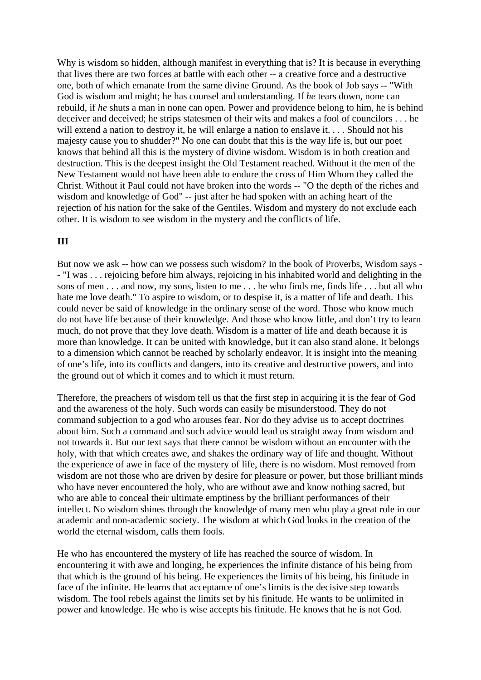Why is wisdom so hidden, although manifest in everything that is? It is because in everything that lives there are two forces at battle with each other -- a creative force and a destructive one, both of which emanate from the same divine Ground. As the book of Job says -- "With God is wisdom and might; he has counsel and understanding. If *he* tears down, none can rebuild, if *he* shuts a man in none can open. Power and providence belong to him, he is behind deceiver and deceived; he strips statesmen of their wits and makes a fool of councilors . . . he will extend a nation to destroy it, he will enlarge a nation to enslave it. . . . Should not his majesty cause you to shudder?" No one can doubt that this is the way life is, but our poet knows that behind all this is the mystery of divine wisdom. Wisdom is in both creation and destruction. This is the deepest insight the Old Testament reached. Without it the men of the New Testament would not have been able to endure the cross of Him Whom they called the Christ. Without it Paul could not have broken into the words -- "O the depth of the riches and wisdom and knowledge of God" -- just after he had spoken with an aching heart of the rejection of his nation for the sake of the Gentiles. Wisdom and mystery do not exclude each other. It is wisdom to see wisdom in the mystery and the conflicts of life.

### **III**

But now we ask -- how can we possess such wisdom? In the book of Proverbs, Wisdom says - - "I was . . . rejoicing before him always, rejoicing in his inhabited world and delighting in the sons of men . . . and now, my sons, listen to me . . . he who finds me, finds life . . . but all who hate me love death." To aspire to wisdom, or to despise it, is a matter of life and death. This could never be said of knowledge in the ordinary sense of the word. Those who know much do not have life because of their knowledge. And those who know little, and don't try to learn much, do not prove that they love death. Wisdom is a matter of life and death because it is more than knowledge. It can be united with knowledge, but it can also stand alone. It belongs to a dimension which cannot be reached by scholarly endeavor. It is insight into the meaning of one's life, into its conflicts and dangers, into its creative and destructive powers, and into the ground out of which it comes and to which it must return.

Therefore, the preachers of wisdom tell us that the first step in acquiring it is the fear of God and the awareness of the holy. Such words can easily be misunderstood. They do not command subjection to a god who arouses fear. Nor do they advise us to accept doctrines about him. Such a command and such advice would lead us straight away from wisdom and not towards it. But our text says that there cannot be wisdom without an encounter with the holy, with that which creates awe, and shakes the ordinary way of life and thought. Without the experience of awe in face of the mystery of life, there is no wisdom. Most removed from wisdom are not those who are driven by desire for pleasure or power, but those brilliant minds who have never encountered the holy, who are without awe and know nothing sacred, but who are able to conceal their ultimate emptiness by the brilliant performances of their intellect. No wisdom shines through the knowledge of many men who play a great role in our academic and non-academic society. The wisdom at which God looks in the creation of the world the eternal wisdom, calls them fools.

He who has encountered the mystery of life has reached the source of wisdom. In encountering it with awe and longing, he experiences the infinite distance of his being from that which is the ground of his being. He experiences the limits of his being, his finitude in face of the infinite. He learns that acceptance of one's limits is the decisive step towards wisdom. The fool rebels against the limits set by his finitude. He wants to be unlimited in power and knowledge. He who is wise accepts his finitude. He knows that he is not God.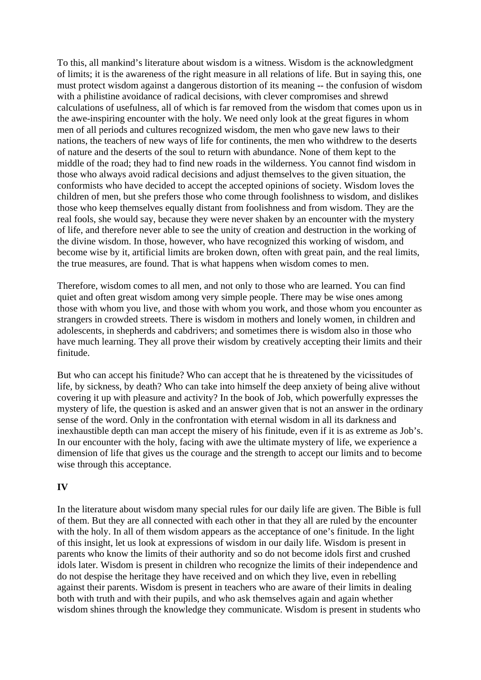To this, all mankind's literature about wisdom is a witness. Wisdom is the acknowledgment of limits; it is the awareness of the right measure in all relations of life. But in saying this, one must protect wisdom against a dangerous distortion of its meaning -- the confusion of wisdom with a philistine avoidance of radical decisions, with clever compromises and shrewd calculations of usefulness, all of which is far removed from the wisdom that comes upon us in the awe-inspiring encounter with the holy. We need only look at the great figures in whom men of all periods and cultures recognized wisdom, the men who gave new laws to their nations, the teachers of new ways of life for continents, the men who withdrew to the deserts of nature and the deserts of the soul to return with abundance. None of them kept to the middle of the road; they had to find new roads in the wilderness. You cannot find wisdom in those who always avoid radical decisions and adjust themselves to the given situation, the conformists who have decided to accept the accepted opinions of society. Wisdom loves the children of men, but she prefers those who come through foolishness to wisdom, and dislikes those who keep themselves equally distant from foolishness and from wisdom. They are the real fools, she would say, because they were never shaken by an encounter with the mystery of life, and therefore never able to see the unity of creation and destruction in the working of the divine wisdom. In those, however, who have recognized this working of wisdom, and become wise by it, artificial limits are broken down, often with great pain, and the real limits, the true measures, are found. That is what happens when wisdom comes to men.

Therefore, wisdom comes to all men, and not only to those who are learned. You can find quiet and often great wisdom among very simple people. There may be wise ones among those with whom you live, and those with whom you work, and those whom you encounter as strangers in crowded streets. There is wisdom in mothers and lonely women, in children and adolescents, in shepherds and cabdrivers; and sometimes there is wisdom also in those who have much learning. They all prove their wisdom by creatively accepting their limits and their finitude.

But who can accept his finitude? Who can accept that he is threatened by the vicissitudes of life, by sickness, by death? Who can take into himself the deep anxiety of being alive without covering it up with pleasure and activity? In the book of Job, which powerfully expresses the mystery of life, the question is asked and an answer given that is not an answer in the ordinary sense of the word. Only in the confrontation with eternal wisdom in all its darkness and inexhaustible depth can man accept the misery of his finitude, even if it is as extreme as Job's. In our encounter with the holy, facing with awe the ultimate mystery of life, we experience a dimension of life that gives us the courage and the strength to accept our limits and to become wise through this acceptance.

#### **IV**

In the literature about wisdom many special rules for our daily life are given. The Bible is full of them. But they are all connected with each other in that they all are ruled by the encounter with the holy. In all of them wisdom appears as the acceptance of one's finitude. In the light of this insight, let us look at expressions of wisdom in our daily life. Wisdom is present in parents who know the limits of their authority and so do not become idols first and crushed idols later. Wisdom is present in children who recognize the limits of their independence and do not despise the heritage they have received and on which they live, even in rebelling against their parents. Wisdom is present in teachers who are aware of their limits in dealing both with truth and with their pupils, and who ask themselves again and again whether wisdom shines through the knowledge they communicate. Wisdom is present in students who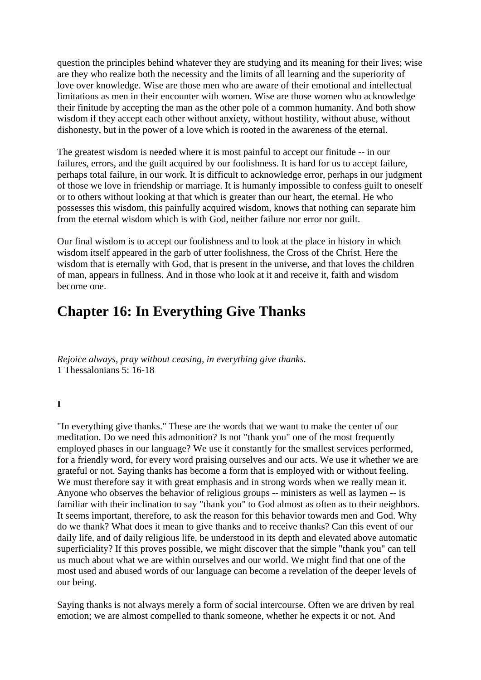question the principles behind whatever they are studying and its meaning for their lives; wise are they who realize both the necessity and the limits of all learning and the superiority of love over knowledge. Wise are those men who are aware of their emotional and intellectual limitations as men in their encounter with women. Wise are those women who acknowledge their finitude by accepting the man as the other pole of a common humanity. And both show wisdom if they accept each other without anxiety, without hostility, without abuse, without dishonesty, but in the power of a love which is rooted in the awareness of the eternal.

The greatest wisdom is needed where it is most painful to accept our finitude -- in our failures, errors, and the guilt acquired by our foolishness. It is hard for us to accept failure, perhaps total failure, in our work. It is difficult to acknowledge error, perhaps in our judgment of those we love in friendship or marriage. It is humanly impossible to confess guilt to oneself or to others without looking at that which is greater than our heart, the eternal. He who possesses this wisdom, this painfully acquired wisdom, knows that nothing can separate him from the eternal wisdom which is with God, neither failure nor error nor guilt.

Our final wisdom is to accept our foolishness and to look at the place in history in which wisdom itself appeared in the garb of utter foolishness, the Cross of the Christ. Here the wisdom that is eternally with God, that is present in the universe, and that loves the children of man, appears in fullness. And in those who look at it and receive it, faith and wisdom become one.

# **Chapter 16: In Everything Give Thanks**

*Rejoice always, pray without ceasing, in everything give thanks.*  1 Thessalonians 5: 16-18

### **I**

"In everything give thanks." These are the words that we want to make the center of our meditation. Do we need this admonition? Is not "thank you" one of the most frequently employed phases in our language? We use it constantly for the smallest services performed, for a friendly word, for every word praising ourselves and our acts. We use it whether we are grateful or not. Saying thanks has become a form that is employed with or without feeling. We must therefore say it with great emphasis and in strong words when we really mean it. Anyone who observes the behavior of religious groups -- ministers as well as laymen -- is familiar with their inclination to say "thank you" to God almost as often as to their neighbors. It seems important, therefore, to ask the reason for this behavior towards men and God. Why do we thank? What does it mean to give thanks and to receive thanks? Can this event of our daily life, and of daily religious life, be understood in its depth and elevated above automatic superficiality? If this proves possible, we might discover that the simple "thank you" can tell us much about what we are within ourselves and our world. We might find that one of the most used and abused words of our language can become a revelation of the deeper levels of our being.

Saying thanks is not always merely a form of social intercourse. Often we are driven by real emotion; we are almost compelled to thank someone, whether he expects it or not. And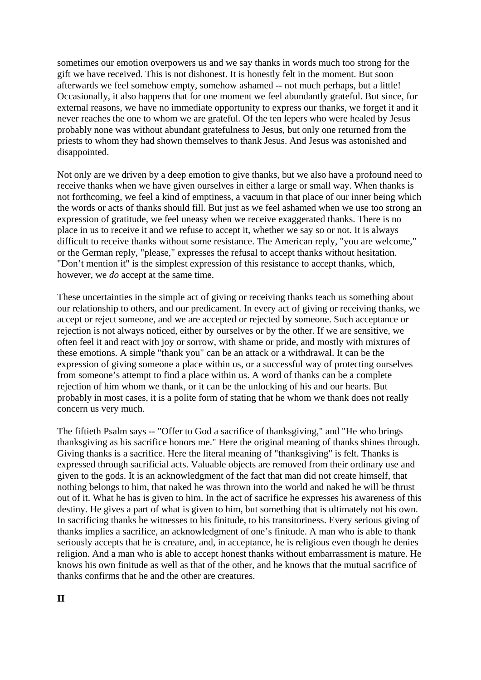sometimes our emotion overpowers us and we say thanks in words much too strong for the gift we have received. This is not dishonest. It is honestly felt in the moment. But soon afterwards we feel somehow empty, somehow ashamed -- not much perhaps, but a little! Occasionally, it also happens that for one moment we feel abundantly grateful. But since, for external reasons, we have no immediate opportunity to express our thanks, we forget it and it never reaches the one to whom we are grateful. Of the ten lepers who were healed by Jesus probably none was without abundant gratefulness to Jesus, but only one returned from the priests to whom they had shown themselves to thank Jesus. And Jesus was astonished and disappointed.

Not only are we driven by a deep emotion to give thanks, but we also have a profound need to receive thanks when we have given ourselves in either a large or small way. When thanks is not forthcoming, we feel a kind of emptiness, a vacuum in that place of our inner being which the words or acts of thanks should fill. But just as we feel ashamed when we use too strong an expression of gratitude, we feel uneasy when we receive exaggerated thanks. There is no place in us to receive it and we refuse to accept it, whether we say so or not. It is always difficult to receive thanks without some resistance. The American reply, "you are welcome," or the German reply, "please," expresses the refusal to accept thanks without hesitation. "Don't mention it" is the simplest expression of this resistance to accept thanks, which, however, we *do* accept at the same time.

These uncertainties in the simple act of giving or receiving thanks teach us something about our relationship to others, and our predicament. In every act of giving or receiving thanks, we accept or reject someone, and we are accepted or rejected by someone. Such acceptance or rejection is not always noticed, either by ourselves or by the other. If we are sensitive, we often feel it and react with joy or sorrow, with shame or pride, and mostly with mixtures of these emotions. A simple "thank you" can be an attack or a withdrawal. It can be the expression of giving someone a place within us, or a successful way of protecting ourselves from someone's attempt to find a place within us. A word of thanks can be a complete rejection of him whom we thank, or it can be the unlocking of his and our hearts. But probably in most cases, it is a polite form of stating that he whom we thank does not really concern us very much.

The fiftieth Psalm says -- "Offer to God a sacrifice of thanksgiving," and "He who brings thanksgiving as his sacrifice honors me." Here the original meaning of thanks shines through. Giving thanks is a sacrifice. Here the literal meaning of "thanksgiving" is felt. Thanks is expressed through sacrificial acts. Valuable objects are removed from their ordinary use and given to the gods. It is an acknowledgment of the fact that man did not create himself, that nothing belongs to him, that naked he was thrown into the world and naked he will be thrust out of it. What he has is given to him. In the act of sacrifice he expresses his awareness of this destiny. He gives a part of what is given to him, but something that is ultimately not his own. In sacrificing thanks he witnesses to his finitude, to his transitoriness. Every serious giving of thanks implies a sacrifice, an acknowledgment of one's finitude. A man who is able to thank seriously accepts that he is creature, and, in acceptance, he is religious even though he denies religion. And a man who is able to accept honest thanks without embarrassment is mature. He knows his own finitude as well as that of the other, and he knows that the mutual sacrifice of thanks confirms that he and the other are creatures.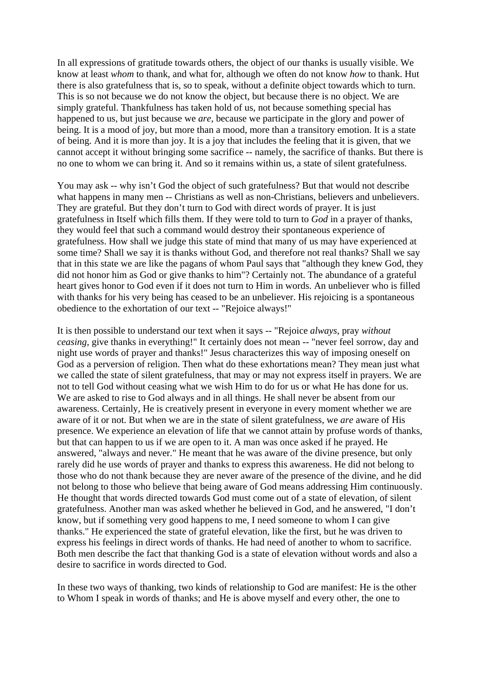In all expressions of gratitude towards others, the object of our thanks is usually visible. We know at least *whom* to thank, and what for, although we often do not know *how* to thank. Hut there is also gratefulness that is, so to speak, without a definite object towards which to turn. This is so not because we do not know the object, but because there is no object. We are simply grateful. Thankfulness has taken hold of us, not because something special has happened to us, but just because we *are,* because we participate in the glory and power of being. It is a mood of joy, but more than a mood, more than a transitory emotion. It is a state of being. And it is more than joy. It is a joy that includes the feeling that it is given, that we cannot accept it without bringing some sacrifice -- namely, the sacrifice of thanks. But there is no one to whom we can bring it. And so it remains within us, a state of silent gratefulness.

You may ask -- why isn't God the object of such gratefulness? But that would not describe what happens in many men -- Christians as well as non-Christians, believers and unbelievers. They are grateful. But they don't turn to God with direct words of prayer. It is just gratefulness in Itself which fills them. If they were told to turn to *God* in a prayer of thanks, they would feel that such a command would destroy their spontaneous experience of gratefulness. How shall we judge this state of mind that many of us may have experienced at some time? Shall we say it is thanks without God, and therefore not real thanks? Shall we say that in this state we are like the pagans of whom Paul says that "although they knew God, they did not honor him as God or give thanks to him"? Certainly not. The abundance of a grateful heart gives honor to God even if it does not turn to Him in words. An unbeliever who is filled with thanks for his very being has ceased to be an unbeliever. His rejoicing is a spontaneous obedience to the exhortation of our text -- "Rejoice always!"

It is then possible to understand our text when it says -- "Rejoice *always*, pray *without ceasing,* give thanks in everything!" It certainly does not mean -- "never feel sorrow, day and night use words of prayer and thanks!" Jesus characterizes this way of imposing oneself on God as a perversion of religion. Then what do these exhortations mean? They mean just what we called the state of silent gratefulness, that may or may not express itself in prayers. We are not to tell God without ceasing what we wish Him to do for us or what He has done for us. We are asked to rise to God always and in all things. He shall never be absent from our awareness. Certainly, He is creatively present in everyone in every moment whether we are aware of it or not. But when we are in the state of silent gratefulness, we *are* aware of His presence. We experience an elevation of life that we cannot attain by profuse words of thanks, but that can happen to us if we are open to it. A man was once asked if he prayed. He answered, "always and never." He meant that he was aware of the divine presence, but only rarely did he use words of prayer and thanks to express this awareness. He did not belong to those who do not thank because they are never aware of the presence of the divine, and he did not belong to those who believe that being aware of God means addressing Him continuously. He thought that words directed towards God must come out of a state of elevation, of silent gratefulness. Another man was asked whether he believed in God, and he answered, "I don't know, but if something very good happens to me, I need someone to whom I can give thanks." He experienced the state of grateful elevation, like the first, but he was driven to express his feelings in direct words of thanks. He had need of another to whom to sacrifice. Both men describe the fact that thanking God is a state of elevation without words and also a desire to sacrifice in words directed to God.

In these two ways of thanking, two kinds of relationship to God are manifest: He is the other to Whom I speak in words of thanks; and He is above myself and every other, the one to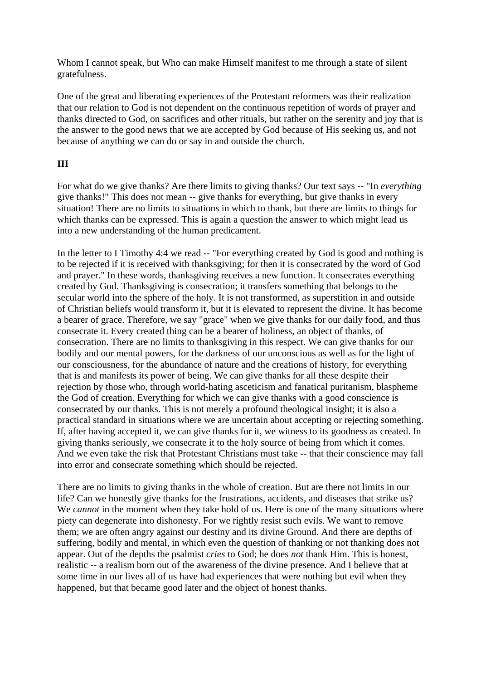Whom I cannot speak, but Who can make Himself manifest to me through a state of silent gratefulness.

One of the great and liberating experiences of the Protestant reformers was their realization that our relation to God is not dependent on the continuous repetition of words of prayer and thanks directed to God, on sacrifices and other rituals, but rather on the serenity and joy that is the answer to the good news that we are accepted by God because of His seeking us, and not because of anything we can do or say in and outside the church.

### **III**

For what do we give thanks? Are there limits to giving thanks? Our text says -- "In *everything*  give thanks!" This does not mean -- give thanks for everything, but give thanks in every situation! There are no limits to situations in which to thank, but there are limits to things for which thanks can be expressed. This is again a question the answer to which might lead us into a new understanding of the human predicament.

In the letter to I Timothy 4:4 we read -- "For everything created by God is good and nothing is to be rejected if it is received with thanksgiving; for then it is consecrated by the word of God and prayer." In these words, thanksgiving receives a new function. It consecrates everything created by God. Thanksgiving is consecration; it transfers something that belongs to the secular world into the sphere of the holy. It is not transformed, as superstition in and outside of Christian beliefs would transform it, but it is elevated to represent the divine. It has become a bearer of grace. Therefore, we say "grace" when we give thanks for our daily food, and thus consecrate it. Every created thing can be a bearer of holiness, an object of thanks, of consecration. There are no limits to thanksgiving in this respect. We can give thanks for our bodily and our mental powers, for the darkness of our unconscious as well as for the light of our consciousness, for the abundance of nature and the creations of history, for everything that is and manifests its power of being. We can give thanks for all these despite their rejection by those who, through world-hating asceticism and fanatical puritanism, blaspheme the God of creation. Everything for which we can give thanks with a good conscience is consecrated by our thanks. This is not merely a profound theological insight; it is also a practical standard in situations where we are uncertain about accepting or rejecting something. If, after having accepted it, we can give thanks for it, we witness to its goodness as created. In giving thanks seriously, we consecrate it to the holy source of being from which it comes. And we even take the risk that Protestant Christians must take -- that their conscience may fall into error and consecrate something which should be rejected.

There are no limits to giving thanks in the whole of creation. But are there not limits in our life? Can we honestly give thanks for the frustrations, accidents, and diseases that strike us? We *cannot* in the moment when they take hold of us. Here is one of the many situations where piety can degenerate into dishonesty. For we rightly resist such evils. We want to remove them; we are often angry against our destiny and its divine Ground. And there are depths of suffering, bodily and mental, in which even the question of thanking or not thanking does not appear. Out of the depths the psalmist *cries* to God; he does *not* thank Him. This is honest, realistic -- a realism born out of the awareness of the divine presence. And I believe that at some time in our lives all of us have had experiences that were nothing but evil when they happened, but that became good later and the object of honest thanks.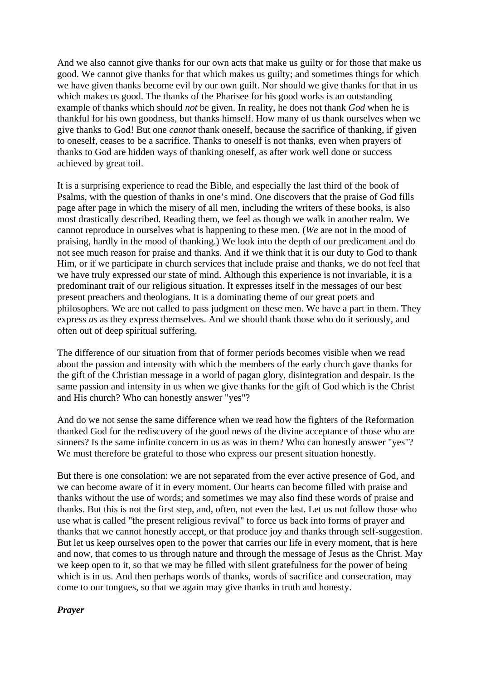And we also cannot give thanks for our own acts that make us guilty or for those that make us good. We cannot give thanks for that which makes us guilty; and sometimes things for which we have given thanks become evil by our own guilt. Nor should we give thanks for that in us which makes us good. The thanks of the Pharisee for his good works is an outstanding example of thanks which should *not* be given. In reality, he does not thank *God* when he is thankful for his own goodness, but thanks himself. How many of us thank ourselves when we give thanks to God! But one *cannot* thank oneself, because the sacrifice of thanking, if given to oneself, ceases to be a sacrifice. Thanks to oneself is not thanks, even when prayers of thanks to God are hidden ways of thanking oneself, as after work well done or success achieved by great toil.

It is a surprising experience to read the Bible, and especially the last third of the book of Psalms, with the question of thanks in one's mind. One discovers that the praise of God fills page after page in which the misery of all men, including the writers of these books, is also most drastically described. Reading them, we feel as though we walk in another realm. We cannot reproduce in ourselves what is happening to these men. (*We* are not in the mood of praising, hardly in the mood of thanking.) We look into the depth of our predicament and do not see much reason for praise and thanks. And if we think that it is our duty to God to thank Him, or if we participate in church services that include praise and thanks, we do not feel that we have truly expressed our state of mind. Although this experience is not invariable, it is a predominant trait of our religious situation. It expresses itself in the messages of our best present preachers and theologians. It is a dominating theme of our great poets and philosophers. We are not called to pass judgment on these men. We have a part in them. They express *us* as they express themselves. And we should thank those who do it seriously, and often out of deep spiritual suffering.

The difference of our situation from that of former periods becomes visible when we read about the passion and intensity with which the members of the early church gave thanks for the gift of the Christian message in a world of pagan glory, disintegration and despair. Is the same passion and intensity in us when we give thanks for the gift of God which is the Christ and His church? Who can honestly answer "yes"?

And do we not sense the same difference when we read how the fighters of the Reformation thanked God for the rediscovery of the good news of the divine acceptance of those who are sinners? Is the same infinite concern in us as was in them? Who can honestly answer "yes"? We must therefore be grateful to those who express our present situation honestly.

But there is one consolation: we are not separated from the ever active presence of God, and we can become aware of it in every moment. Our hearts can become filled with praise and thanks without the use of words; and sometimes we may also find these words of praise and thanks. But this is not the first step, and, often, not even the last. Let us not follow those who use what is called "the present religious revival" to force us back into forms of prayer and thanks that we cannot honestly accept, or that produce joy and thanks through self-suggestion. But let us keep ourselves open to the power that carries our life in every moment, that is here and now, that comes to us through nature and through the message of Jesus as the Christ. May we keep open to it, so that we may be filled with silent gratefulness for the power of being which is in us. And then perhaps words of thanks, words of sacrifice and consecration, may come to our tongues, so that we again may give thanks in truth and honesty.

### *Prayer*